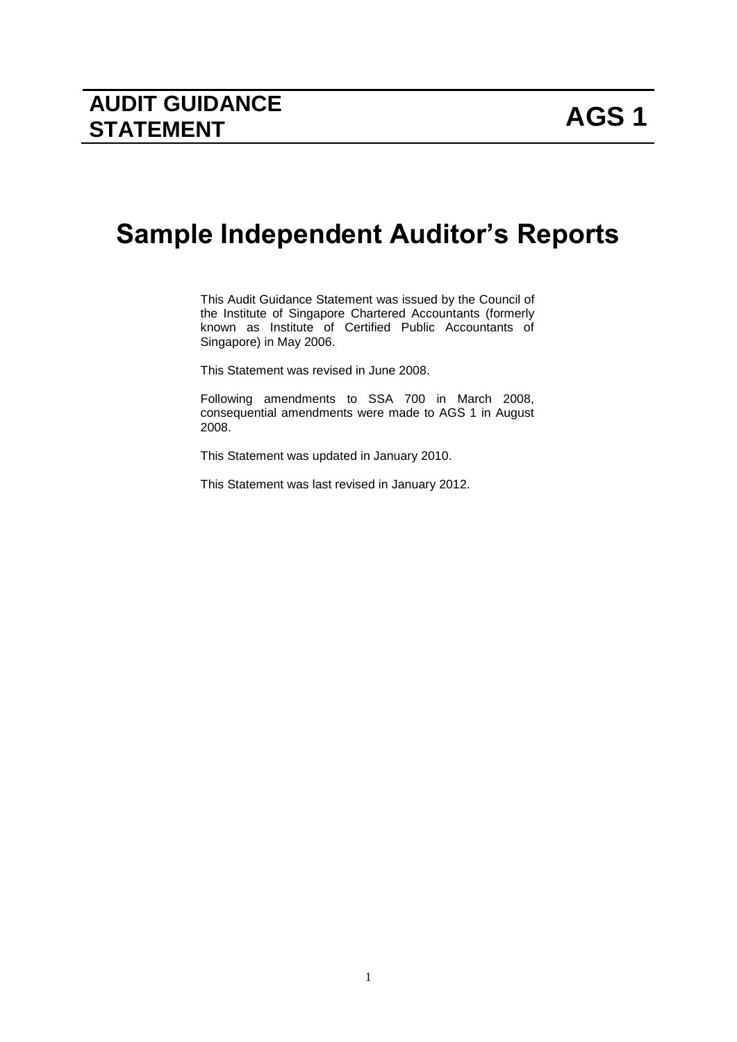# **Sample Independent Auditor's Reports**

This Audit Guidance Statement was issued by the Council of the Institute of Singapore Chartered Accountants (formerly known as Institute of Certified Public Accountants of Singapore) in May 2006.

This Statement was revised in June 2008.

Following amendments to SSA 700 in March 2008, consequential amendments were made to AGS 1 in August 2008.

This Statement was updated in January 2010.

This Statement was last revised in January 2012.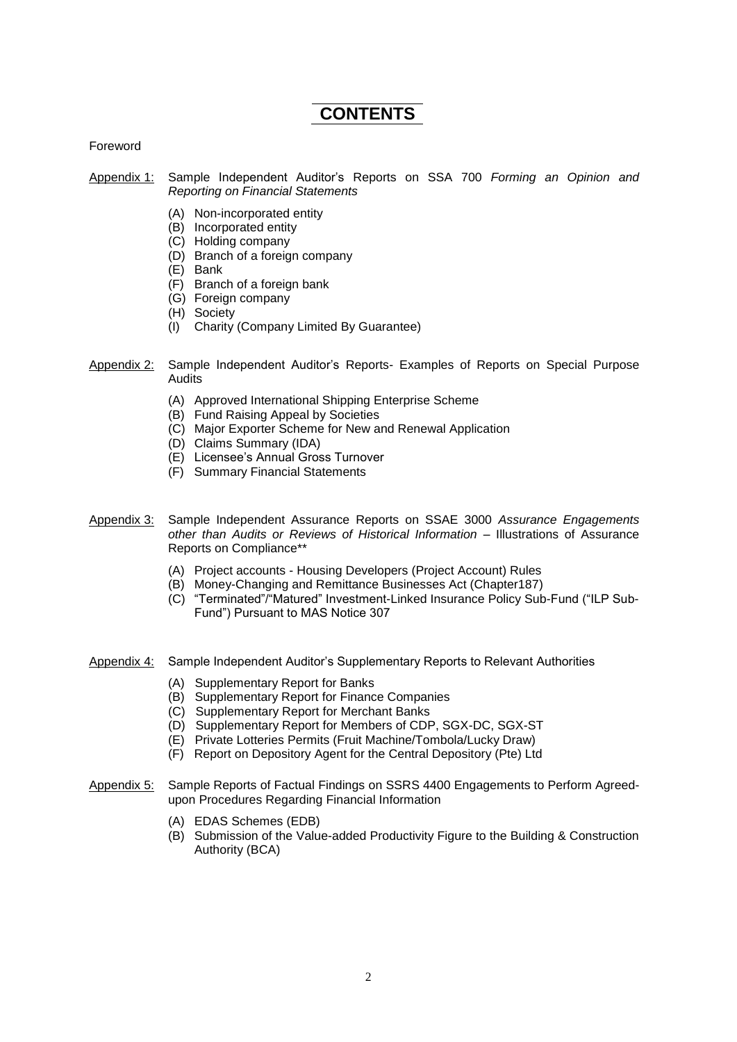## **CONTENTS**

#### Foreword

- Appendix 1: Sample Independent Auditor's Reports on SSA 700 *Forming an Opinion and Reporting on Financial Statements*
	- (A) Non-incorporated entity
	- (B) Incorporated entity
	- (C) Holding company
	- (D) Branch of a foreign company
	- (E) Bank
	- (F) Branch of a foreign bank
	- (G) Foreign company
	- (H) Society
	- (I) Charity (Company Limited By Guarantee)
- Appendix 2: Sample Independent Auditor's Reports- Examples of Reports on Special Purpose Audits
	- (A) Approved International Shipping Enterprise Scheme
	- (B) Fund Raising Appeal by Societies
	- (C) Major Exporter Scheme for New and Renewal Application
	- (D) Claims Summary (IDA)
	- (E) Licensee's Annual Gross Turnover
	- (F) Summary Financial Statements
- Appendix 3: Sample Independent Assurance Reports on SSAE 3000 *Assurance Engagements other than Audits or Reviews of Historical Information –* Illustrations of Assurance Reports on Compliance\*\*
	- (A) Project accounts Housing Developers (Project Account) Rules
	- (B) Money-Changing and Remittance Businesses Act (Chapter187)
	- (C) "Terminated"/"Matured" Investment-Linked Insurance Policy Sub-Fund ("ILP Sub-Fund") Pursuant to MAS Notice 307
- Appendix 4: Sample Independent Auditor's Supplementary Reports to Relevant Authorities
	- (A) Supplementary Report for Banks
	- (B) Supplementary Report for Finance Companies
	- (C) Supplementary Report for Merchant Banks
	- (D) Supplementary Report for Members of CDP, SGX-DC, SGX-ST
	- (E) Private Lotteries Permits (Fruit Machine/Tombola/Lucky Draw)
	- (F) Report on Depository Agent for the Central Depository (Pte) Ltd
- Appendix 5: Sample Reports of Factual Findings on SSRS 4400 Engagements to Perform Agreedupon Procedures Regarding Financial Information
	- (A) EDAS Schemes (EDB)
	- (B) Submission of the Value-added Productivity Figure to the Building & Construction Authority (BCA)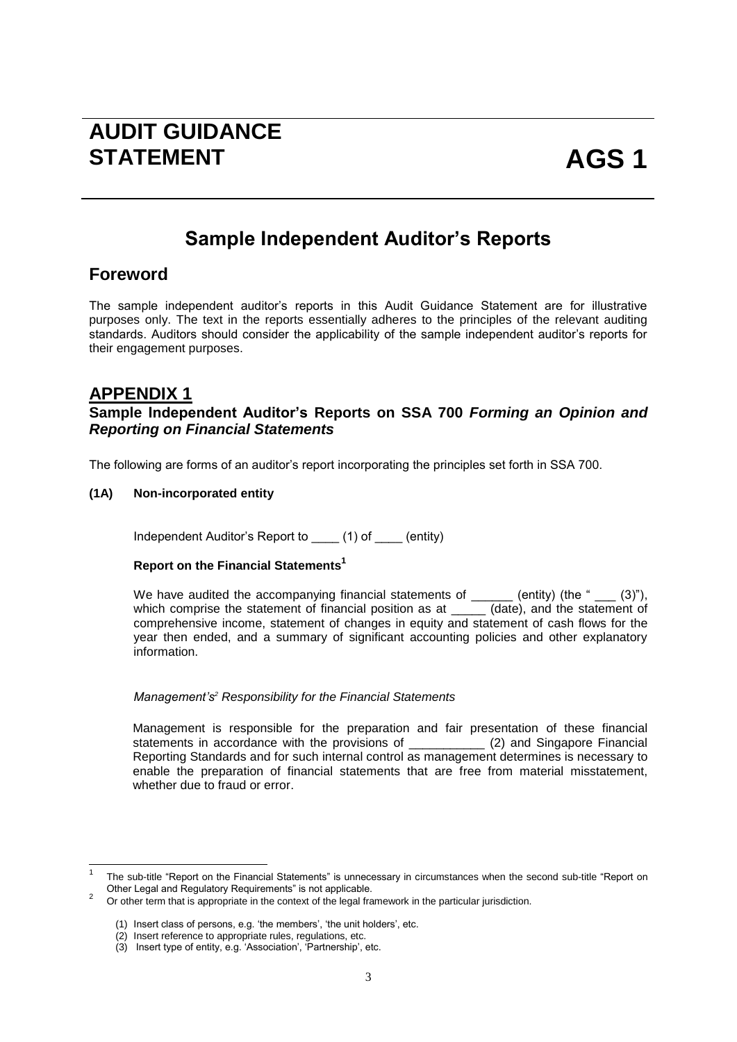# **AUDIT GUIDANCE STATEMENT**

# **Sample Independent Auditor's Reports**

## **Foreword**

1

The sample independent auditor's reports in this Audit Guidance Statement are for illustrative purposes only. The text in the reports essentially adheres to the principles of the relevant auditing standards. Auditors should consider the applicability of the sample independent auditor's reports for their engagement purposes.

## **APPENDIX 1**

## **Sample Independent Auditor's Reports on SSA 700** *Forming an Opinion and Reporting on Financial Statements*

The following are forms of an auditor's report incorporating the principles set forth in SSA 700.

## **(1A) Non-incorporated entity**

Independent Auditor's Report to \_\_\_\_ (1) of \_\_\_\_ (entity)

## **Report on the Financial Statements<sup>1</sup>**

We have audited the accompanying financial statements of  $\_\_\_\_$  (entity) (the " $\_\_\_$  (3)"), which comprise the statement of financial position as at \_\_\_\_\_\_ (date), and the statement of comprehensive income, statement of changes in equity and statement of cash flows for the year then ended, and a summary of significant accounting policies and other explanatory information.

## *Management's<sup>2</sup> Responsibility for the Financial Statements*

Management is responsible for the preparation and fair presentation of these financial statements in accordance with the provisions of \_\_\_\_\_\_\_\_\_\_\_\_\_ (2) and Singapore Financial statements in accordance with the provisions of \_\_\_\_\_\_ Reporting Standards and for such internal control as management determines is necessary to enable the preparation of financial statements that are free from material misstatement, whether due to fraud or error.

<sup>1</sup> The sub-title "Report on the Financial Statements" is unnecessary in circumstances when the second sub-title "Report on Other Legal and Regulatory Requirements" is not applicable.

<sup>2</sup> Or other term that is appropriate in the context of the legal framework in the particular jurisdiction.

<sup>(1)</sup> Insert class of persons, e.g. 'the members', 'the unit holders', etc.

<sup>(2)</sup> Insert reference to appropriate rules, regulations, etc.

<sup>(3)</sup> Insert type of entity, e.g. 'Association', 'Partnership', etc.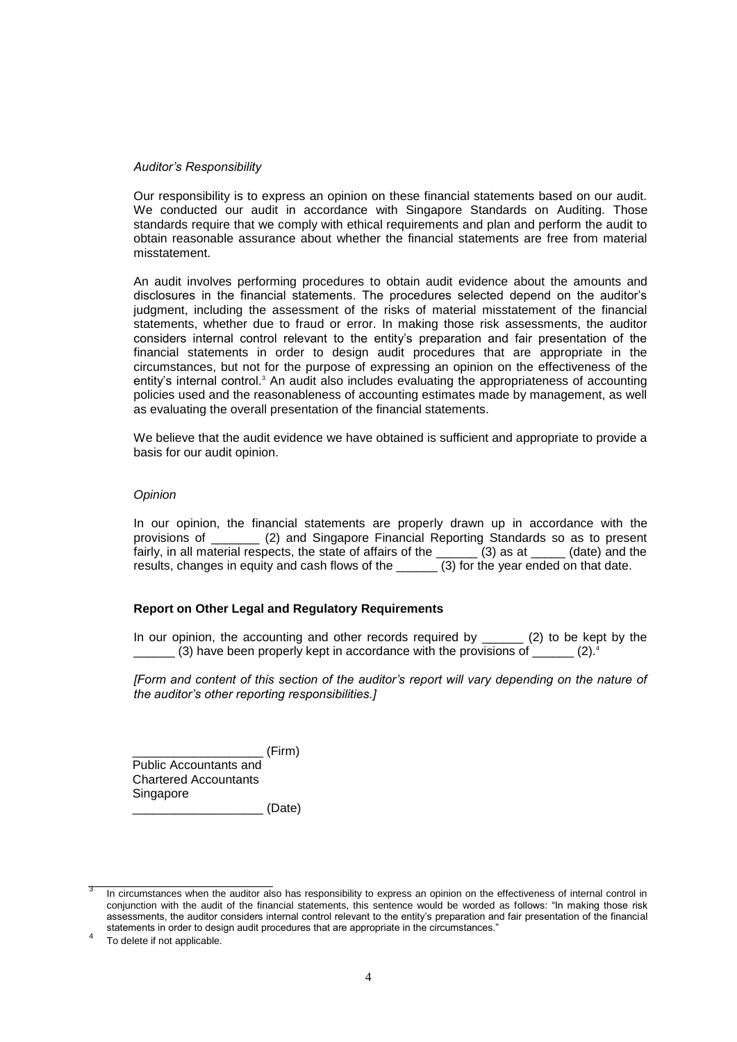#### *Auditor's Responsibility*

Our responsibility is to express an opinion on these financial statements based on our audit. We conducted our audit in accordance with Singapore Standards on Auditing. Those standards require that we comply with ethical requirements and plan and perform the audit to obtain reasonable assurance about whether the financial statements are free from material misstatement.

An audit involves performing procedures to obtain audit evidence about the amounts and disclosures in the financial statements. The procedures selected depend on the auditor's judgment, including the assessment of the risks of material misstatement of the financial statements, whether due to fraud or error. In making those risk assessments, the auditor considers internal control relevant to the entity's preparation and fair presentation of the financial statements in order to design audit procedures that are appropriate in the circumstances, but not for the purpose of expressing an opinion on the effectiveness of the entity's internal control.<sup>3</sup> An audit also includes evaluating the appropriateness of accounting policies used and the reasonableness of accounting estimates made by management, as well as evaluating the overall presentation of the financial statements.

We believe that the audit evidence we have obtained is sufficient and appropriate to provide a basis for our audit opinion.

#### *Opinion*

In our opinion, the financial statements are properly drawn up in accordance with the provisions of \_\_\_\_\_\_\_ (2) and Singapore Financial Reporting Standards so as to present fairly, in all material respects, the state of affairs of the \_\_\_\_\_\_ (3) as at \_\_\_\_\_ (date) and the results, changes in equity and cash flows of the \_\_\_\_\_\_ (3) for the year ended on that date.

#### **Report on Other Legal and Regulatory Requirements**

In our opinion, the accounting and other records required by \_\_\_\_\_\_ (2) to be kept by the  $\frac{1}{2}$  (3) have been properly kept in accordance with the provisions of  $\frac{1}{2}$  (2).<sup>4</sup>

*[Form and content of this section of the auditor's report will vary depending on the nature of the auditor's other reporting responsibilities.]*

 $(Firm)$ 

Public Accountants and Chartered Accountants **Singapore** 

\_\_\_\_\_\_\_\_\_\_\_\_\_\_\_\_\_\_\_ (Date)

<sup>3</sup> In circumstances when the auditor also has responsibility to express an opinion on the effectiveness of internal control in conjunction with the audit of the financial statements, this sentence would be worded as follows: "In making those risk assessments, the auditor considers internal control relevant to the entity's preparation and fair presentation of the financial statements in order to design audit procedures that are appropriate in the circumstances."

<sup>4</sup> To delete if not applicable.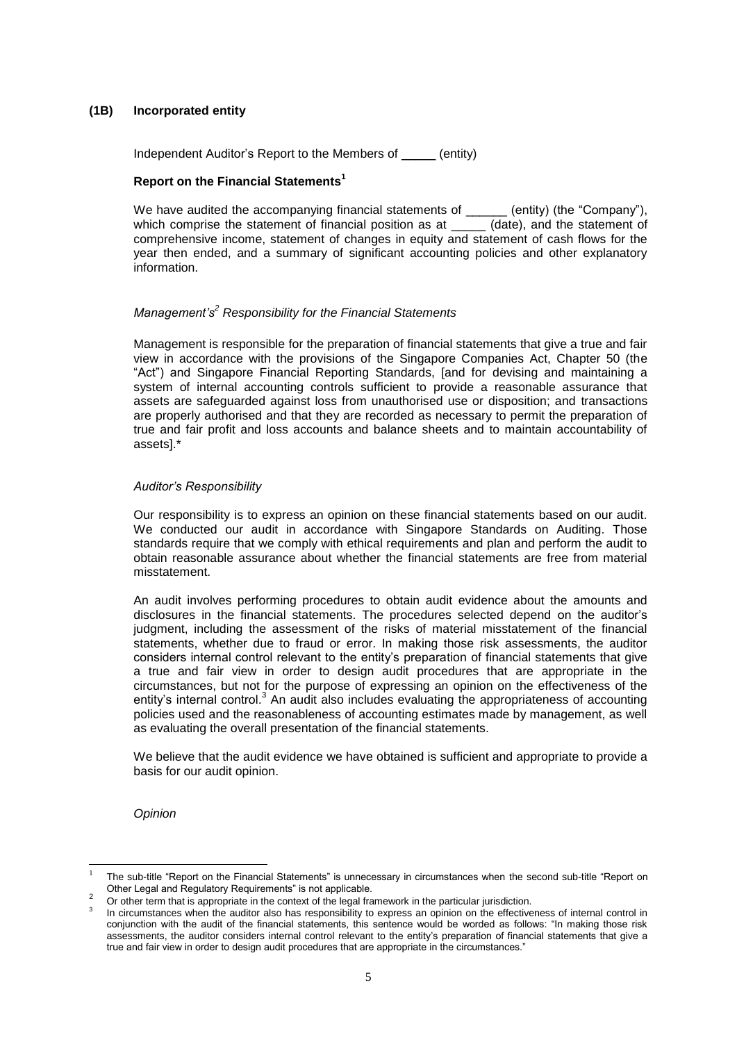## **(1B) Incorporated entity**

Independent Auditor's Report to the Members of \_\_\_\_\_ (entity)

#### **Report on the Financial Statements<sup>1</sup>**

We have audited the accompanying financial statements of  $($ entity) (the "Company"), which comprise the statement of financial position as at  $\overline{$  (date), and the statement of comprehensive income, statement of changes in equity and statement of cash flows for the year then ended, and a summary of significant accounting policies and other explanatory information.

## *Management's<sup>2</sup> Responsibility for the Financial Statements*

Management is responsible for the preparation of financial statements that give a true and fair view in accordance with the provisions of the Singapore Companies Act, Chapter 50 (the "Act") and Singapore Financial Reporting Standards, [and for devising and maintaining a system of internal accounting controls sufficient to provide a reasonable assurance that assets are safeguarded against loss from unauthorised use or disposition; and transactions are properly authorised and that they are recorded as necessary to permit the preparation of true and fair profit and loss accounts and balance sheets and to maintain accountability of assets].\*

#### *Auditor's Responsibility*

Our responsibility is to express an opinion on these financial statements based on our audit. We conducted our audit in accordance with Singapore Standards on Auditing. Those standards require that we comply with ethical requirements and plan and perform the audit to obtain reasonable assurance about whether the financial statements are free from material misstatement.

An audit involves performing procedures to obtain audit evidence about the amounts and disclosures in the financial statements. The procedures selected depend on the auditor's judgment, including the assessment of the risks of material misstatement of the financial statements, whether due to fraud or error. In making those risk assessments, the auditor considers internal control relevant to the entity's preparation of financial statements that give a true and fair view in order to design audit procedures that are appropriate in the circumstances, but not for the purpose of expressing an opinion on the effectiveness of the entity's internal control.<sup>3</sup> An audit also includes evaluating the appropriateness of accounting policies used and the reasonableness of accounting estimates made by management, as well as evaluating the overall presentation of the financial statements.

We believe that the audit evidence we have obtained is sufficient and appropriate to provide a basis for our audit opinion.

*Opinion*

1

<sup>1</sup> The sub-title "Report on the Financial Statements" is unnecessary in circumstances when the second sub-title "Report on Other Legal and Regulatory Requirements" is not applicable.

<sup>2</sup> Or other term that is appropriate in the context of the legal framework in the particular jurisdiction.

<sup>3</sup> In circumstances when the auditor also has responsibility to express an opinion on the effectiveness of internal control in conjunction with the audit of the financial statements, this sentence would be worded as follows: "In making those risk assessments, the auditor considers internal control relevant to the entity's preparation of financial statements that give a true and fair view in order to design audit procedures that are appropriate in the circumstances."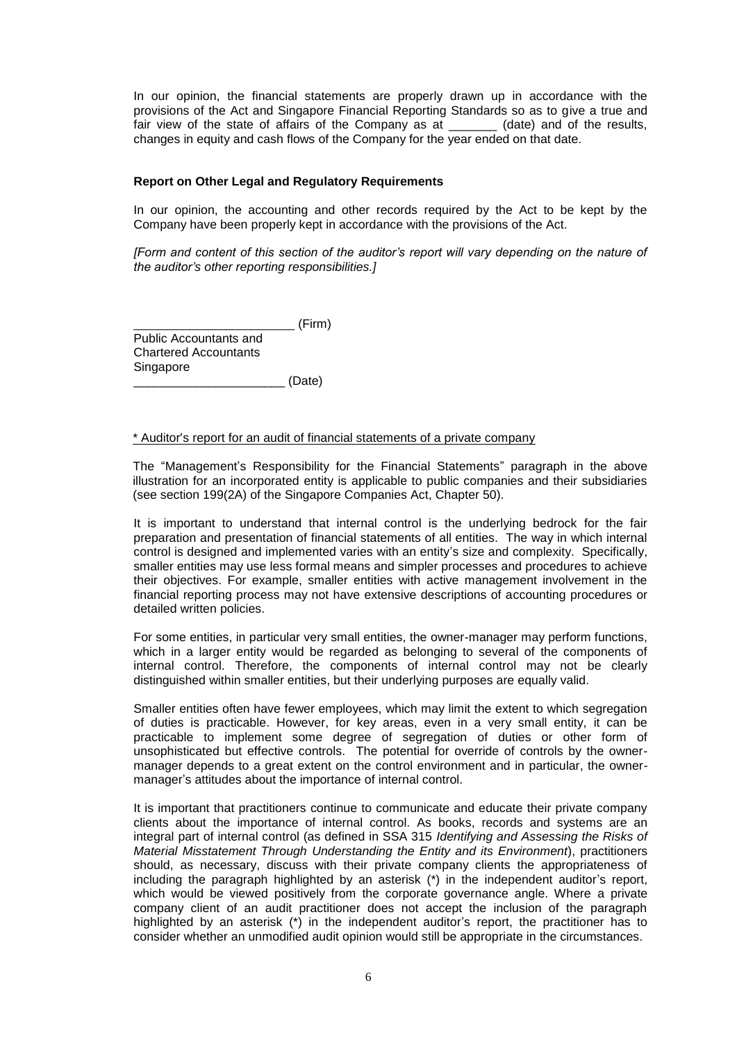In our opinion, the financial statements are properly drawn up in accordance with the provisions of the Act and Singapore Financial Reporting Standards so as to give a true and fair view of the state of affairs of the Company as at (date) and of the results, changes in equity and cash flows of the Company for the year ended on that date.

#### **Report on Other Legal and Regulatory Requirements**

In our opinion, the accounting and other records required by the Act to be kept by the Company have been properly kept in accordance with the provisions of the Act.

*[Form and content of this section of the auditor's report will vary depending on the nature of the auditor's other reporting responsibilities.]*

 $(Firm)$ Public Accountants and Chartered Accountants Singapore

\_\_\_\_\_\_\_\_\_\_\_\_\_\_\_\_\_\_\_\_\_\_ (Date)

#### \* Auditor's report for an audit of financial statements of a private company

The "Management's Responsibility for the Financial Statements" paragraph in the above illustration for an incorporated entity is applicable to public companies and their subsidiaries (see section 199(2A) of the Singapore Companies Act, Chapter 50).

It is important to understand that internal control is the underlying bedrock for the fair preparation and presentation of financial statements of all entities. The way in which internal control is designed and implemented varies with an entity's size and complexity. Specifically, smaller entities may use less formal means and simpler processes and procedures to achieve their objectives. For example, smaller entities with active management involvement in the financial reporting process may not have extensive descriptions of accounting procedures or detailed written policies.

For some entities, in particular very small entities, the owner-manager may perform functions, which in a larger entity would be regarded as belonging to several of the components of internal control. Therefore, the components of internal control may not be clearly distinguished within smaller entities, but their underlying purposes are equally valid.

Smaller entities often have fewer employees, which may limit the extent to which segregation of duties is practicable. However, for key areas, even in a very small entity, it can be practicable to implement some degree of segregation of duties or other form of unsophisticated but effective controls. The potential for override of controls by the ownermanager depends to a great extent on the control environment and in particular, the ownermanager's attitudes about the importance of internal control.

It is important that practitioners continue to communicate and educate their private company clients about the importance of internal control. As books, records and systems are an integral part of internal control (as defined in SSA 315 *Identifying and Assessing the Risks of Material Misstatement Through Understanding the Entity and its Environment*), practitioners should, as necessary, discuss with their private company clients the appropriateness of including the paragraph highlighted by an asterisk (\*) in the independent auditor's report, which would be viewed positively from the corporate governance angle. Where a private company client of an audit practitioner does not accept the inclusion of the paragraph highlighted by an asterisk (\*) in the independent auditor's report, the practitioner has to consider whether an unmodified audit opinion would still be appropriate in the circumstances.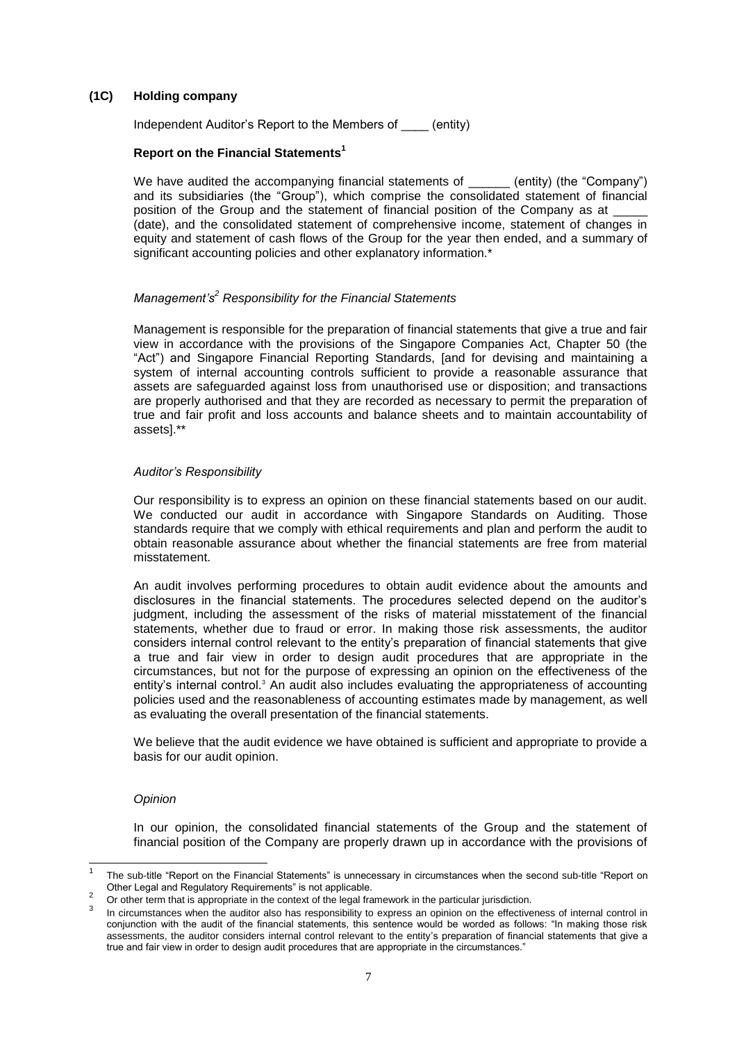#### **(1C) Holding company**

Independent Auditor's Report to the Members of \_\_\_\_ (entity)

### **Report on the Financial Statements<sup>1</sup>**

We have audited the accompanying financial statements of \_\_\_\_\_\_ (entity) (the "Company") and its subsidiaries (the "Group"), which comprise the consolidated statement of financial position of the Group and the statement of financial position of the Company as at (date), and the consolidated statement of comprehensive income, statement of changes in equity and statement of cash flows of the Group for the year then ended, and a summary of significant accounting policies and other explanatory information.<sup>\*</sup>

## *Management's<sup>2</sup> Responsibility for the Financial Statements*

Management is responsible for the preparation of financial statements that give a true and fair view in accordance with the provisions of the Singapore Companies Act, Chapter 50 (the "Act") and Singapore Financial Reporting Standards, [and for devising and maintaining a system of internal accounting controls sufficient to provide a reasonable assurance that assets are safeguarded against loss from unauthorised use or disposition; and transactions are properly authorised and that they are recorded as necessary to permit the preparation of true and fair profit and loss accounts and balance sheets and to maintain accountability of assets].\*\*

#### *Auditor's Responsibility*

Our responsibility is to express an opinion on these financial statements based on our audit. We conducted our audit in accordance with Singapore Standards on Auditing. Those standards require that we comply with ethical requirements and plan and perform the audit to obtain reasonable assurance about whether the financial statements are free from material misstatement.

An audit involves performing procedures to obtain audit evidence about the amounts and disclosures in the financial statements. The procedures selected depend on the auditor's judgment, including the assessment of the risks of material misstatement of the financial statements, whether due to fraud or error. In making those risk assessments, the auditor considers internal control relevant to the entity's preparation of financial statements that give a true and fair view in order to design audit procedures that are appropriate in the circumstances, but not for the purpose of expressing an opinion on the effectiveness of the entity's internal control.<sup>3</sup> An audit also includes evaluating the appropriateness of accounting policies used and the reasonableness of accounting estimates made by management, as well as evaluating the overall presentation of the financial statements.

We believe that the audit evidence we have obtained is sufficient and appropriate to provide a basis for our audit opinion.

#### *Opinion*

 $\overline{a}$ 

In our opinion, the consolidated financial statements of the Group and the statement of financial position of the Company are properly drawn up in accordance with the provisions of

<sup>1</sup> The sub-title "Report on the Financial Statements" is unnecessary in circumstances when the second sub-title "Report on Other Legal and Regulatory Requirements" is not applicable.

<sup>2</sup>Or other term that is appropriate in the context of the legal framework in the particular jurisdiction.

<sup>3</sup> In circumstances when the auditor also has responsibility to express an opinion on the effectiveness of internal control in conjunction with the audit of the financial statements, this sentence would be worded as follows: "In making those risk assessments, the auditor considers internal control relevant to the entity's preparation of financial statements that give a true and fair view in order to design audit procedures that are appropriate in the circumstances."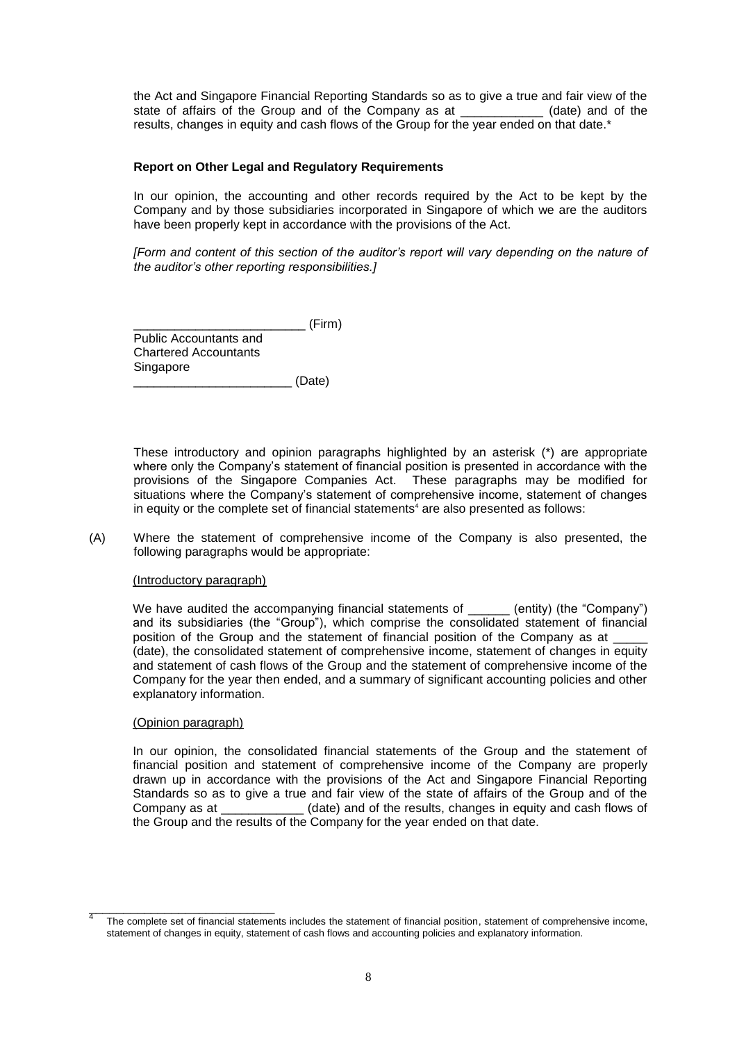the Act and Singapore Financial Reporting Standards so as to give a true and fair view of the state of affairs of the Group and of the Company as at (date) and of the results, changes in equity and cash flows of the Group for the year ended on that date.\*

#### **Report on Other Legal and Regulatory Requirements**

In our opinion, the accounting and other records required by the Act to be kept by the Company and by those subsidiaries incorporated in Singapore of which we are the auditors have been properly kept in accordance with the provisions of the Act.

*[Form and content of this section of the auditor's report will vary depending on the nature of the auditor's other reporting responsibilities.]*

 $(Firm)$ Public Accountants and Chartered Accountants Singapore \_\_\_\_\_\_\_\_\_\_\_\_\_\_\_\_\_\_\_\_\_\_\_ (Date)

These introductory and opinion paragraphs highlighted by an asterisk (\*) are appropriate where only the Company's statement of financial position is presented in accordance with the provisions of the Singapore Companies Act. These paragraphs may be modified for situations where the Company's statement of comprehensive income, statement of changes in equity or the complete set of financial statements<sup>4</sup> are also presented as follows:

(A) Where the statement of comprehensive income of the Company is also presented, the following paragraphs would be appropriate:

#### (Introductory paragraph)

We have audited the accompanying financial statements of \_\_\_\_\_\_ (entity) (the "Company") and its subsidiaries (the "Group"), which comprise the consolidated statement of financial position of the Group and the statement of financial position of the Company as at (date), the consolidated statement of comprehensive income, statement of changes in equity and statement of cash flows of the Group and the statement of comprehensive income of the Company for the year then ended, and a summary of significant accounting policies and other explanatory information.

#### (Opinion paragraph)

\_\_\_\_\_\_\_\_\_\_\_\_\_\_\_\_\_\_\_\_\_\_\_\_\_\_\_

In our opinion, the consolidated financial statements of the Group and the statement of financial position and statement of comprehensive income of the Company are properly drawn up in accordance with the provisions of the Act and Singapore Financial Reporting Standards so as to give a true and fair view of the state of affairs of the Group and of the Company as at \_\_\_\_\_\_\_\_\_\_\_\_ (date) and of the results, changes in equity and cash flows of the Group and the results of the Company for the year ended on that date.

<sup>4</sup> The complete set of financial statements includes the statement of financial position, statement of comprehensive income, statement of changes in equity, statement of cash flows and accounting policies and explanatory information.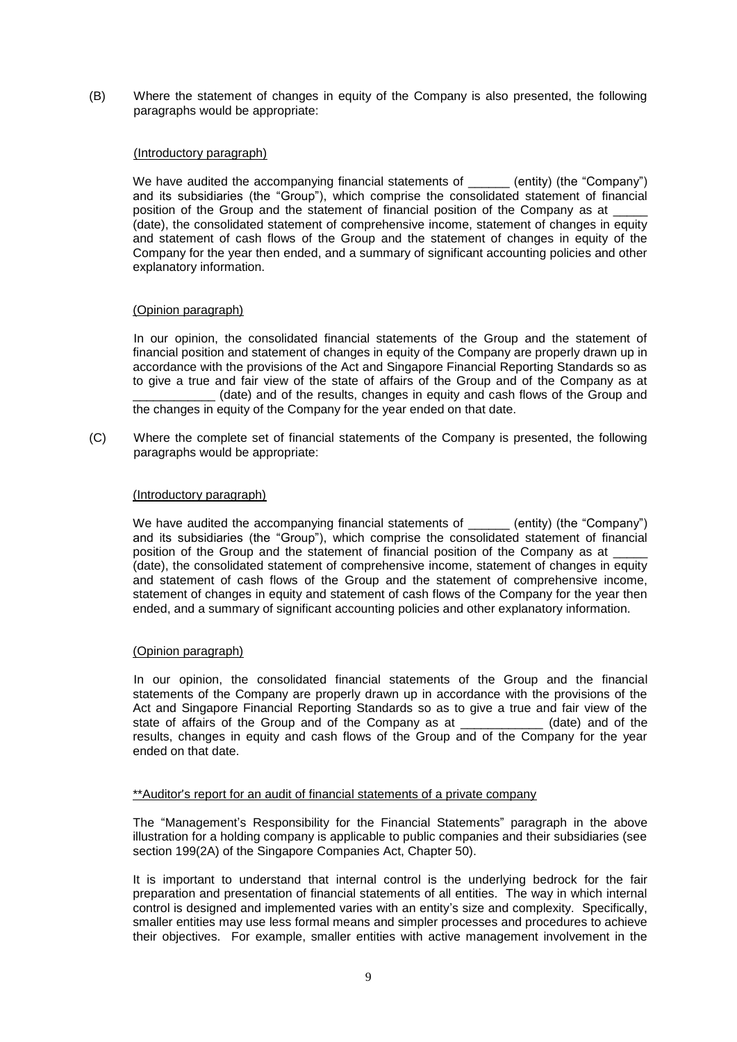(B) Where the statement of changes in equity of the Company is also presented, the following paragraphs would be appropriate:

#### (Introductory paragraph)

We have audited the accompanying financial statements of \_\_\_\_\_\_ (entity) (the "Company") and its subsidiaries (the "Group"), which comprise the consolidated statement of financial position of the Group and the statement of financial position of the Company as at (date), the consolidated statement of comprehensive income, statement of changes in equity and statement of cash flows of the Group and the statement of changes in equity of the Company for the year then ended, and a summary of significant accounting policies and other explanatory information.

#### (Opinion paragraph)

In our opinion, the consolidated financial statements of the Group and the statement of financial position and statement of changes in equity of the Company are properly drawn up in accordance with the provisions of the Act and Singapore Financial Reporting Standards so as to give a true and fair view of the state of affairs of the Group and of the Company as at (date) and of the results, changes in equity and cash flows of the Group and the changes in equity of the Company for the year ended on that date.

(C) Where the complete set of financial statements of the Company is presented, the following paragraphs would be appropriate:

#### (Introductory paragraph)

We have audited the accompanying financial statements of (entity) (the "Company") and its subsidiaries (the "Group"), which comprise the consolidated statement of financial position of the Group and the statement of financial position of the Company as at (date), the consolidated statement of comprehensive income, statement of changes in equity and statement of cash flows of the Group and the statement of comprehensive income, statement of changes in equity and statement of cash flows of the Company for the year then ended, and a summary of significant accounting policies and other explanatory information.

#### (Opinion paragraph)

In our opinion, the consolidated financial statements of the Group and the financial statements of the Company are properly drawn up in accordance with the provisions of the Act and Singapore Financial Reporting Standards so as to give a true and fair view of the state of affairs of the Group and of the Company as at \_\_\_\_\_\_\_\_\_\_\_\_ (date) and of the results, changes in equity and cash flows of the Group and of the Company for the year ended on that date.

#### \*\*Auditor's report for an audit of financial statements of a private company

The "Management's Responsibility for the Financial Statements" paragraph in the above illustration for a holding company is applicable to public companies and their subsidiaries (see section 199(2A) of the Singapore Companies Act, Chapter 50).

It is important to understand that internal control is the underlying bedrock for the fair preparation and presentation of financial statements of all entities. The way in which internal control is designed and implemented varies with an entity's size and complexity. Specifically, smaller entities may use less formal means and simpler processes and procedures to achieve their objectives. For example, smaller entities with active management involvement in the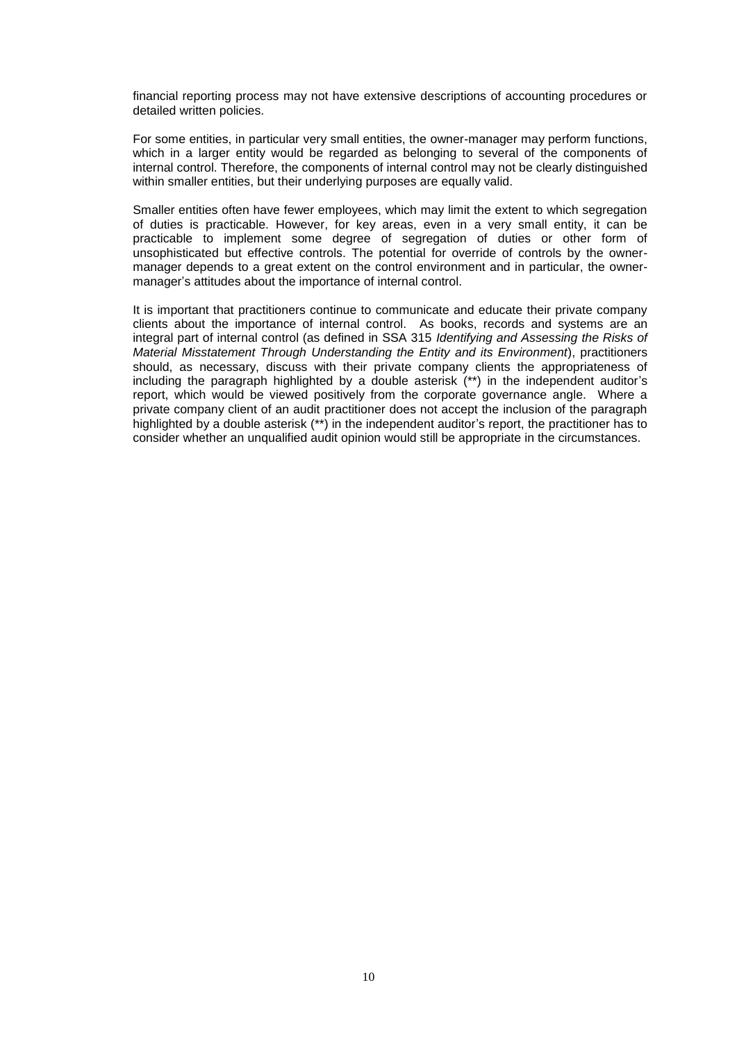financial reporting process may not have extensive descriptions of accounting procedures or detailed written policies.

For some entities, in particular very small entities, the owner-manager may perform functions, which in a larger entity would be regarded as belonging to several of the components of internal control. Therefore, the components of internal control may not be clearly distinguished within smaller entities, but their underlying purposes are equally valid.

Smaller entities often have fewer employees, which may limit the extent to which segregation of duties is practicable. However, for key areas, even in a very small entity, it can be practicable to implement some degree of segregation of duties or other form of unsophisticated but effective controls. The potential for override of controls by the ownermanager depends to a great extent on the control environment and in particular, the ownermanager's attitudes about the importance of internal control.

It is important that practitioners continue to communicate and educate their private company clients about the importance of internal control. As books, records and systems are an integral part of internal control (as defined in SSA 315 *Identifying and Assessing the Risks of Material Misstatement Through Understanding the Entity and its Environment*), practitioners should, as necessary, discuss with their private company clients the appropriateness of including the paragraph highlighted by a double asterisk (\*\*) in the independent auditor's report, which would be viewed positively from the corporate governance angle. Where a private company client of an audit practitioner does not accept the inclusion of the paragraph highlighted by a double asterisk (\*\*) in the independent auditor's report, the practitioner has to consider whether an unqualified audit opinion would still be appropriate in the circumstances.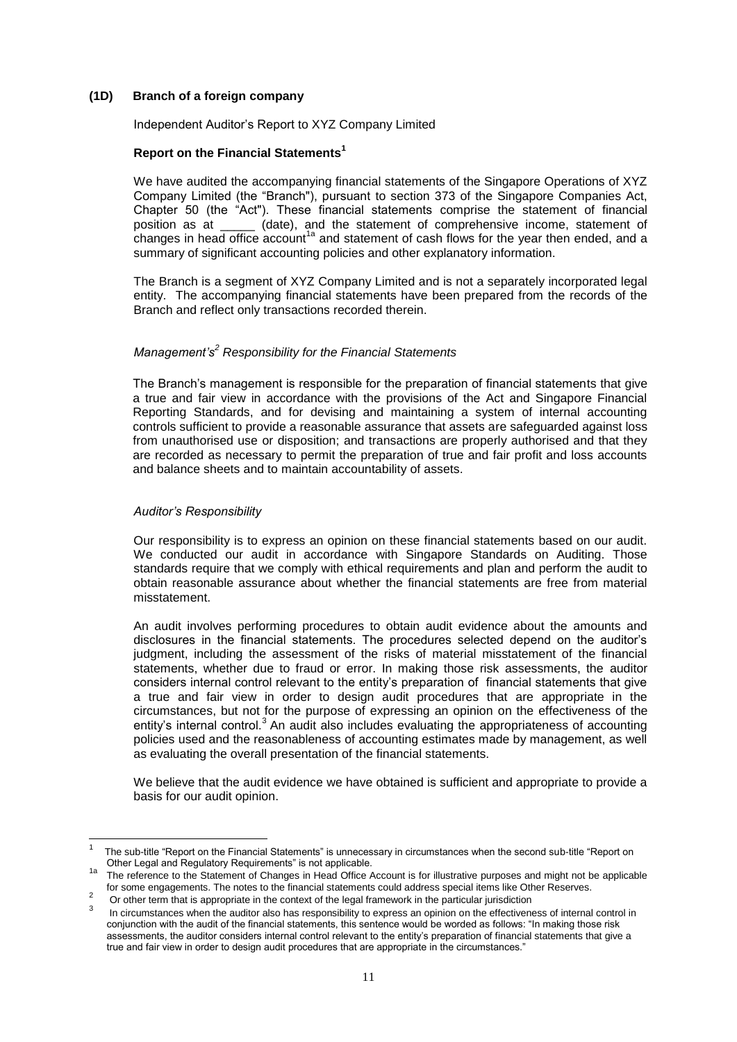#### **(1D) Branch of a foreign company**

Independent Auditor's Report to XYZ Company Limited

### **Report on the Financial Statements<sup>1</sup>**

We have audited the accompanying financial statements of the Singapore Operations of XYZ Company Limited (the "Branch"), pursuant to section 373 of the Singapore Companies Act, Chapter 50 (the "Act"). These financial statements comprise the statement of financial position as at \_\_\_\_\_ (date), and the statement of comprehensive income, statement of changes in head office account<sup>1a</sup> and statement of cash flows for the year then ended, and a summary of significant accounting policies and other explanatory information.

The Branch is a segment of XYZ Company Limited and is not a separately incorporated legal entity. The accompanying financial statements have been prepared from the records of the Branch and reflect only transactions recorded therein.

#### *Management's<sup>2</sup> Responsibility for the Financial Statements*

The Branch's management is responsible for the preparation of financial statements that give a true and fair view in accordance with the provisions of the Act and Singapore Financial Reporting Standards, and for devising and maintaining a system of internal accounting controls sufficient to provide a reasonable assurance that assets are safeguarded against loss from unauthorised use or disposition; and transactions are properly authorised and that they are recorded as necessary to permit the preparation of true and fair profit and loss accounts and balance sheets and to maintain accountability of assets.

#### *Auditor's Responsibility*

1

Our responsibility is to express an opinion on these financial statements based on our audit. We conducted our audit in accordance with Singapore Standards on Auditing. Those standards require that we comply with ethical requirements and plan and perform the audit to obtain reasonable assurance about whether the financial statements are free from material misstatement.

An audit involves performing procedures to obtain audit evidence about the amounts and disclosures in the financial statements. The procedures selected depend on the auditor's judgment, including the assessment of the risks of material misstatement of the financial statements, whether due to fraud or error. In making those risk assessments, the auditor considers internal control relevant to the entity's preparation of financial statements that give a true and fair view in order to design audit procedures that are appropriate in the circumstances, but not for the purpose of expressing an opinion on the effectiveness of the entity's internal control.<sup>3</sup> An audit also includes evaluating the appropriateness of accounting policies used and the reasonableness of accounting estimates made by management, as well as evaluating the overall presentation of the financial statements.

We believe that the audit evidence we have obtained is sufficient and appropriate to provide a basis for our audit opinion.

<sup>1</sup> The sub-title "Report on the Financial Statements" is unnecessary in circumstances when the second sub-title "Report on Other Legal and Regulatory Requirements" is not applicable.

<sup>1</sup>a The reference to the Statement of Changes in Head Office Account is for illustrative purposes and might not be applicable for some engagements. The notes to the financial statements could address special items like Other Reserves.  $\mathfrak{p}$ 

Or other term that is appropriate in the context of the legal framework in the particular jurisdiction

<sup>3</sup> In circumstances when the auditor also has responsibility to express an opinion on the effectiveness of internal control in conjunction with the audit of the financial statements, this sentence would be worded as follows: "In making those risk assessments, the auditor considers internal control relevant to the entity's preparation of financial statements that give a true and fair view in order to design audit procedures that are appropriate in the circumstances."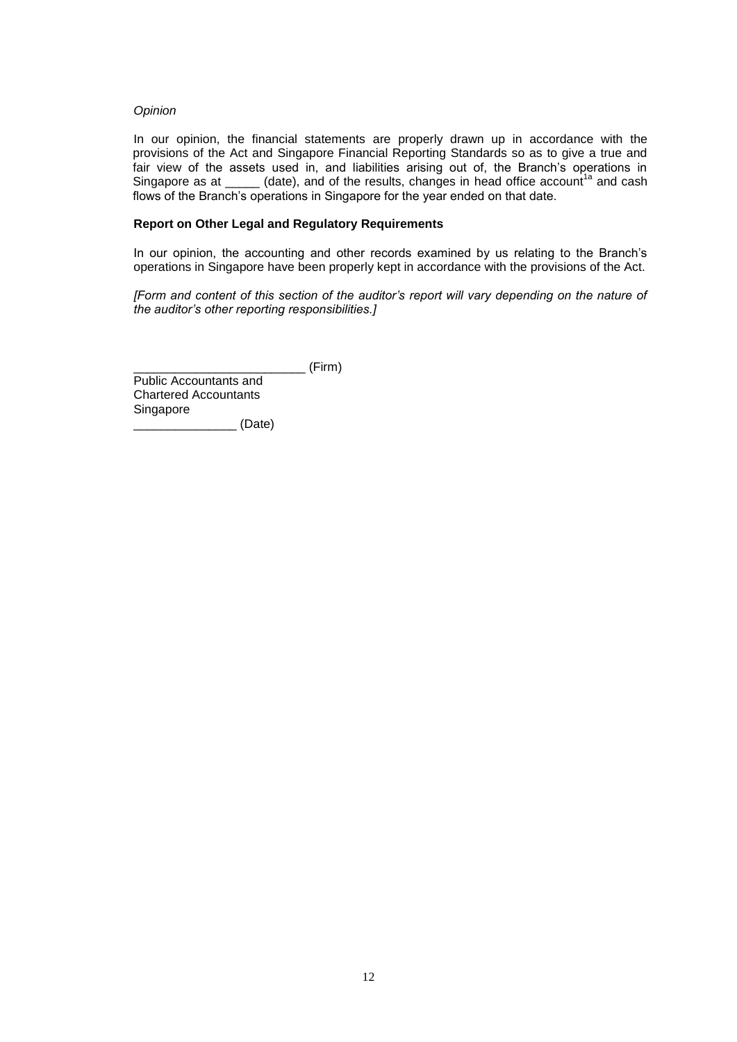#### *Opinion*

In our opinion, the financial statements are properly drawn up in accordance with the provisions of the Act and Singapore Financial Reporting Standards so as to give a true and fair view of the assets used in, and liabilities arising out of, the Branch's operations in Singapore as at  $\frac{1}{1}$  (date), and of the results, changes in head office account<sup>1a</sup> and cash flows of the Branch's operations in Singapore for the year ended on that date.

#### **Report on Other Legal and Regulatory Requirements**

In our opinion, the accounting and other records examined by us relating to the Branch's operations in Singapore have been properly kept in accordance with the provisions of the Act.

*[Form and content of this section of the auditor's report will vary depending on the nature of the auditor's other reporting responsibilities.]*

 $(Firm)$ Public Accountants and Chartered Accountants Singapore \_\_\_\_\_\_\_\_\_\_\_\_\_\_\_ (Date)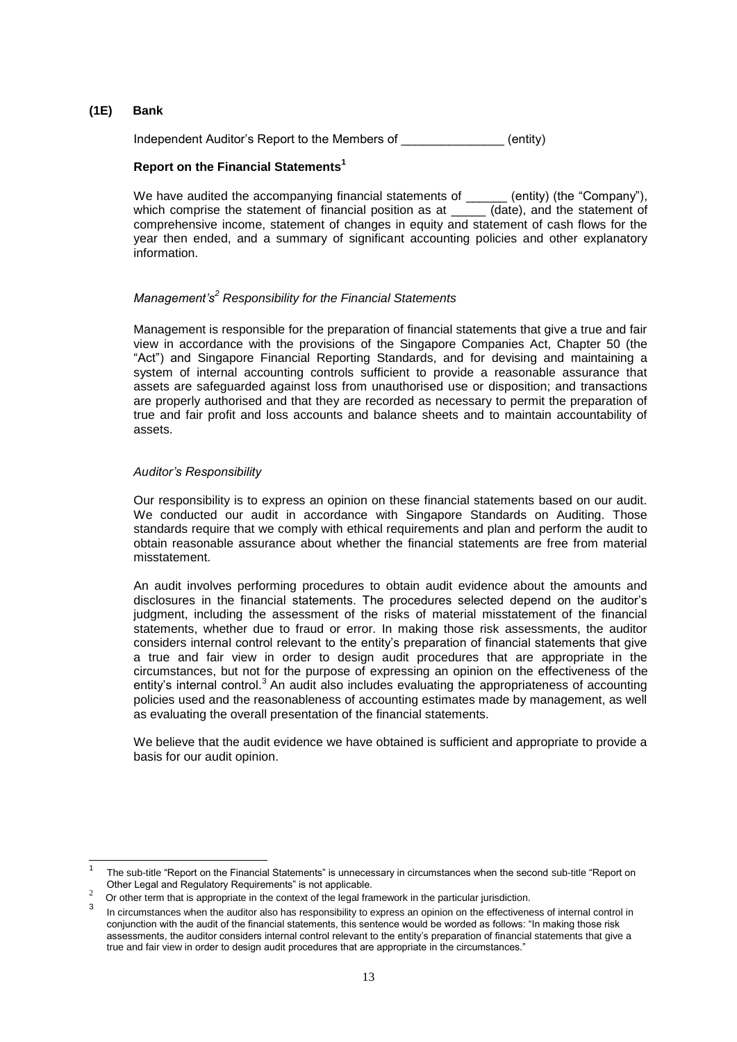#### **(1E) Bank**

-

Independent Auditor's Report to the Members of \_\_\_\_\_\_\_\_\_\_\_\_\_\_\_ (entity)

### **Report on the Financial Statements<sup>1</sup>**

We have audited the accompanying financial statements of \_\_\_\_\_\_ (entity) (the "Company"), which comprise the statement of financial position as at \_\_\_\_\_ (date), and the statement of comprehensive income, statement of changes in equity and statement of cash flows for the year then ended, and a summary of significant accounting policies and other explanatory information.

## *Management's<sup>2</sup> Responsibility for the Financial Statements*

Management is responsible for the preparation of financial statements that give a true and fair view in accordance with the provisions of the Singapore Companies Act, Chapter 50 (the "Act") and Singapore Financial Reporting Standards, and for devising and maintaining a system of internal accounting controls sufficient to provide a reasonable assurance that assets are safeguarded against loss from unauthorised use or disposition; and transactions are properly authorised and that they are recorded as necessary to permit the preparation of true and fair profit and loss accounts and balance sheets and to maintain accountability of assets.

#### *Auditor's Responsibility*

Our responsibility is to express an opinion on these financial statements based on our audit. We conducted our audit in accordance with Singapore Standards on Auditing. Those standards require that we comply with ethical requirements and plan and perform the audit to obtain reasonable assurance about whether the financial statements are free from material misstatement.

An audit involves performing procedures to obtain audit evidence about the amounts and disclosures in the financial statements. The procedures selected depend on the auditor's judgment, including the assessment of the risks of material misstatement of the financial statements, whether due to fraud or error. In making those risk assessments, the auditor considers internal control relevant to the entity's preparation of financial statements that give a true and fair view in order to design audit procedures that are appropriate in the circumstances, but not for the purpose of expressing an opinion on the effectiveness of the entity's internal control.<sup>3</sup> An audit also includes evaluating the appropriateness of accounting policies used and the reasonableness of accounting estimates made by management, as well as evaluating the overall presentation of the financial statements.

We believe that the audit evidence we have obtained is sufficient and appropriate to provide a basis for our audit opinion.

<sup>1</sup>  The sub-title "Report on the Financial Statements" is unnecessary in circumstances when the second sub-title "Report on Other Legal and Regulatory Requirements" is not applicable.

<sup>2</sup> Or other term that is appropriate in the context of the legal framework in the particular jurisdiction.

<sup>3</sup> In circumstances when the auditor also has responsibility to express an opinion on the effectiveness of internal control in conjunction with the audit of the financial statements, this sentence would be worded as follows: "In making those risk assessments, the auditor considers internal control relevant to the entity's preparation of financial statements that give a true and fair view in order to design audit procedures that are appropriate in the circumstances."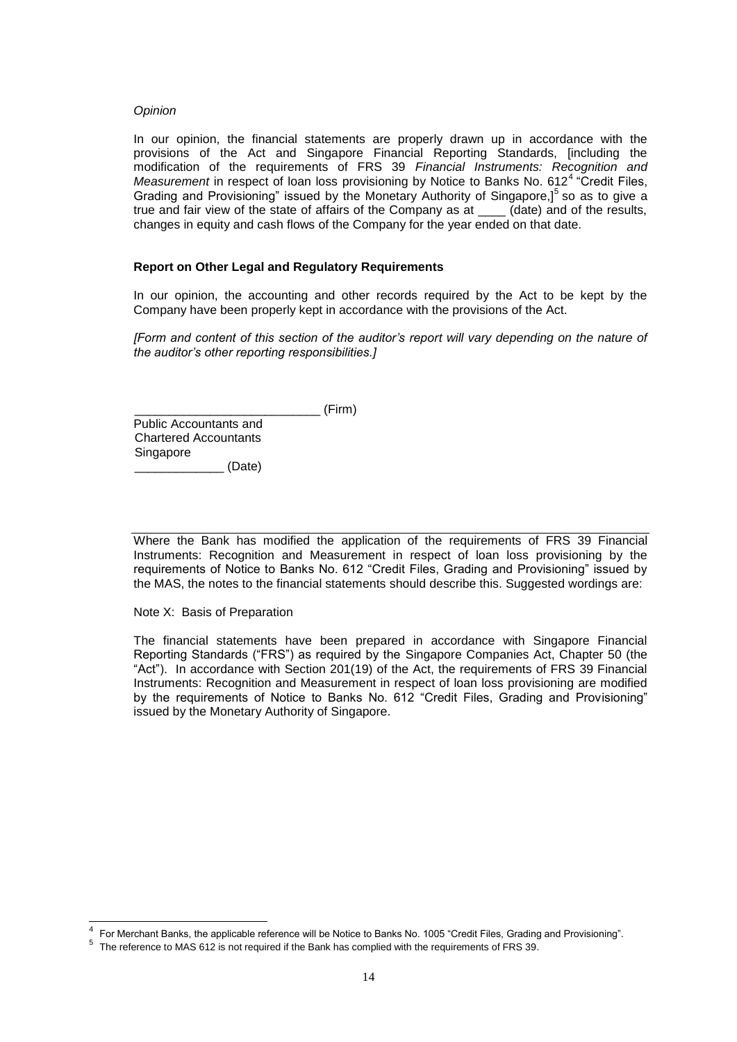#### *Opinion*

In our opinion, the financial statements are properly drawn up in accordance with the provisions of the Act and Singapore Financial Reporting Standards, [including the modification of the requirements of FRS 39 *Financial Instruments: Recognition and*  Measurement in respect of loan loss provisioning by Notice to Banks No. 612<sup>4</sup> "Credit Files, Grading and Provisioning" issued by the Monetary Authority of Singapore, $J^5$  so as to give a true and fair view of the state of affairs of the Company as at \_\_\_\_ (date) and of the results, changes in equity and cash flows of the Company for the year ended on that date.

#### **Report on Other Legal and Regulatory Requirements**

In our opinion, the accounting and other records required by the Act to be kept by the Company have been properly kept in accordance with the provisions of the Act.

*[Form and content of this section of the auditor's report will vary depending on the nature of the auditor's other reporting responsibilities.]*

 $(Firm)$ 

Public Accountants and Chartered Accountants Singapore \_\_\_\_\_\_\_\_\_\_\_\_\_ (Date)

Where the Bank has modified the application of the requirements of FRS 39 Financial Instruments: Recognition and Measurement in respect of loan loss provisioning by the requirements of Notice to Banks No. 612 "Credit Files, Grading and Provisioning" issued by the MAS, the notes to the financial statements should describe this. Suggested wordings are:

Note X: Basis of Preparation

1

The financial statements have been prepared in accordance with Singapore Financial Reporting Standards ("FRS") as required by the Singapore Companies Act, Chapter 50 (the "Act"). In accordance with Section 201(19) of the Act, the requirements of FRS 39 Financial Instruments: Recognition and Measurement in respect of loan loss provisioning are modified by the requirements of Notice to Banks No. 612 "Credit Files, Grading and Provisioning" issued by the Monetary Authority of Singapore.

<sup>4</sup>For Merchant Banks, the applicable reference will be Notice to Banks No. 1005 "Credit Files, Grading and Provisioning".

<sup>5</sup> The reference to MAS 612 is not required if the Bank has complied with the requirements of FRS 39.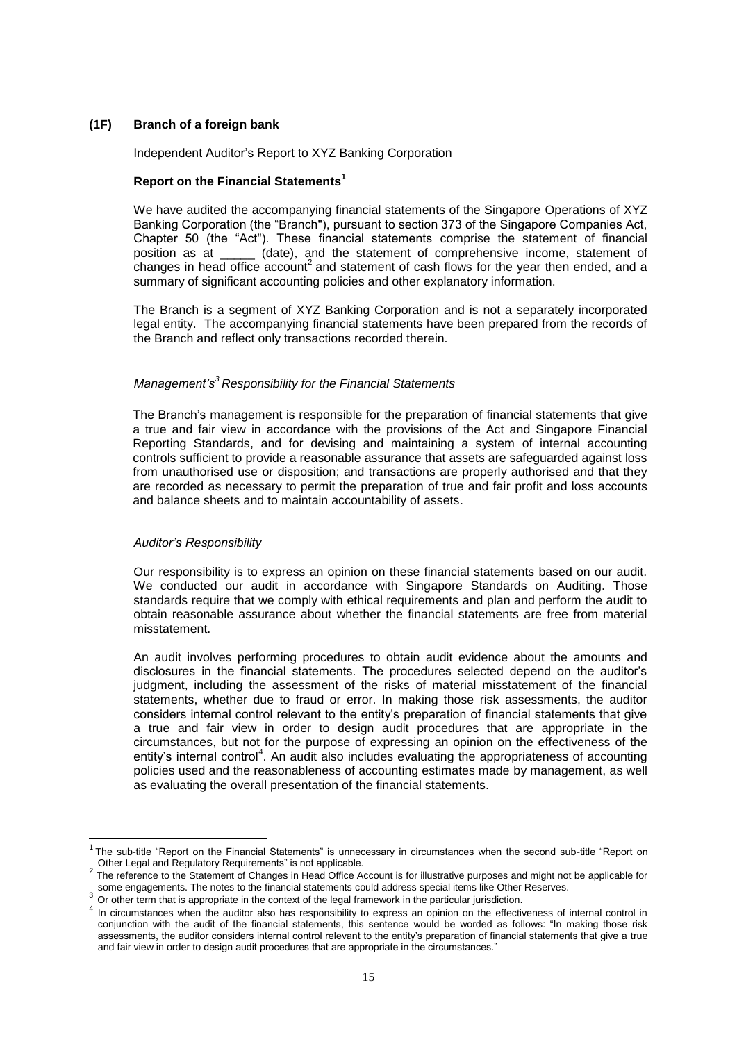### **(1F) Branch of a foreign bank**

Independent Auditor's Report to XYZ Banking Corporation

#### **Report on the Financial Statements<sup>1</sup>**

We have audited the accompanying financial statements of the Singapore Operations of XYZ Banking Corporation (the "Branch"), pursuant to section 373 of the Singapore Companies Act, Chapter 50 (the "Act"). These financial statements comprise the statement of financial position as at \_\_\_\_\_ (date), and the statement of comprehensive income, statement of changes in head office account<sup>2</sup> and statement of cash flows for the year then ended, and a summary of significant accounting policies and other explanatory information.

The Branch is a segment of XYZ Banking Corporation and is not a separately incorporated legal entity. The accompanying financial statements have been prepared from the records of the Branch and reflect only transactions recorded therein.

#### *Management's<sup>3</sup> Responsibility for the Financial Statements*

The Branch's management is responsible for the preparation of financial statements that give a true and fair view in accordance with the provisions of the Act and Singapore Financial Reporting Standards, and for devising and maintaining a system of internal accounting controls sufficient to provide a reasonable assurance that assets are safeguarded against loss from unauthorised use or disposition; and transactions are properly authorised and that they are recorded as necessary to permit the preparation of true and fair profit and loss accounts and balance sheets and to maintain accountability of assets.

#### *Auditor's Responsibility*

1

Our responsibility is to express an opinion on these financial statements based on our audit. We conducted our audit in accordance with Singapore Standards on Auditing. Those standards require that we comply with ethical requirements and plan and perform the audit to obtain reasonable assurance about whether the financial statements are free from material misstatement.

An audit involves performing procedures to obtain audit evidence about the amounts and disclosures in the financial statements. The procedures selected depend on the auditor's judgment, including the assessment of the risks of material misstatement of the financial statements, whether due to fraud or error. In making those risk assessments, the auditor considers internal control relevant to the entity's preparation of financial statements that give a true and fair view in order to design audit procedures that are appropriate in the circumstances, but not for the purpose of expressing an opinion on the effectiveness of the entity's internal control<sup>4</sup>. An audit also includes evaluating the appropriateness of accounting policies used and the reasonableness of accounting estimates made by management, as well as evaluating the overall presentation of the financial statements.

<sup>&</sup>lt;sup>1</sup> The sub-title "Report on the Financial Statements" is unnecessary in circumstances when the second sub-title "Report on Other Legal and Regulatory Requirements" is not applicable.

<sup>&</sup>lt;sup>2</sup> The reference to the Statement of Changes in Head Office Account is for illustrative purposes and might not be applicable for some engagements. The notes to the financial statements could address special items like Other Reserves.

<sup>&</sup>lt;sup>3</sup> Or other term that is appropriate in the context of the legal framework in the particular jurisdiction.

<sup>&</sup>lt;sup>4</sup> In circumstances when the auditor also has responsibility to express an opinion on the effectiveness of internal control in conjunction with the audit of the financial statements, this sentence would be worded as follows: "In making those risk assessments, the auditor considers internal control relevant to the entity's preparation of financial statements that give a true and fair view in order to design audit procedures that are appropriate in the circumstances."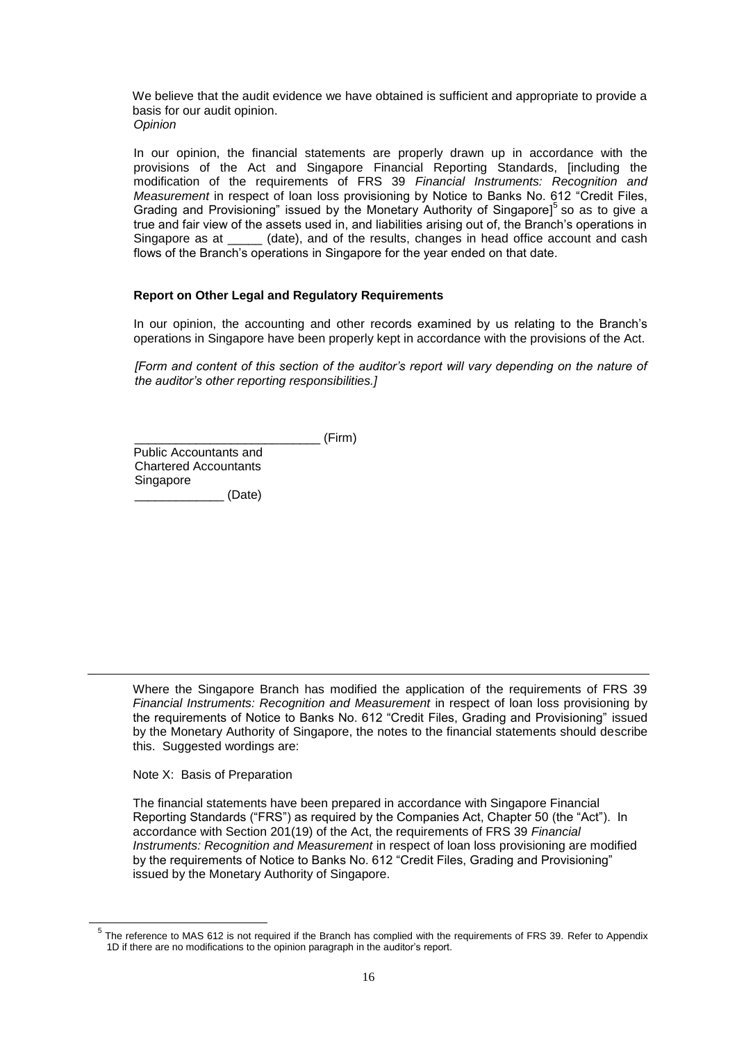We believe that the audit evidence we have obtained is sufficient and appropriate to provide a basis for our audit opinion. *Opinion*

In our opinion, the financial statements are properly drawn up in accordance with the provisions of the Act and Singapore Financial Reporting Standards, [including the modification of the requirements of FRS 39 *Financial Instruments: Recognition and Measurement* in respect of loan loss provisioning by Notice to Banks No. 612 "Credit Files, Grading and Provisioning" issued by the Monetary Authority of Singapore]<sup>5</sup> so as to give a true and fair view of the assets used in, and liabilities arising out of, the Branch's operations in Singapore as at \_\_\_\_\_ (date), and of the results, changes in head office account and cash flows of the Branch's operations in Singapore for the year ended on that date.

#### **Report on Other Legal and Regulatory Requirements**

In our opinion, the accounting and other records examined by us relating to the Branch's operations in Singapore have been properly kept in accordance with the provisions of the Act.

*[Form and content of this section of the auditor's report will vary depending on the nature of the auditor's other reporting responsibilities.]*

|                               | (Firm) |
|-------------------------------|--------|
| <b>Public Accountants and</b> |        |
| <b>Chartered Accountants</b>  |        |
| Singapore                     |        |
| (Date)                        |        |

Where the Singapore Branch has modified the application of the requirements of FRS 39 *Financial Instruments: Recognition and Measurement* in respect of loan loss provisioning by the requirements of Notice to Banks No. 612 "Credit Files, Grading and Provisioning" issued by the Monetary Authority of Singapore, the notes to the financial statements should describe this. Suggested wordings are:

Note X: Basis of Preparation

-

The financial statements have been prepared in accordance with Singapore Financial Reporting Standards ("FRS") as required by the Companies Act, Chapter 50 (the "Act"). In accordance with Section 201(19) of the Act, the requirements of FRS 39 *Financial Instruments: Recognition and Measurement* in respect of loan loss provisioning are modified by the requirements of Notice to Banks No. 612 "Credit Files, Grading and Provisioning" issued by the Monetary Authority of Singapore.

<sup>&</sup>lt;sup>5</sup> The reference to MAS 612 is not required if the Branch has complied with the requirements of FRS 39. Refer to Appendix 1D if there are no modifications to the opinion paragraph in the auditor's report.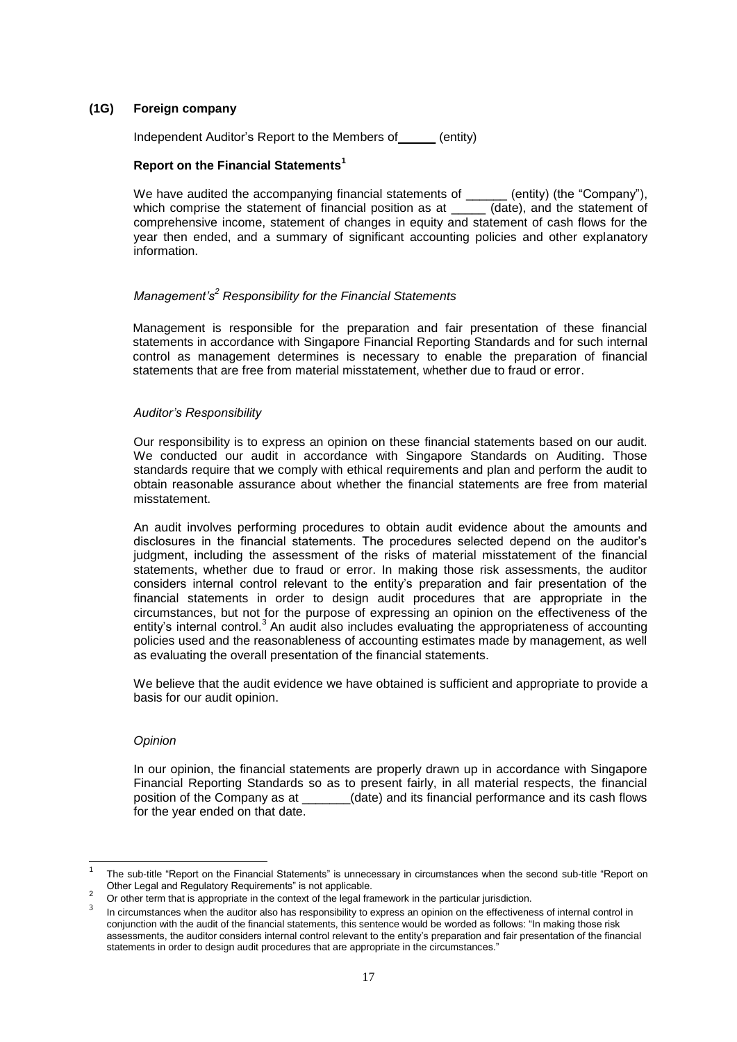#### **(1G) Foreign company**

Independent Auditor's Report to the Members of \_\_\_\_\_ (entity)

#### **Report on the Financial Statements<sup>1</sup>**

We have audited the accompanying financial statements of \_\_\_\_\_\_ (entity) (the "Company"), which comprise the statement of financial position as at \_\_\_\_\_\_ (date), and the statement of comprehensive income, statement of changes in equity and statement of cash flows for the year then ended, and a summary of significant accounting policies and other explanatory information.

## *Management's<sup>2</sup> Responsibility for the Financial Statements*

Management is responsible for the preparation and fair presentation of these financial statements in accordance with Singapore Financial Reporting Standards and for such internal control as management determines is necessary to enable the preparation of financial statements that are free from material misstatement, whether due to fraud or error.

#### *Auditor's Responsibility*

Our responsibility is to express an opinion on these financial statements based on our audit. We conducted our audit in accordance with Singapore Standards on Auditing. Those standards require that we comply with ethical requirements and plan and perform the audit to obtain reasonable assurance about whether the financial statements are free from material misstatement.

An audit involves performing procedures to obtain audit evidence about the amounts and disclosures in the financial statements. The procedures selected depend on the auditor's judgment, including the assessment of the risks of material misstatement of the financial statements, whether due to fraud or error. In making those risk assessments, the auditor considers internal control relevant to the entity's preparation and fair presentation of the financial statements in order to design audit procedures that are appropriate in the circumstances, but not for the purpose of expressing an opinion on the effectiveness of the entity's internal control.<sup>3</sup> An audit also includes evaluating the appropriateness of accounting policies used and the reasonableness of accounting estimates made by management, as well as evaluating the overall presentation of the financial statements.

We believe that the audit evidence we have obtained is sufficient and appropriate to provide a basis for our audit opinion.

#### *Opinion*

1

In our opinion, the financial statements are properly drawn up in accordance with Singapore Financial Reporting Standards so as to present fairly, in all material respects, the financial position of the Company as at \_\_\_\_\_\_\_(date) and its financial performance and its cash flows for the year ended on that date.

<sup>1</sup> The sub-title "Report on the Financial Statements" is unnecessary in circumstances when the second sub-title "Report on Other Legal and Regulatory Requirements" is not applicable.

<sup>2</sup> Or other term that is appropriate in the context of the legal framework in the particular jurisdiction.

<sup>3</sup> In circumstances when the auditor also has responsibility to express an opinion on the effectiveness of internal control in conjunction with the audit of the financial statements, this sentence would be worded as follows: "In making those risk assessments, the auditor considers internal control relevant to the entity's preparation and fair presentation of the financial statements in order to design audit procedures that are appropriate in the circumstances."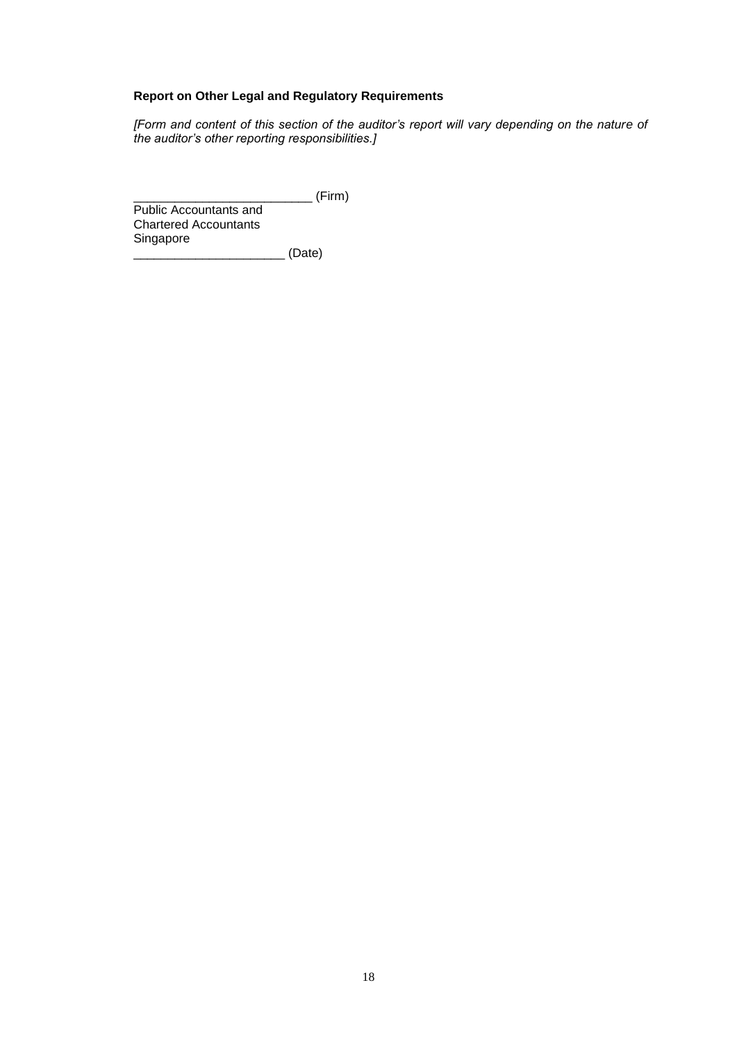## **Report on Other Legal and Regulatory Requirements**

*[Form and content of this section of the auditor's report will vary depending on the nature of the auditor's other reporting responsibilities.]*

 $\equiv$  (Firm) Public Accountants and Chartered Accountants Singapore \_\_\_\_\_\_\_\_\_\_\_\_\_\_\_\_\_\_\_\_\_\_ (Date)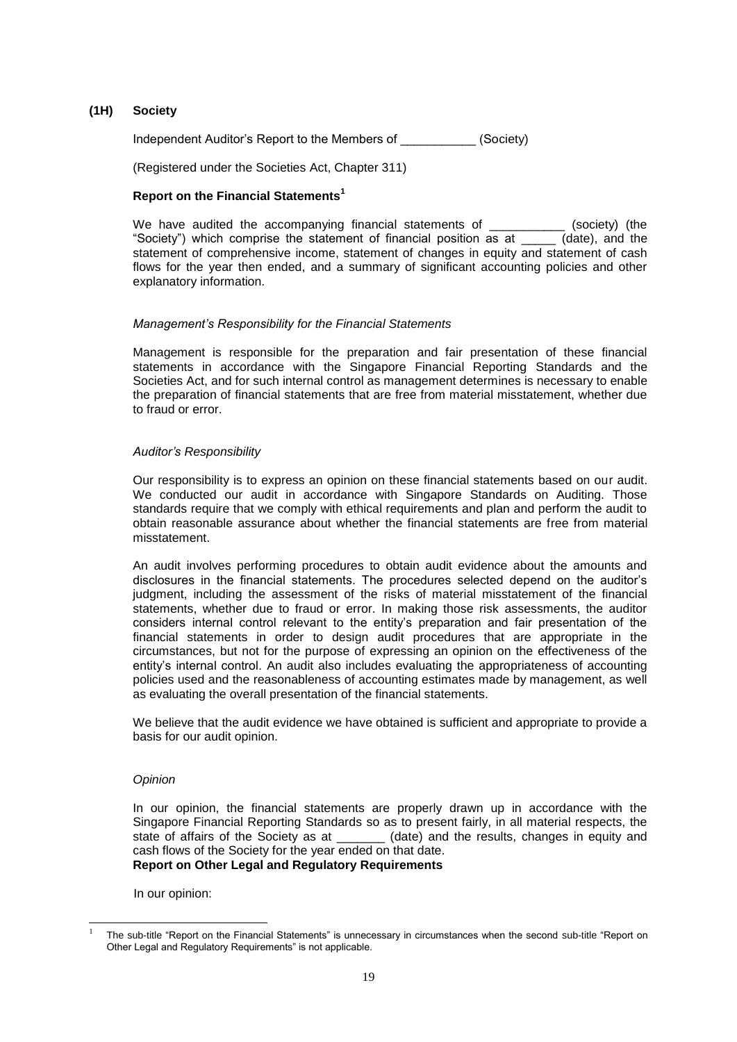## **(1H) Society**

Independent Auditor's Report to the Members of  $(Society)$ 

(Registered under the Societies Act, Chapter 311)

### **Report on the Financial Statements<sup>1</sup>**

We have audited the accompanying financial statements of  $\qquad \qquad$  (society) (the "Society") which comprise the statement of financial position as at \_\_\_\_\_ (date), and the statement of comprehensive income, statement of changes in equity and statement of cash flows for the year then ended, and a summary of significant accounting policies and other explanatory information.

#### *Management's Responsibility for the Financial Statements*

Management is responsible for the preparation and fair presentation of these financial statements in accordance with the Singapore Financial Reporting Standards and the Societies Act, and for such internal control as management determines is necessary to enable the preparation of financial statements that are free from material misstatement, whether due to fraud or error.

#### *Auditor's Responsibility*

Our responsibility is to express an opinion on these financial statements based on our audit. We conducted our audit in accordance with Singapore Standards on Auditing. Those standards require that we comply with ethical requirements and plan and perform the audit to obtain reasonable assurance about whether the financial statements are free from material misstatement.

An audit involves performing procedures to obtain audit evidence about the amounts and disclosures in the financial statements. The procedures selected depend on the auditor's judgment, including the assessment of the risks of material misstatement of the financial statements, whether due to fraud or error. In making those risk assessments, the auditor considers internal control relevant to the entity's preparation and fair presentation of the financial statements in order to design audit procedures that are appropriate in the circumstances, but not for the purpose of expressing an opinion on the effectiveness of the entity's internal control. An audit also includes evaluating the appropriateness of accounting policies used and the reasonableness of accounting estimates made by management, as well as evaluating the overall presentation of the financial statements.

We believe that the audit evidence we have obtained is sufficient and appropriate to provide a basis for our audit opinion.

#### *Opinion*

In our opinion, the financial statements are properly drawn up in accordance with the Singapore Financial Reporting Standards so as to present fairly, in all material respects, the state of affairs of the Society as at \_\_\_\_\_\_\_ (date) and the results, changes in equity and cash flows of the Society for the year ended on that date. **Report on Other Legal and Regulatory Requirements**

In our opinion:

-

<sup>1</sup> The sub-title "Report on the Financial Statements" is unnecessary in circumstances when the second sub-title "Report on Other Legal and Regulatory Requirements" is not applicable.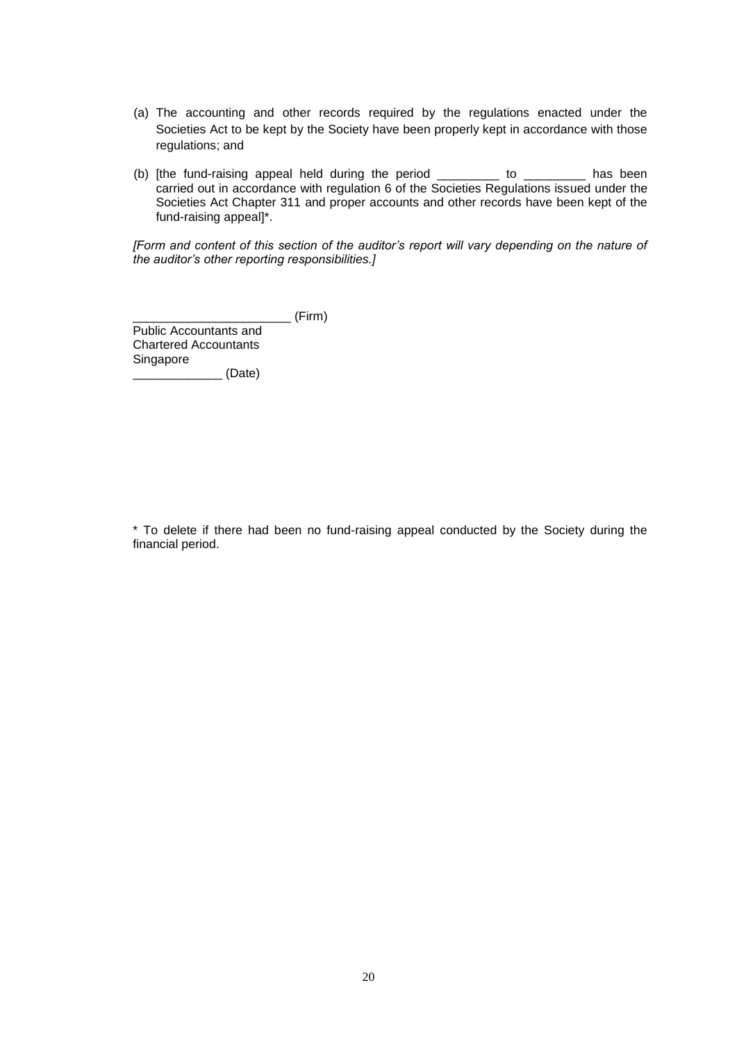- (a) The accounting and other records required by the regulations enacted under the Societies Act to be kept by the Society have been properly kept in accordance with those regulations; and
- (b) [the fund-raising appeal held during the period \_\_\_\_\_\_\_\_\_ to \_\_\_\_\_\_\_\_\_ has been carried out in accordance with regulation 6 of the Societies Regulations issued under the Societies Act Chapter 311 and proper accounts and other records have been kept of the fund-raising appeal]\*.

*[Form and content of this section of the auditor's report will vary depending on the nature of the auditor's other reporting responsibilities.]*

 $_{-}$  (Firm) Public Accountants and Chartered Accountants Singapore  $\Box$  (Date)

financial period.

\* To delete if there had been no fund-raising appeal conducted by the Society during the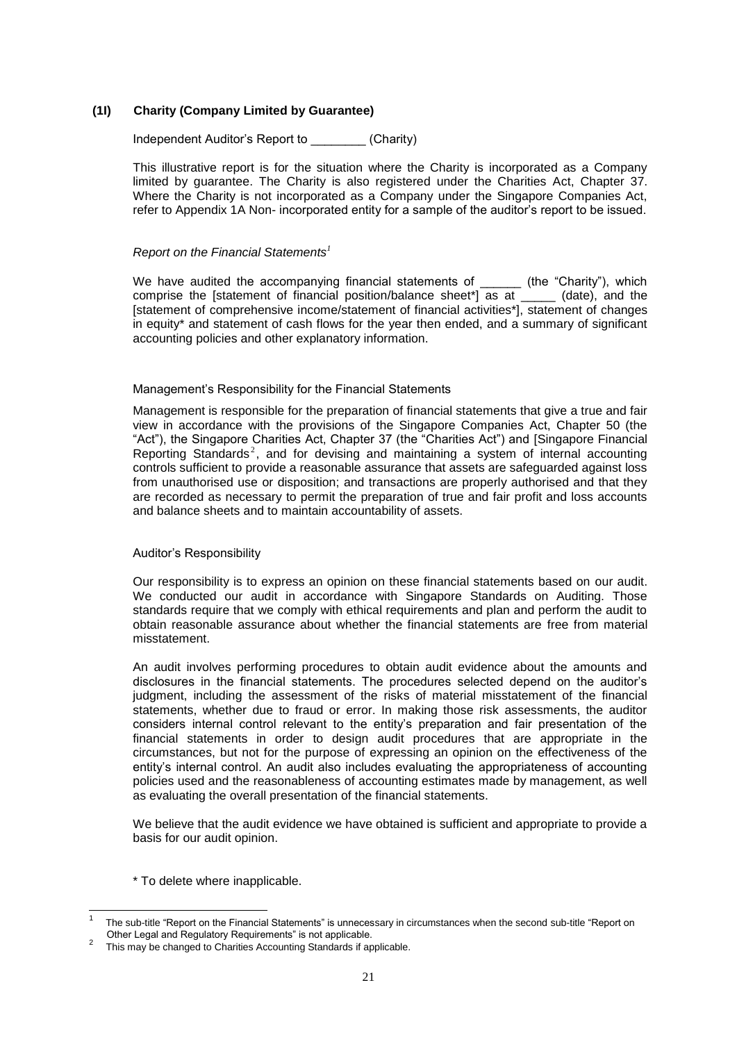## **(1I) Charity (Company Limited by Guarantee)**

Independent Auditor's Report to \_\_\_\_\_\_\_\_ (Charity)

This illustrative report is for the situation where the Charity is incorporated as a Company limited by guarantee. The Charity is also registered under the Charities Act, Chapter 37. Where the Charity is not incorporated as a Company under the Singapore Companies Act, refer to Appendix 1A Non- incorporated entity for a sample of the auditor's report to be issued.

#### *Report on the Financial Statements<sup>1</sup>*

We have audited the accompanying financial statements of \_\_\_\_\_\_ (the "Charity"), which comprise the [statement of financial position/balance sheet\*] as at \_\_\_\_\_ (date), and the [statement of comprehensive income/statement of financial activities\*], statement of changes in equity\* and statement of cash flows for the year then ended, and a summary of significant accounting policies and other explanatory information.

#### Management's Responsibility for the Financial Statements

Management is responsible for the preparation of financial statements that give a true and fair view in accordance with the provisions of the Singapore Companies Act, Chapter 50 (the "Act"), the Singapore Charities Act, Chapter 37 (the "Charities Act") and [Singapore Financial Reporting Standards<sup>2</sup>, and for devising and maintaining a system of internal accounting controls sufficient to provide a reasonable assurance that assets are safeguarded against loss from unauthorised use or disposition; and transactions are properly authorised and that they are recorded as necessary to permit the preparation of true and fair profit and loss accounts and balance sheets and to maintain accountability of assets.

#### Auditor's Responsibility

Our responsibility is to express an opinion on these financial statements based on our audit. We conducted our audit in accordance with Singapore Standards on Auditing. Those standards require that we comply with ethical requirements and plan and perform the audit to obtain reasonable assurance about whether the financial statements are free from material misstatement.

An audit involves performing procedures to obtain audit evidence about the amounts and disclosures in the financial statements. The procedures selected depend on the auditor's judgment, including the assessment of the risks of material misstatement of the financial statements, whether due to fraud or error. In making those risk assessments, the auditor considers internal control relevant to the entity's preparation and fair presentation of the financial statements in order to design audit procedures that are appropriate in the circumstances, but not for the purpose of expressing an opinion on the effectiveness of the entity's internal control. An audit also includes evaluating the appropriateness of accounting policies used and the reasonableness of accounting estimates made by management, as well as evaluating the overall presentation of the financial statements.

We believe that the audit evidence we have obtained is sufficient and appropriate to provide a basis for our audit opinion.

\* To delete where inapplicable.

 $\overline{a}$ <sup>1</sup> The sub-title "Report on the Financial Statements" is unnecessary in circumstances when the second sub-title "Report on Other Legal and Regulatory Requirements" is not applicable.

This may be changed to Charities Accounting Standards if applicable.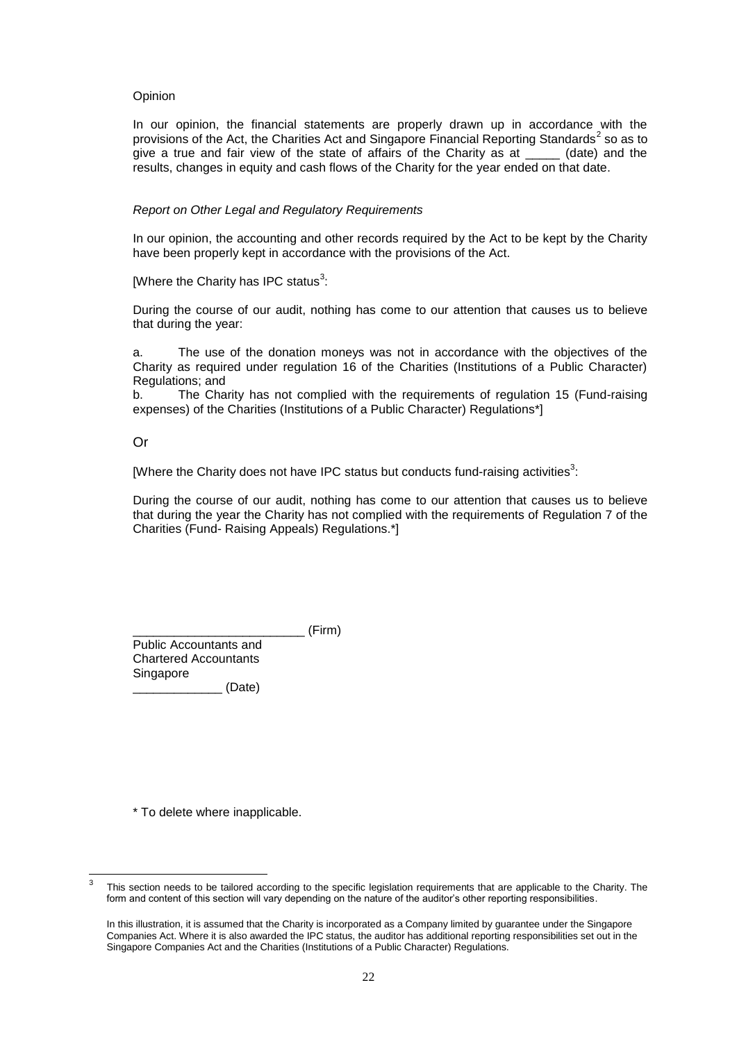#### **Opinion**

In our opinion, the financial statements are properly drawn up in accordance with the provisions of the Act, the Charities Act and Singapore Financial Reporting Standards<sup>2</sup> so as to give a true and fair view of the state of affairs of the Charity as at \_\_\_\_\_ (date) and the results, changes in equity and cash flows of the Charity for the year ended on that date.

### *Report on Other Legal and Regulatory Requirements*

In our opinion, the accounting and other records required by the Act to be kept by the Charity have been properly kept in accordance with the provisions of the Act.

[Where the Charity has IPC status<sup>3</sup>:

During the course of our audit, nothing has come to our attention that causes us to believe that during the year:

a. The use of the donation moneys was not in accordance with the objectives of the Charity as required under regulation 16 of the Charities (Institutions of a Public Character) Regulations; and

b. The Charity has not complied with the requirements of regulation 15 (Fund-raising expenses) of the Charities (Institutions of a Public Character) Regulations\*]

## Or

-

[Where the Charity does not have IPC status but conducts fund-raising activities<sup>3</sup>:

During the course of our audit, nothing has come to our attention that causes us to believe that during the year the Charity has not complied with the requirements of Regulation 7 of the Charities (Fund- Raising Appeals) Regulations.\*]

| <b>Public Accountants and</b> |
|-------------------------------|
| <b>Chartered Accountants</b>  |
| Singapore                     |
| (Date)                        |

 $(Firm)$ 

\* To delete where inapplicable.

<sup>3</sup> This section needs to be tailored according to the specific legislation requirements that are applicable to the Charity. The form and content of this section will vary depending on the nature of the auditor's other reporting responsibilities.

In this illustration, it is assumed that the Charity is incorporated as a Company limited by guarantee under the Singapore Companies Act. Where it is also awarded the IPC status, the auditor has additional reporting responsibilities set out in the Singapore Companies Act and the Charities (Institutions of a Public Character) Regulations.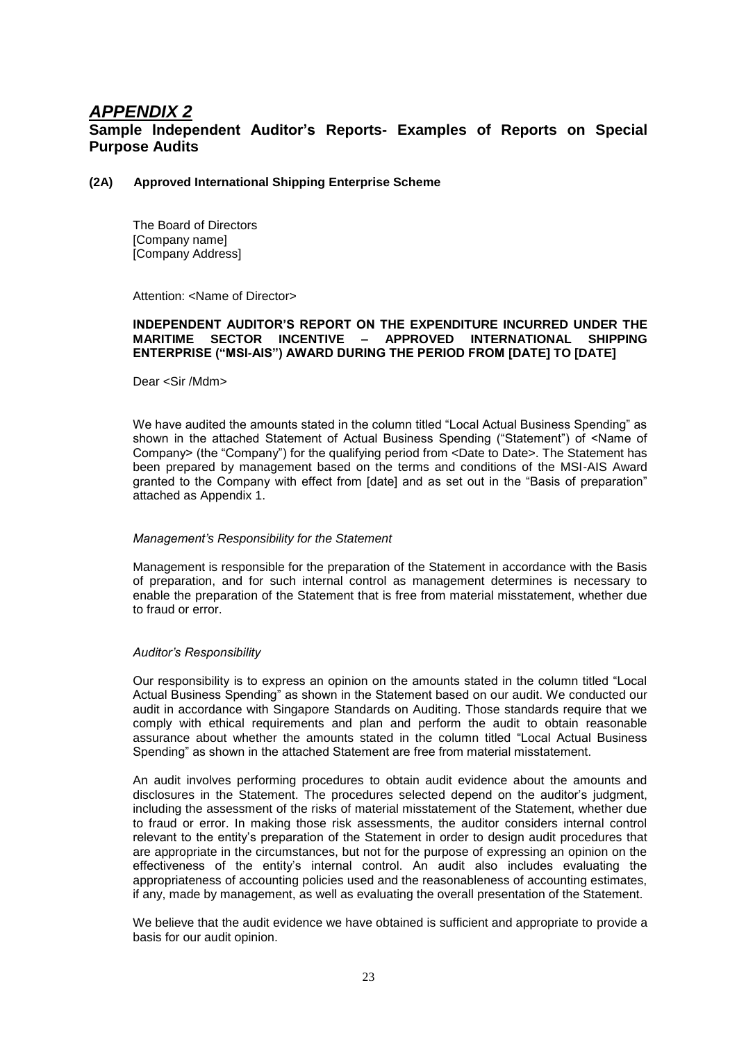## *APPENDIX 2*

## **Sample Independent Auditor's Reports- Examples of Reports on Special Purpose Audits**

#### **(2A) Approved International Shipping Enterprise Scheme**

The Board of Directors [Company name] [Company Address]

Attention: <Name of Director>

#### **INDEPENDENT AUDITOR'S REPORT ON THE EXPENDITURE INCURRED UNDER THE MARITIME SECTOR INCENTIVE – APPROVED INTERNATIONAL SHIPPING ENTERPRISE ("MSI-AIS") AWARD DURING THE PERIOD FROM [DATE] TO [DATE]**

Dear <Sir /Mdm>

We have audited the amounts stated in the column titled "Local Actual Business Spending" as shown in the attached Statement of Actual Business Spending ("Statement") of <Name of Company> (the "Company") for the qualifying period from <Date to Date>. The Statement has been prepared by management based on the terms and conditions of the MSI-AIS Award granted to the Company with effect from [date] and as set out in the "Basis of preparation" attached as Appendix 1.

#### *Management's Responsibility for the Statement*

Management is responsible for the preparation of the Statement in accordance with the Basis of preparation, and for such internal control as management determines is necessary to enable the preparation of the Statement that is free from material misstatement, whether due to fraud or error.

#### *Auditor's Responsibility*

Our responsibility is to express an opinion on the amounts stated in the column titled "Local Actual Business Spending" as shown in the Statement based on our audit. We conducted our audit in accordance with Singapore Standards on Auditing. Those standards require that we comply with ethical requirements and plan and perform the audit to obtain reasonable assurance about whether the amounts stated in the column titled "Local Actual Business Spending" as shown in the attached Statement are free from material misstatement.

An audit involves performing procedures to obtain audit evidence about the amounts and disclosures in the Statement. The procedures selected depend on the auditor's judgment, including the assessment of the risks of material misstatement of the Statement, whether due to fraud or error. In making those risk assessments, the auditor considers internal control relevant to the entity's preparation of the Statement in order to design audit procedures that are appropriate in the circumstances, but not for the purpose of expressing an opinion on the effectiveness of the entity's internal control. An audit also includes evaluating the appropriateness of accounting policies used and the reasonableness of accounting estimates, if any, made by management, as well as evaluating the overall presentation of the Statement.

We believe that the audit evidence we have obtained is sufficient and appropriate to provide a basis for our audit opinion.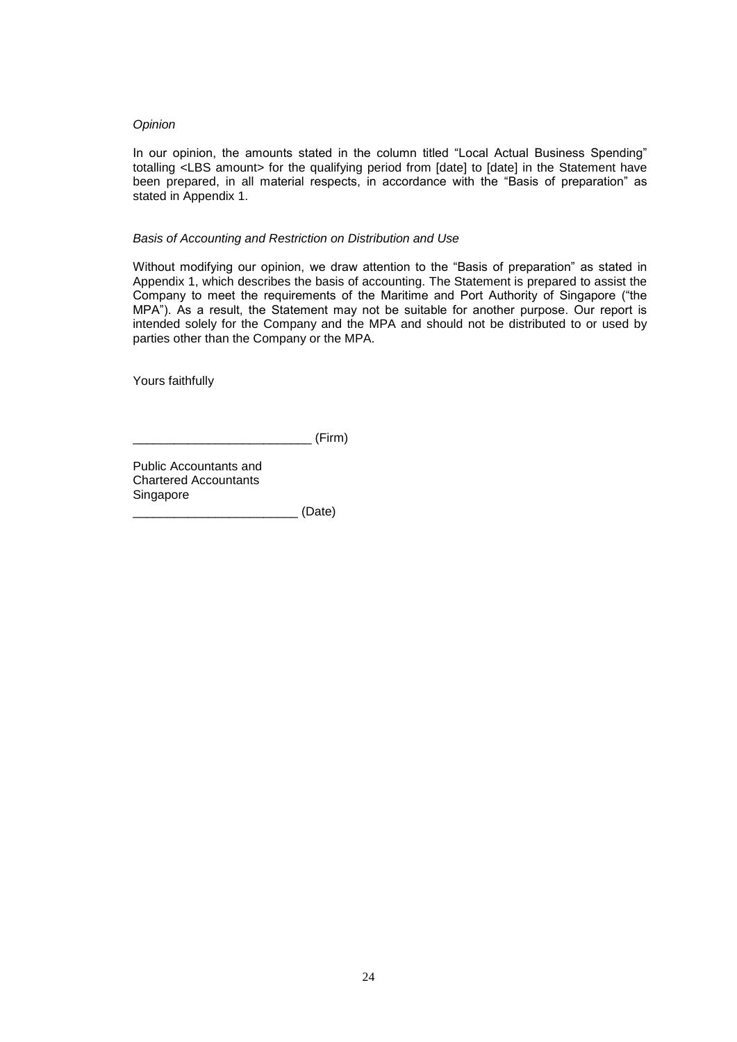#### *Opinion*

In our opinion, the amounts stated in the column titled "Local Actual Business Spending" totalling <LBS amount> for the qualifying period from [date] to [date] in the Statement have been prepared, in all material respects, in accordance with the "Basis of preparation" as stated in Appendix 1.

#### *Basis of Accounting and Restriction on Distribution and Use*

Without modifying our opinion, we draw attention to the "Basis of preparation" as stated in Appendix 1, which describes the basis of accounting. The Statement is prepared to assist the Company to meet the requirements of the Maritime and Port Authority of Singapore ("the MPA"). As a result, the Statement may not be suitable for another purpose. Our report is intended solely for the Company and the MPA and should not be distributed to or used by parties other than the Company or the MPA.

Yours faithfully

 $\_$  (Firm)

Public Accountants and Chartered Accountants **Singapore** 

\_\_\_\_\_\_\_\_\_\_\_\_\_\_\_\_\_\_\_\_\_\_\_\_ (Date)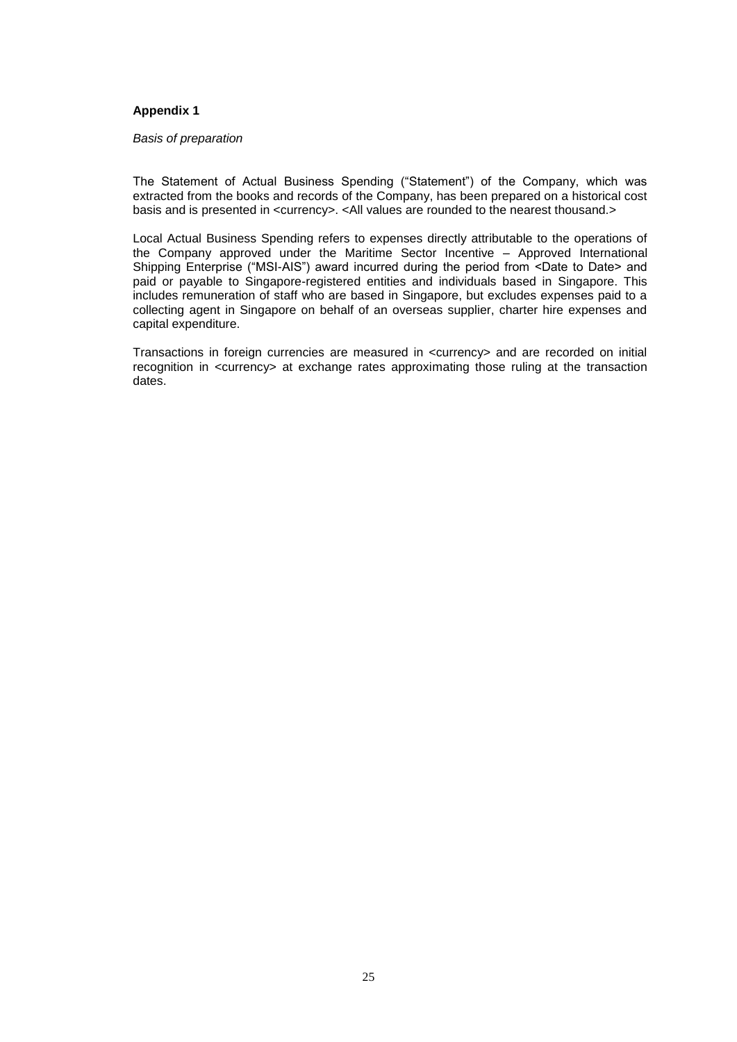#### **Appendix 1**

#### *Basis of preparation*

The Statement of Actual Business Spending ("Statement") of the Company, which was extracted from the books and records of the Company, has been prepared on a historical cost basis and is presented in <currency>. <All values are rounded to the nearest thousand.>

Local Actual Business Spending refers to expenses directly attributable to the operations of the Company approved under the Maritime Sector Incentive – Approved International Shipping Enterprise ("MSI-AIS") award incurred during the period from <Date to Date> and paid or payable to Singapore-registered entities and individuals based in Singapore. This includes remuneration of staff who are based in Singapore, but excludes expenses paid to a collecting agent in Singapore on behalf of an overseas supplier, charter hire expenses and capital expenditure.

Transactions in foreign currencies are measured in <currency> and are recorded on initial recognition in <currency> at exchange rates approximating those ruling at the transaction dates.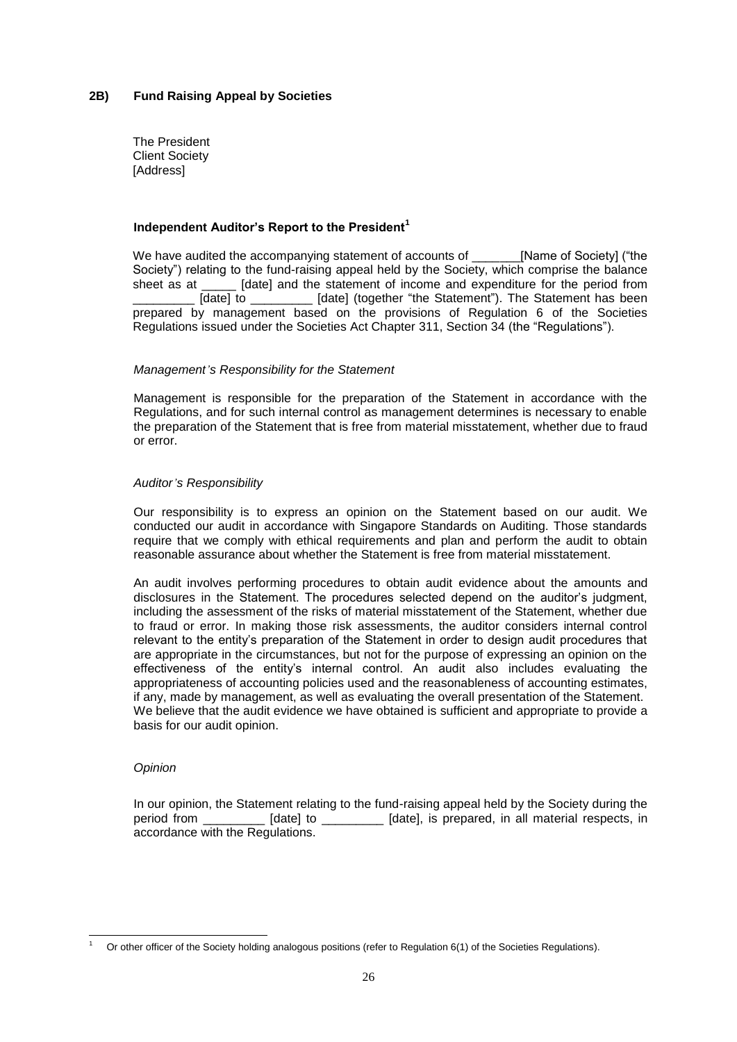#### **2B) Fund Raising Appeal by Societies**

The President Client Society [Address]

#### **Independent Auditor's Report to the President<sup>1</sup>**

We have audited the accompanying statement of accounts of \_\_\_\_\_\_\_ [Name of Society] ("the Society") relating to the fund-raising appeal held by the Society, which comprise the balance sheet as at \_\_\_\_\_ [date] and the statement of income and expenditure for the period from [date] to \_\_\_\_\_\_\_\_\_ [date] (together "the Statement"). The Statement has been prepared by management based on the provisions of Regulation 6 of the Societies Regulations issued under the Societies Act Chapter 311, Section 34 (the "Regulations").

#### *Management's Responsibility for the Statement*

Management is responsible for the preparation of the Statement in accordance with the Regulations, and for such internal control as management determines is necessary to enable the preparation of the Statement that is free from material misstatement, whether due to fraud or error.

#### *Auditor's Responsibility*

Our responsibility is to express an opinion on the Statement based on our audit. We conducted our audit in accordance with Singapore Standards on Auditing. Those standards require that we comply with ethical requirements and plan and perform the audit to obtain reasonable assurance about whether the Statement is free from material misstatement.

An audit involves performing procedures to obtain audit evidence about the amounts and disclosures in the Statement. The procedures selected depend on the auditor's judgment, including the assessment of the risks of material misstatement of the Statement, whether due to fraud or error. In making those risk assessments, the auditor considers internal control relevant to the entity's preparation of the Statement in order to design audit procedures that are appropriate in the circumstances, but not for the purpose of expressing an opinion on the effectiveness of the entity's internal control. An audit also includes evaluating the appropriateness of accounting policies used and the reasonableness of accounting estimates, if any, made by management, as well as evaluating the overall presentation of the Statement. We believe that the audit evidence we have obtained is sufficient and appropriate to provide a basis for our audit opinion.

## *Opinion*

-

In our opinion, the Statement relating to the fund-raising appeal held by the Society during the period from \_\_\_\_\_\_\_\_\_ [date] to \_\_\_\_\_\_\_\_\_ [date], is prepared, in all material respects, in accordance with the Regulations.

Or other officer of the Society holding analogous positions (refer to Regulation 6(1) of the Societies Regulations).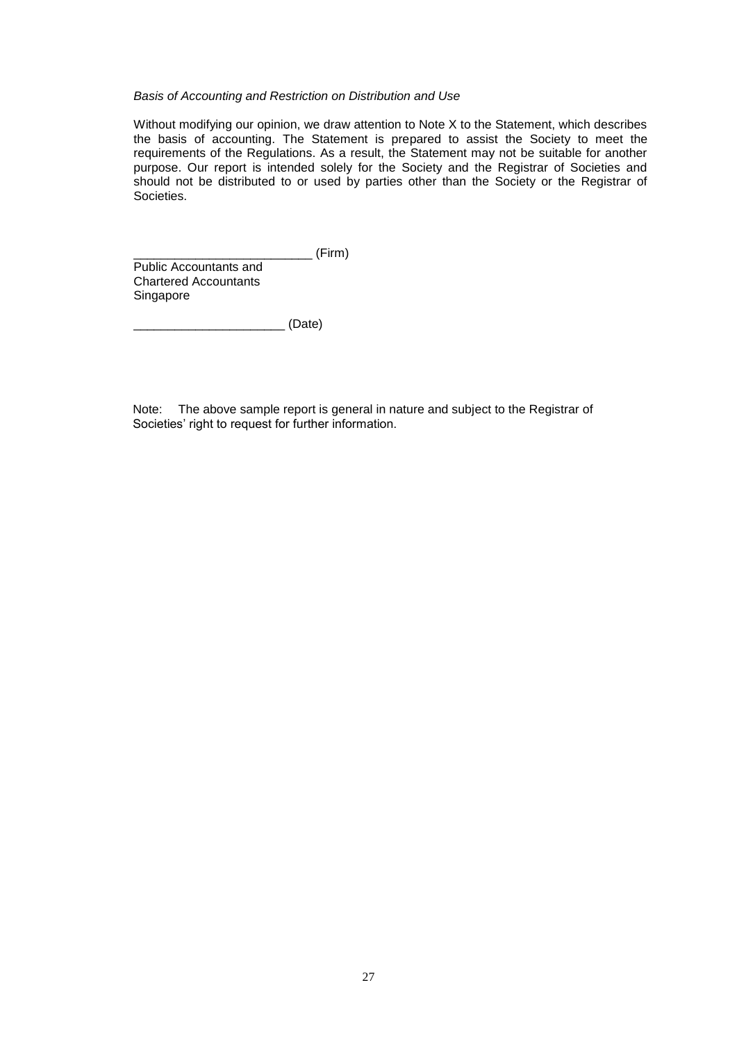#### *Basis of Accounting and Restriction on Distribution and Use*

 $(Firm)$ 

Without modifying our opinion, we draw attention to Note X to the Statement, which describes the basis of accounting. The Statement is prepared to assist the Society to meet the requirements of the Regulations. As a result, the Statement may not be suitable for another purpose. Our report is intended solely for the Society and the Registrar of Societies and should not be distributed to or used by parties other than the Society or the Registrar of Societies.

Public Accountants and Chartered Accountants Singapore

\_\_\_\_\_\_\_\_\_\_\_\_\_\_\_\_\_\_\_\_\_\_ (Date)

Note: The above sample report is general in nature and subject to the Registrar of Societies' right to request for further information.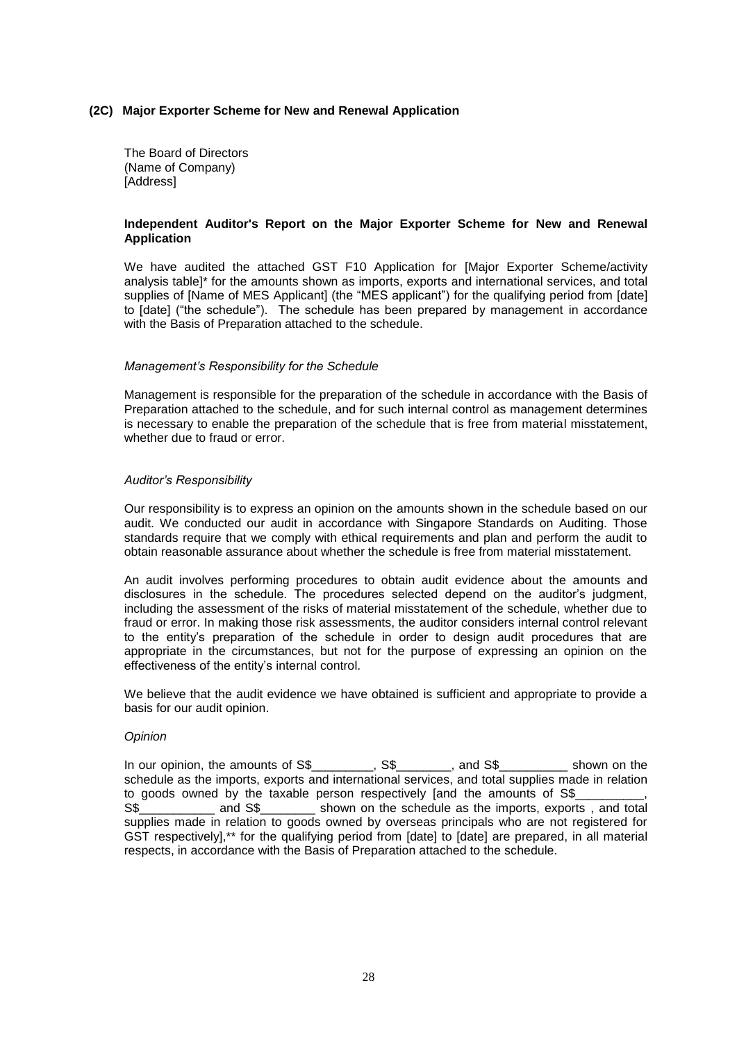#### **(2C) Major Exporter Scheme for New and Renewal Application**

The Board of Directors (Name of Company) **[Address]** 

#### **Independent Auditor's Report on the Major Exporter Scheme for New and Renewal Application**

We have audited the attached GST F10 Application for [Major Exporter Scheme/activity analysis table]\* for the amounts shown as imports, exports and international services, and total supplies of [Name of MES Applicant] (the "MES applicant") for the qualifying period from [date] to [date] ("the schedule"). The schedule has been prepared by management in accordance with the Basis of Preparation attached to the schedule.

#### *Management's Responsibility for the Schedule*

Management is responsible for the preparation of the schedule in accordance with the Basis of Preparation attached to the schedule, and for such internal control as management determines is necessary to enable the preparation of the schedule that is free from material misstatement, whether due to fraud or error.

#### *Auditor's Responsibility*

Our responsibility is to express an opinion on the amounts shown in the schedule based on our audit. We conducted our audit in accordance with Singapore Standards on Auditing. Those standards require that we comply with ethical requirements and plan and perform the audit to obtain reasonable assurance about whether the schedule is free from material misstatement.

An audit involves performing procedures to obtain audit evidence about the amounts and disclosures in the schedule. The procedures selected depend on the auditor's judgment, including the assessment of the risks of material misstatement of the schedule, whether due to fraud or error. In making those risk assessments, the auditor considers internal control relevant to the entity's preparation of the schedule in order to design audit procedures that are appropriate in the circumstances, but not for the purpose of expressing an opinion on the effectiveness of the entity's internal control.

We believe that the audit evidence we have obtained is sufficient and appropriate to provide a basis for our audit opinion.

#### *Opinion*

In our opinion, the amounts of S\$ Theorem SS\$ and S\$ shown on the schedule as the imports, exports and international services, and total supplies made in relation to goods owned by the taxable person respectively [and the amounts of S\$\_\_\_\_\_\_\_\_\_\_, shown on the schedule as the imports, exports, and total supplies made in relation to goods owned by overseas principals who are not registered for GST respectively],\*\* for the qualifying period from [date] to [date] are prepared, in all material respects, in accordance with the Basis of Preparation attached to the schedule.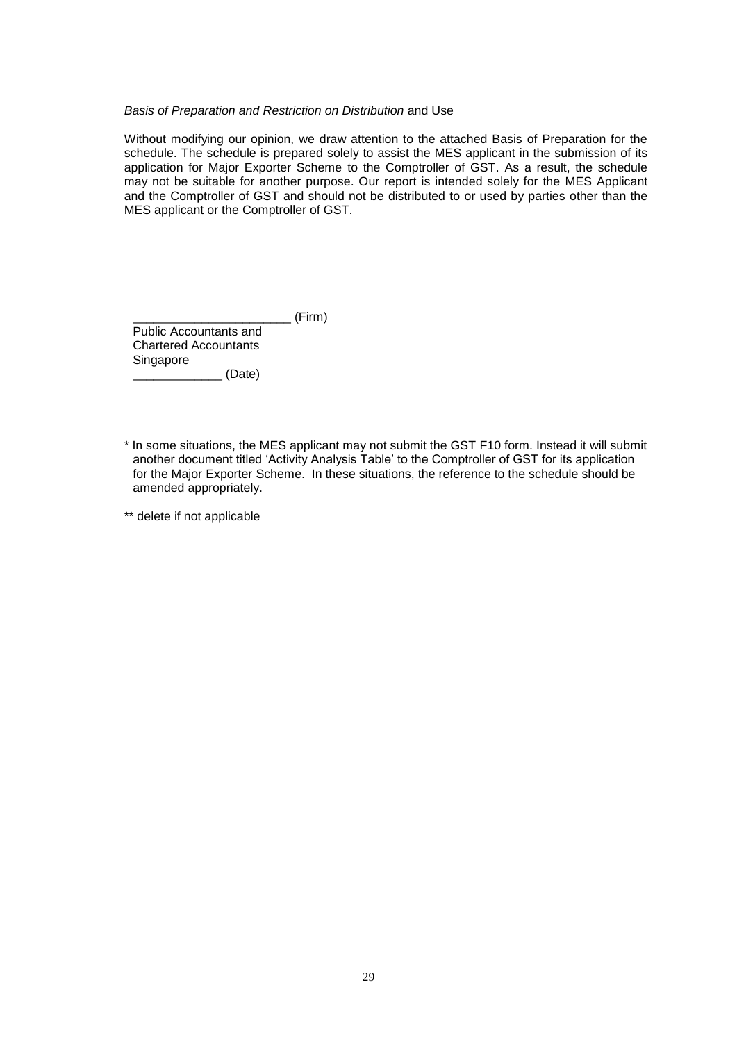#### *Basis of Preparation and Restriction on Distribution* and Use

Without modifying our opinion, we draw attention to the attached Basis of Preparation for the schedule. The schedule is prepared solely to assist the MES applicant in the submission of its application for Major Exporter Scheme to the Comptroller of GST. As a result, the schedule may not be suitable for another purpose. Our report is intended solely for the MES Applicant and the Comptroller of GST and should not be distributed to or used by parties other than the MES applicant or the Comptroller of GST.

 $(Firm)$ Public Accountants and Chartered Accountants Singapore \_\_\_\_\_\_\_\_\_\_\_\_\_ (Date)

\* In some situations, the MES applicant may not submit the GST F10 form. Instead it will submit another document titled 'Activity Analysis Table' to the Comptroller of GST for its application for the Major Exporter Scheme. In these situations, the reference to the schedule should be amended appropriately.

\*\* delete if not applicable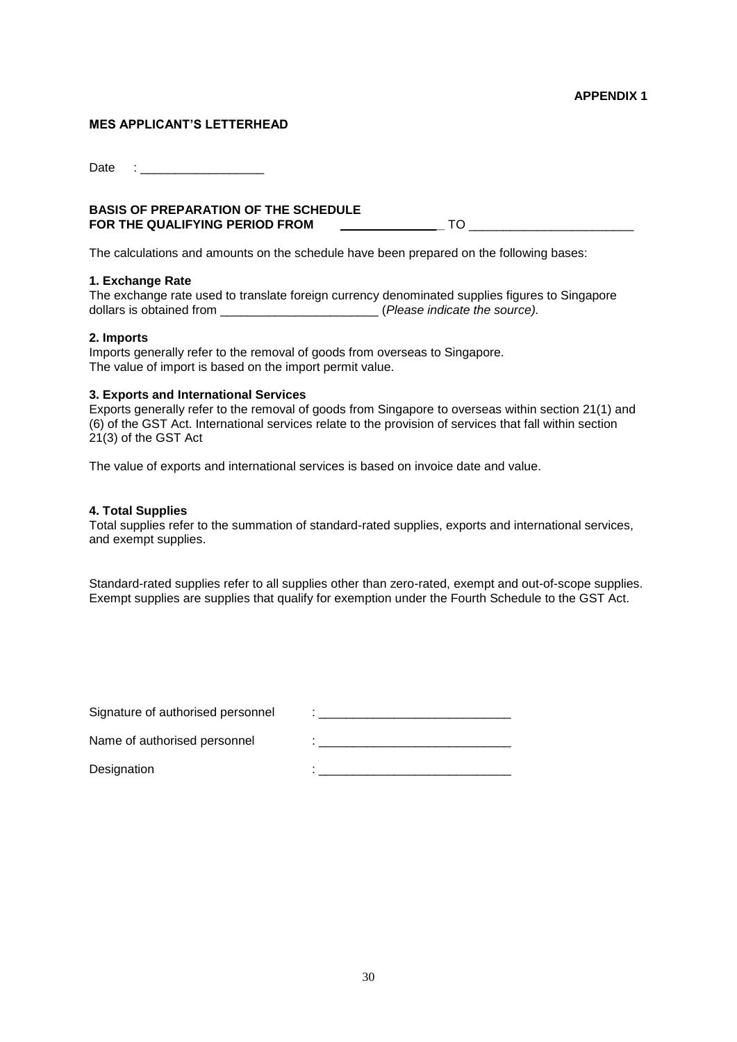#### **APPENDIX 1**

#### **MES APPLICANT'S LETTERHEAD**

Date :  $\Box$ 

#### **BASIS OF PREPARATION OF THE SCHEDULE** FOR THE QUALIFYING PERIOD FROM

The calculations and amounts on the schedule have been prepared on the following bases:

#### **1. Exchange Rate**

The exchange rate used to translate foreign currency denominated supplies figures to Singapore dollars is obtained from  $(Please indicate the source)$ .

#### **2. Imports**

Imports generally refer to the removal of goods from overseas to Singapore. The value of import is based on the import permit value.

#### **3. Exports and International Services**

Exports generally refer to the removal of goods from Singapore to overseas within section 21(1) and (6) of the GST Act. International services relate to the provision of services that fall within section 21(3) of the GST Act

The value of exports and international services is based on invoice date and value.

#### **4. Total Supplies**

Total supplies refer to the summation of standard-rated supplies, exports and international services, and exempt supplies.

Standard-rated supplies refer to all supplies other than zero-rated, exempt and out-of-scope supplies. Exempt supplies are supplies that qualify for exemption under the Fourth Schedule to the GST Act.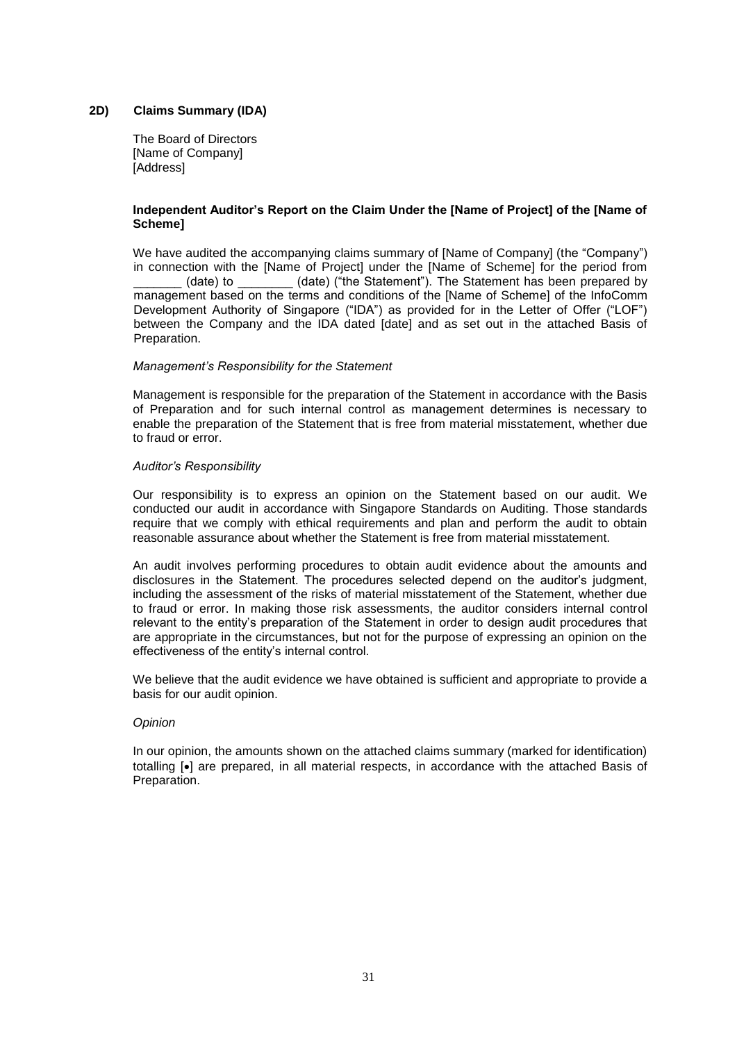## **2D) Claims Summary (IDA)**

The Board of Directors [Name of Company] [Address]

### **Independent Auditor's Report on the Claim Under the [Name of Project] of the [Name of Scheme]**

We have audited the accompanying claims summary of [Name of Company] (the "Company") in connection with the [Name of Project] under the [Name of Scheme] for the period from (date) to  $_0$  (date) ("the Statement"). The Statement has been prepared by management based on the terms and conditions of the [Name of Scheme] of the InfoComm Development Authority of Singapore ("IDA") as provided for in the Letter of Offer ("LOF") between the Company and the IDA dated [date] and as set out in the attached Basis of Preparation.

#### *Management's Responsibility for the Statement*

Management is responsible for the preparation of the Statement in accordance with the Basis of Preparation and for such internal control as management determines is necessary to enable the preparation of the Statement that is free from material misstatement, whether due to fraud or error.

#### *Auditor's Responsibility*

Our responsibility is to express an opinion on the Statement based on our audit. We conducted our audit in accordance with Singapore Standards on Auditing. Those standards require that we comply with ethical requirements and plan and perform the audit to obtain reasonable assurance about whether the Statement is free from material misstatement.

An audit involves performing procedures to obtain audit evidence about the amounts and disclosures in the Statement. The procedures selected depend on the auditor's judgment, including the assessment of the risks of material misstatement of the Statement, whether due to fraud or error. In making those risk assessments, the auditor considers internal control relevant to the entity's preparation of the Statement in order to design audit procedures that are appropriate in the circumstances, but not for the purpose of expressing an opinion on the effectiveness of the entity's internal control.

We believe that the audit evidence we have obtained is sufficient and appropriate to provide a basis for our audit opinion.

#### *Opinion*

In our opinion, the amounts shown on the attached claims summary (marked for identification) totalling  $\lceil \cdot \rceil$  are prepared, in all material respects, in accordance with the attached Basis of Preparation.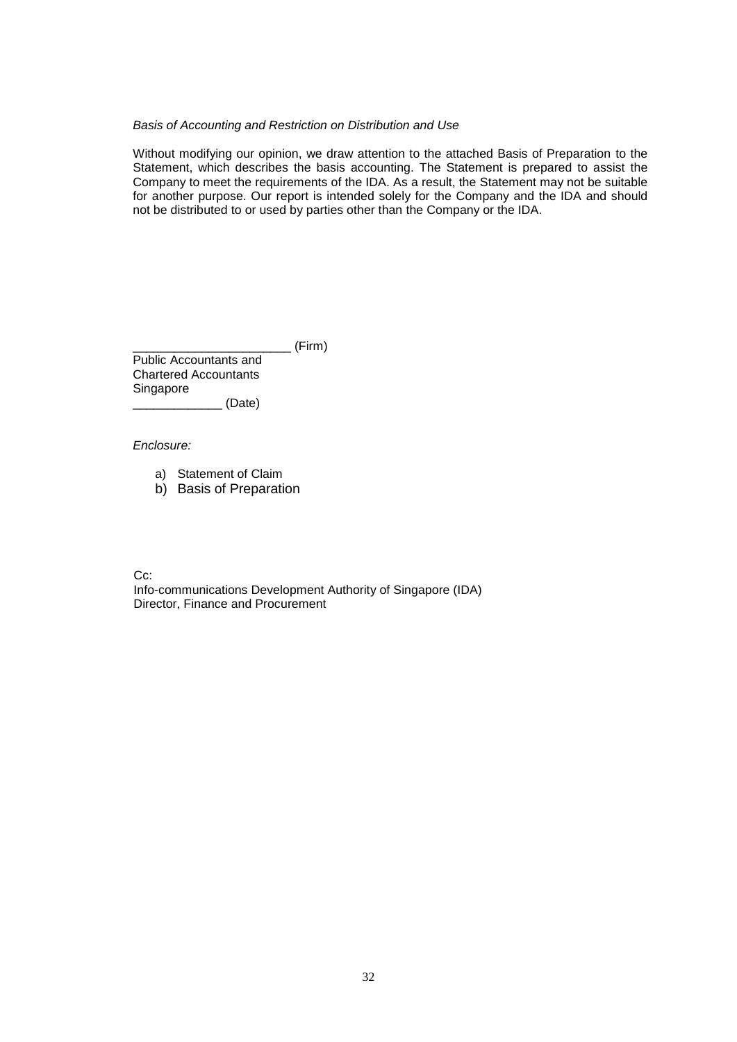#### *Basis of Accounting and Restriction on Distribution and Use*

Without modifying our opinion, we draw attention to the attached Basis of Preparation to the Statement, which describes the basis accounting. The Statement is prepared to assist the Company to meet the requirements of the IDA. As a result, the Statement may not be suitable for another purpose. Our report is intended solely for the Company and the IDA and should not be distributed to or used by parties other than the Company or the IDA.

|                               | (Firm) |
|-------------------------------|--------|
| <b>Public Accountants and</b> |        |
| <b>Chartered Accountants</b>  |        |
| Singapore                     |        |
| (Date)                        |        |

#### *Enclosure:*

- a) Statement of Claim
- b) Basis of Preparation

Cc:

Info-communications Development Authority of Singapore (IDA) Director, Finance and Procurement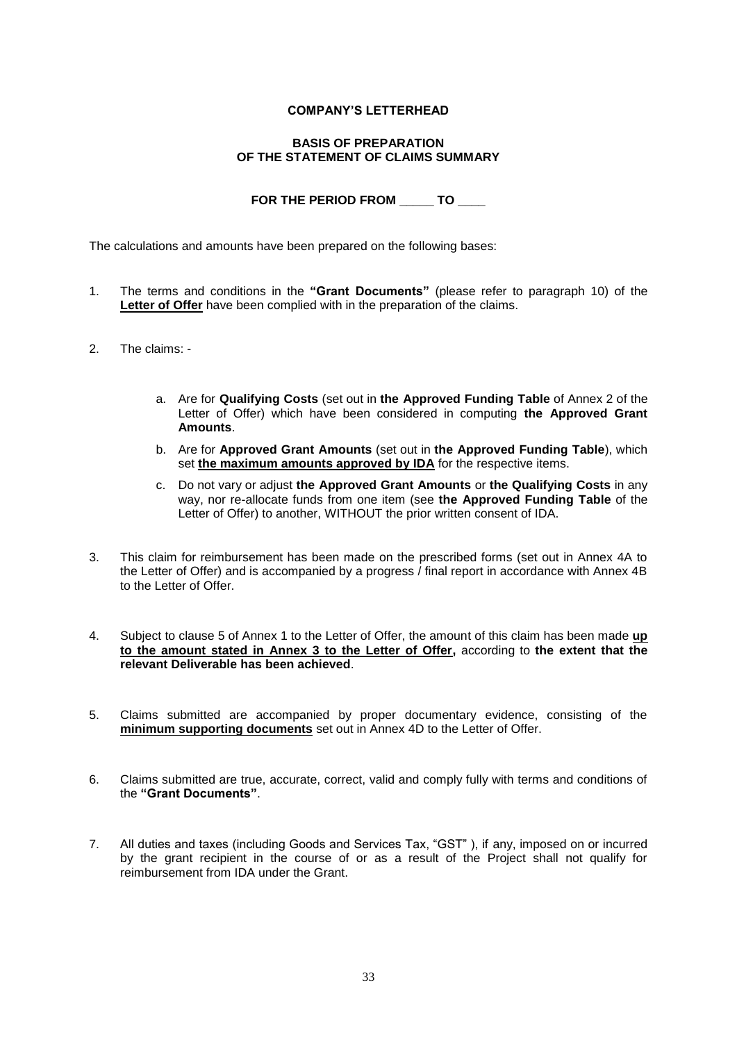## **COMPANY'S LETTERHEAD**

#### **BASIS OF PREPARATION OF THE STATEMENT OF CLAIMS SUMMARY**

## **FOR THE PERIOD FROM \_\_\_\_\_ TO \_\_\_\_**

The calculations and amounts have been prepared on the following bases:

- 1. The terms and conditions in the **"Grant Documents"** (please refer to paragraph 10) of the Letter of Offer have been complied with in the preparation of the claims.
- 2. The claims:
	- a. Are for **Qualifying Costs** (set out in **the Approved Funding Table** of Annex 2 of the Letter of Offer) which have been considered in computing **the Approved Grant Amounts**.
	- b. Are for **Approved Grant Amounts** (set out in **the Approved Funding Table**), which set **the maximum amounts approved by IDA** for the respective items.
	- c. Do not vary or adjust **the Approved Grant Amounts** or **the Qualifying Costs** in any way, nor re-allocate funds from one item (see **the Approved Funding Table** of the Letter of Offer) to another, WITHOUT the prior written consent of IDA.
- 3. This claim for reimbursement has been made on the prescribed forms (set out in Annex 4A to the Letter of Offer) and is accompanied by a progress / final report in accordance with Annex 4B to the Letter of Offer.
- 4. Subject to clause 5 of Annex 1 to the Letter of Offer, the amount of this claim has been made **up to the amount stated in Annex 3 to the Letter of Offer,** according to **the extent that the relevant Deliverable has been achieved**.
- 5. Claims submitted are accompanied by proper documentary evidence, consisting of the **minimum supporting documents** set out in Annex 4D to the Letter of Offer.
- 6. Claims submitted are true, accurate, correct, valid and comply fully with terms and conditions of the **"Grant Documents"**.
- 7. All duties and taxes (including Goods and Services Tax, "GST" ), if any, imposed on or incurred by the grant recipient in the course of or as a result of the Project shall not qualify for reimbursement from IDA under the Grant.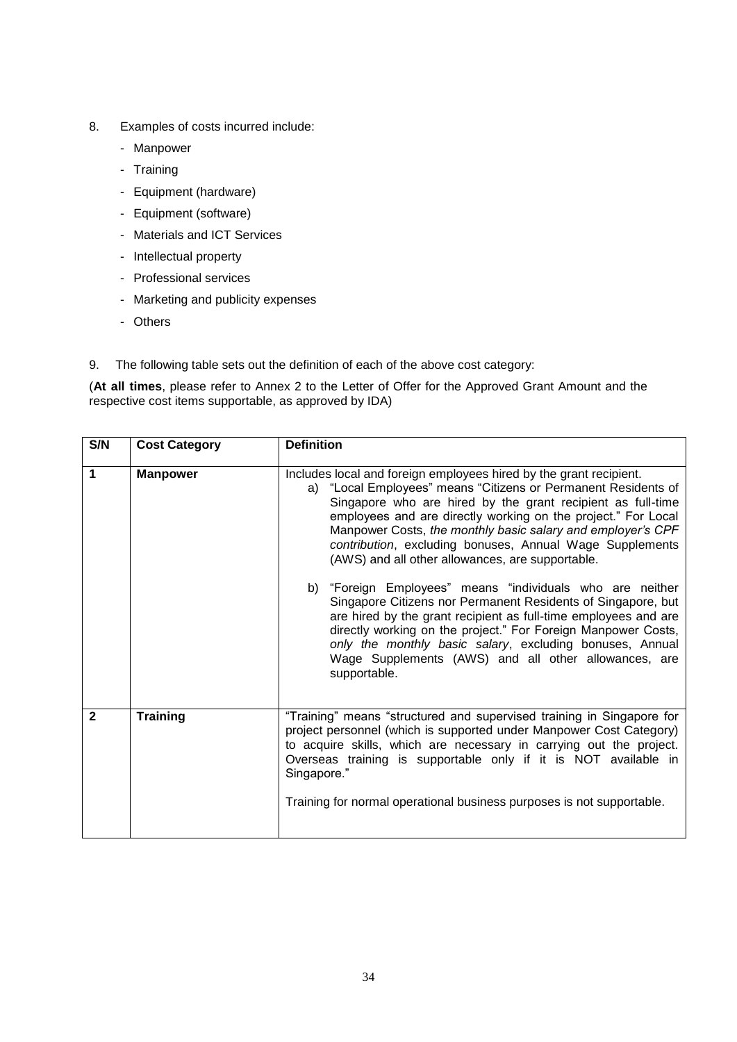- 8. Examples of costs incurred include:
	- Manpower
	- Training
	- Equipment (hardware)
	- Equipment (software)
	- Materials and ICT Services
	- Intellectual property
	- Professional services
	- Marketing and publicity expenses
	- Others
- 9. The following table sets out the definition of each of the above cost category:

(**At all times**, please refer to Annex 2 to the Letter of Offer for the Approved Grant Amount and the respective cost items supportable, as approved by IDA)

| S/N            | <b>Cost Category</b> | <b>Definition</b>                                                                                                                                                                                                                                                                                                                                                                                                                                                                                                                                                                                                                                                                                                                                                                                                                                        |
|----------------|----------------------|----------------------------------------------------------------------------------------------------------------------------------------------------------------------------------------------------------------------------------------------------------------------------------------------------------------------------------------------------------------------------------------------------------------------------------------------------------------------------------------------------------------------------------------------------------------------------------------------------------------------------------------------------------------------------------------------------------------------------------------------------------------------------------------------------------------------------------------------------------|
| 1              | <b>Manpower</b>      | Includes local and foreign employees hired by the grant recipient.<br>a) "Local Employees" means "Citizens or Permanent Residents of<br>Singapore who are hired by the grant recipient as full-time<br>employees and are directly working on the project." For Local<br>Manpower Costs, the monthly basic salary and employer's CPF<br>contribution, excluding bonuses, Annual Wage Supplements<br>(AWS) and all other allowances, are supportable.<br>b) "Foreign Employees" means "individuals who are neither<br>Singapore Citizens nor Permanent Residents of Singapore, but<br>are hired by the grant recipient as full-time employees and are<br>directly working on the project." For Foreign Manpower Costs,<br>only the monthly basic salary, excluding bonuses, Annual<br>Wage Supplements (AWS) and all other allowances, are<br>supportable. |
| $\overline{2}$ | <b>Training</b>      | "Training" means "structured and supervised training in Singapore for<br>project personnel (which is supported under Manpower Cost Category)<br>to acquire skills, which are necessary in carrying out the project.<br>Overseas training is supportable only if it is NOT available in<br>Singapore."<br>Training for normal operational business purposes is not supportable.                                                                                                                                                                                                                                                                                                                                                                                                                                                                           |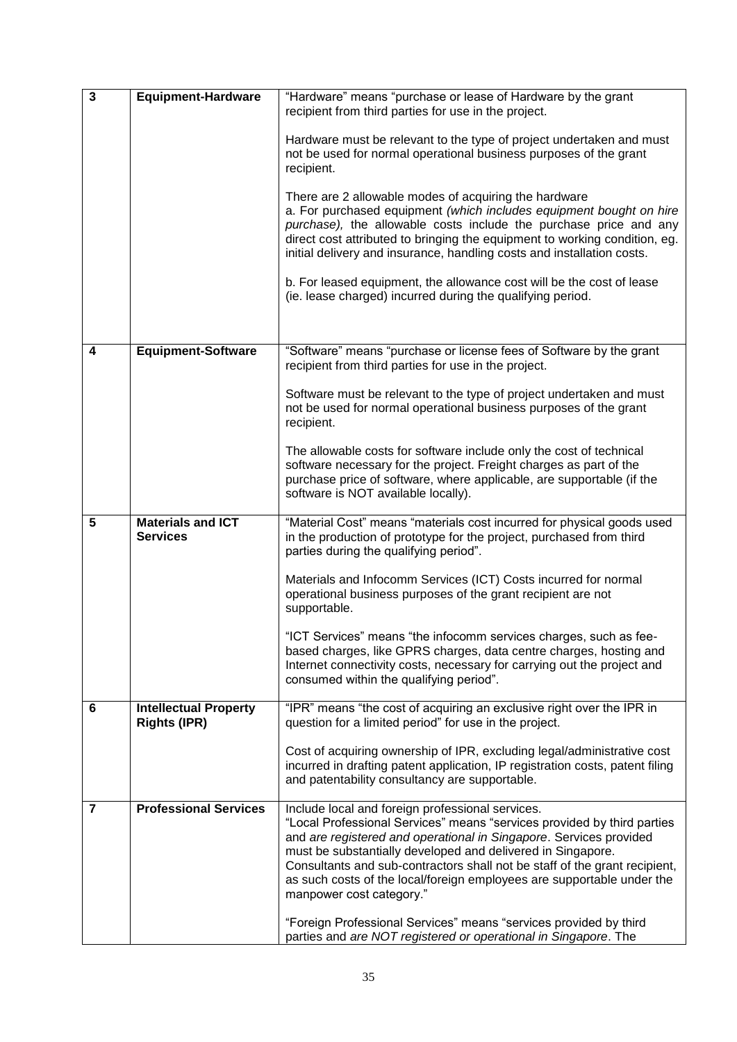| 3                       | <b>Equipment-Hardware</b>                           | "Hardware" means "purchase or lease of Hardware by the grant<br>recipient from third parties for use in the project.                                                                                                                                                                                                                                      |
|-------------------------|-----------------------------------------------------|-----------------------------------------------------------------------------------------------------------------------------------------------------------------------------------------------------------------------------------------------------------------------------------------------------------------------------------------------------------|
|                         |                                                     | Hardware must be relevant to the type of project undertaken and must<br>not be used for normal operational business purposes of the grant<br>recipient.                                                                                                                                                                                                   |
|                         |                                                     | There are 2 allowable modes of acquiring the hardware<br>a. For purchased equipment (which includes equipment bought on hire<br>purchase), the allowable costs include the purchase price and any<br>direct cost attributed to bringing the equipment to working condition, eg.<br>initial delivery and insurance, handling costs and installation costs. |
|                         |                                                     | b. For leased equipment, the allowance cost will be the cost of lease<br>(ie. lease charged) incurred during the qualifying period.                                                                                                                                                                                                                       |
| $\overline{\mathbf{4}}$ | <b>Equipment-Software</b>                           | "Software" means "purchase or license fees of Software by the grant<br>recipient from third parties for use in the project.                                                                                                                                                                                                                               |
|                         |                                                     | Software must be relevant to the type of project undertaken and must<br>not be used for normal operational business purposes of the grant<br>recipient.                                                                                                                                                                                                   |
|                         |                                                     | The allowable costs for software include only the cost of technical<br>software necessary for the project. Freight charges as part of the<br>purchase price of software, where applicable, are supportable (if the<br>software is NOT available locally).                                                                                                 |
| 5                       | <b>Materials and ICT</b><br><b>Services</b>         | "Material Cost" means "materials cost incurred for physical goods used<br>in the production of prototype for the project, purchased from third<br>parties during the qualifying period".                                                                                                                                                                  |
|                         |                                                     | Materials and Infocomm Services (ICT) Costs incurred for normal<br>operational business purposes of the grant recipient are not<br>supportable.                                                                                                                                                                                                           |
|                         |                                                     | "ICT Services" means "the infocomm services charges, such as fee-<br>based charges, like GPRS charges, data centre charges, hosting and<br>Internet connectivity costs, necessary for carrying out the project and<br>consumed within the qualifying period".                                                                                             |
| 6                       | <b>Intellectual Property</b><br><b>Rights (IPR)</b> | "IPR" means "the cost of acquiring an exclusive right over the IPR in<br>question for a limited period" for use in the project.                                                                                                                                                                                                                           |
|                         |                                                     | Cost of acquiring ownership of IPR, excluding legal/administrative cost<br>incurred in drafting patent application, IP registration costs, patent filing<br>and patentability consultancy are supportable.                                                                                                                                                |
| 7                       | <b>Professional Services</b>                        | Include local and foreign professional services.<br>"Local Professional Services" means "services provided by third parties<br>and are registered and operational in Singapore. Services provided<br>must be substantially developed and delivered in Singapore.                                                                                          |
|                         |                                                     | Consultants and sub-contractors shall not be staff of the grant recipient,<br>as such costs of the local/foreign employees are supportable under the<br>manpower cost category."                                                                                                                                                                          |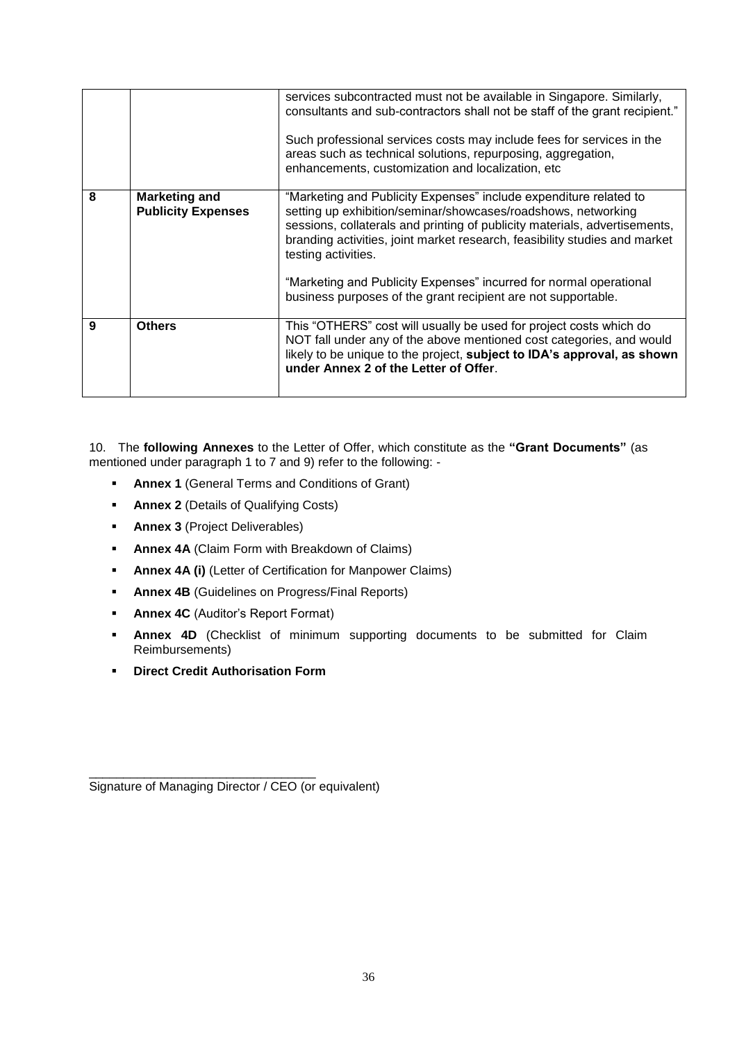|   |                                                   | services subcontracted must not be available in Singapore. Similarly,<br>consultants and sub-contractors shall not be staff of the grant recipient."<br>Such professional services costs may include fees for services in the<br>areas such as technical solutions, repurposing, aggregation,<br>enhancements, customization and localization, etc                                                                                                           |
|---|---------------------------------------------------|--------------------------------------------------------------------------------------------------------------------------------------------------------------------------------------------------------------------------------------------------------------------------------------------------------------------------------------------------------------------------------------------------------------------------------------------------------------|
| 8 | <b>Marketing and</b><br><b>Publicity Expenses</b> | "Marketing and Publicity Expenses" include expenditure related to<br>setting up exhibition/seminar/showcases/roadshows, networking<br>sessions, collaterals and printing of publicity materials, advertisements,<br>branding activities, joint market research, feasibility studies and market<br>testing activities.<br>"Marketing and Publicity Expenses" incurred for normal operational<br>business purposes of the grant recipient are not supportable. |
| 9 | <b>Others</b>                                     | This "OTHERS" cost will usually be used for project costs which do<br>NOT fall under any of the above mentioned cost categories, and would<br>likely to be unique to the project, subject to IDA's approval, as shown<br>under Annex 2 of the Letter of Offer.                                                                                                                                                                                               |

10. The **following Annexes** to the Letter of Offer, which constitute as the **"Grant Documents"** (as mentioned under paragraph 1 to 7 and 9) refer to the following: -

- **Annex 1** (General Terms and Conditions of Grant)
- **Annex 2** (Details of Qualifying Costs)
- **Annex 3** (Project Deliverables)
- **Annex 4A** (Claim Form with Breakdown of Claims)
- **Annex 4A (i)** (Letter of Certification for Manpower Claims)
- **Annex 4B** (Guidelines on Progress/Final Reports)
- **Annex 4C** (Auditor's Report Format)
- **Annex 4D** (Checklist of minimum supporting documents to be submitted for Claim Reimbursements)
- **Direct Credit Authorisation Form**

Signature of Managing Director / CEO (or equivalent)

\_\_\_\_\_\_\_\_\_\_\_\_\_\_\_\_\_\_\_\_\_\_\_\_\_\_\_\_\_\_\_\_\_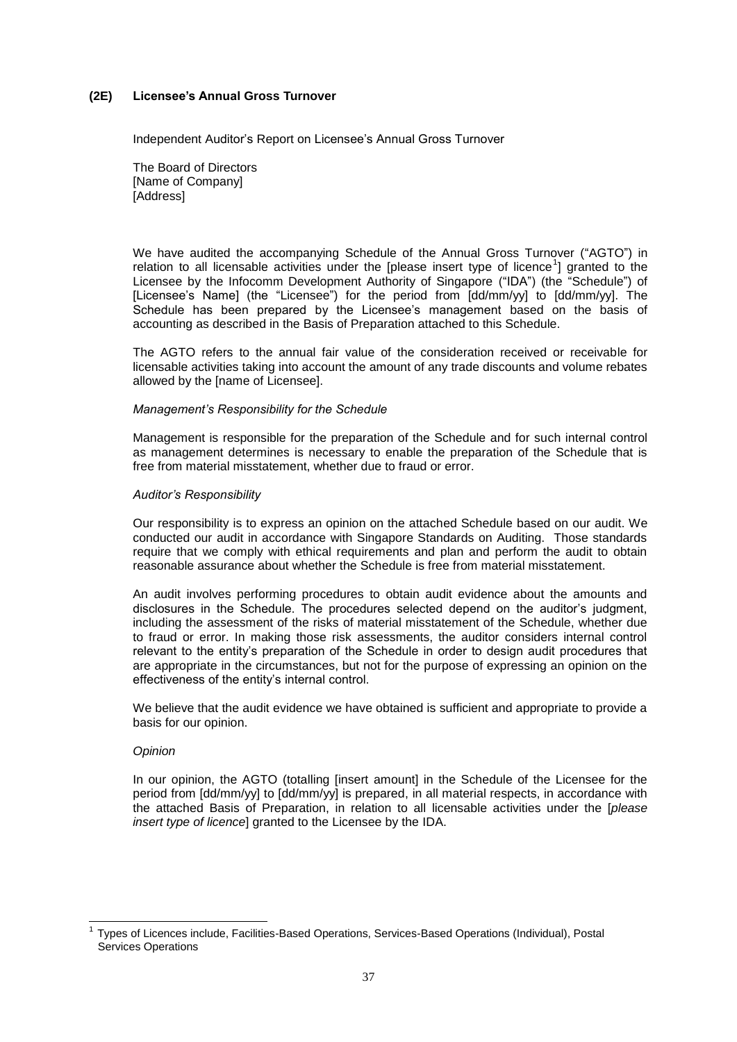### **(2E) Licensee's Annual Gross Turnover**

Independent Auditor's Report on Licensee's Annual Gross Turnover

The Board of Directors [Name of Company] [Address]

We have audited the accompanying Schedule of the Annual Gross Turnover ("AGTO") in relation to all licensable activities under the [please insert type of licence<sup>1</sup>] granted to the Licensee by the Infocomm Development Authority of Singapore ("IDA") (the "Schedule") of [Licensee's Name] (the "Licensee") for the period from [dd/mm/yy] to [dd/mm/yy]. The Schedule has been prepared by the Licensee's management based on the basis of accounting as described in the Basis of Preparation attached to this Schedule.

The AGTO refers to the annual fair value of the consideration received or receivable for licensable activities taking into account the amount of any trade discounts and volume rebates allowed by the [name of Licensee].

#### *Management's Responsibility for the Schedule*

Management is responsible for the preparation of the Schedule and for such internal control as management determines is necessary to enable the preparation of the Schedule that is free from material misstatement, whether due to fraud or error.

#### *Auditor's Responsibility*

Our responsibility is to express an opinion on the attached Schedule based on our audit. We conducted our audit in accordance with Singapore Standards on Auditing. Those standards require that we comply with ethical requirements and plan and perform the audit to obtain reasonable assurance about whether the Schedule is free from material misstatement.

An audit involves performing procedures to obtain audit evidence about the amounts and disclosures in the Schedule. The procedures selected depend on the auditor's judgment, including the assessment of the risks of material misstatement of the Schedule, whether due to fraud or error. In making those risk assessments, the auditor considers internal control relevant to the entity's preparation of the Schedule in order to design audit procedures that are appropriate in the circumstances, but not for the purpose of expressing an opinion on the effectiveness of the entity's internal control.

We believe that the audit evidence we have obtained is sufficient and appropriate to provide a basis for our opinion.

#### *Opinion*

1

In our opinion, the AGTO (totalling [insert amount] in the Schedule of the Licensee for the period from [dd/mm/yy] to [dd/mm/yy] is prepared, in all material respects, in accordance with the attached Basis of Preparation, in relation to all licensable activities under the [*please insert type of licence*] granted to the Licensee by the IDA.

<sup>1</sup> Types of Licences include, Facilities-Based Operations, Services-Based Operations (Individual), Postal Services Operations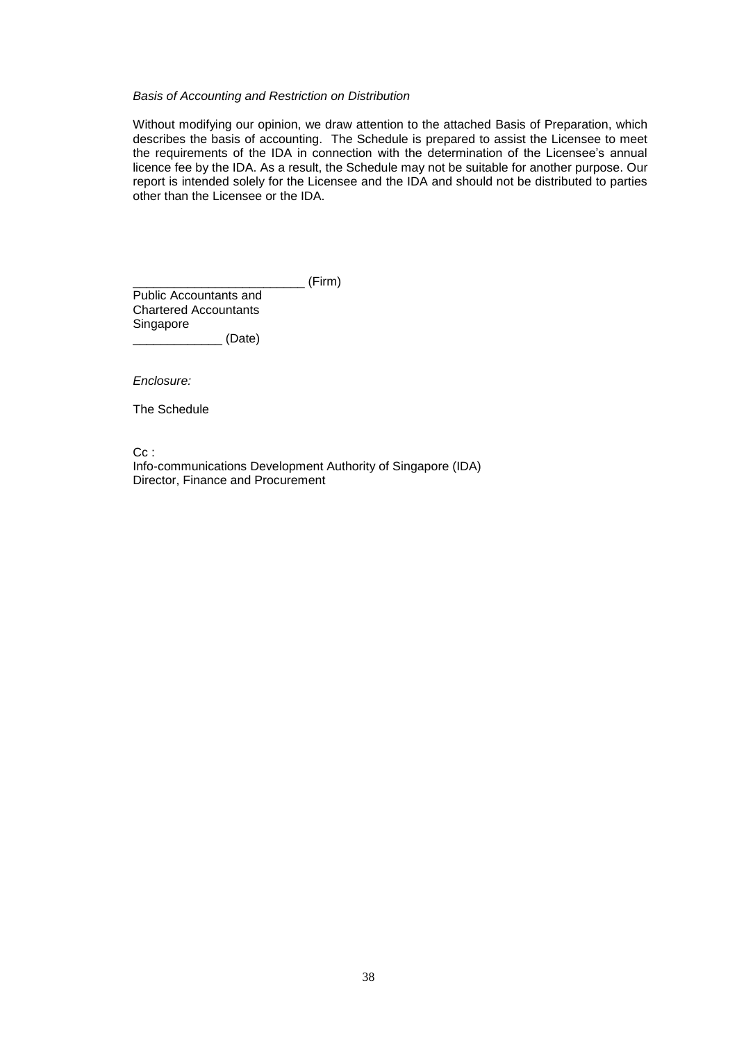#### *Basis of Accounting and Restriction on Distribution*

Without modifying our opinion, we draw attention to the attached Basis of Preparation, which describes the basis of accounting. The Schedule is prepared to assist the Licensee to meet the requirements of the IDA in connection with the determination of the Licensee's annual licence fee by the IDA. As a result, the Schedule may not be suitable for another purpose. Our report is intended solely for the Licensee and the IDA and should not be distributed to parties other than the Licensee or the IDA.

 $(Firm)$ Public Accountants and Chartered Accountants Singapore  $\overline{a}$  (Date)

*Enclosure:*

The Schedule

Cc:

Info-communications Development Authority of Singapore (IDA) Director, Finance and Procurement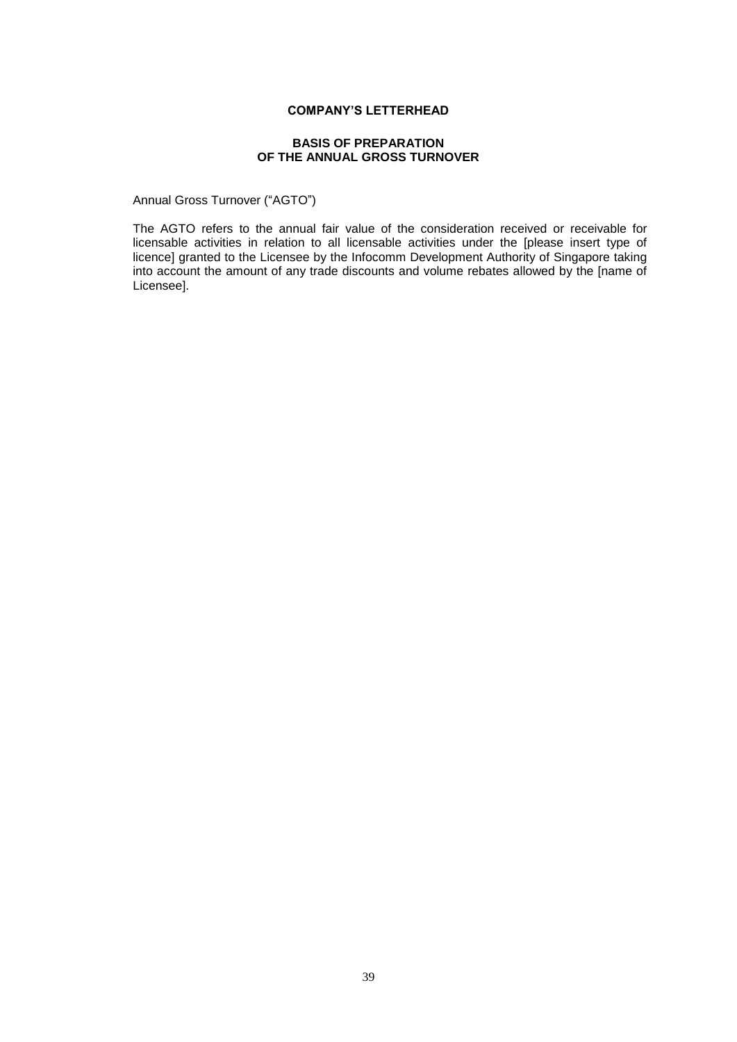#### **COMPANY'S LETTERHEAD**

#### **BASIS OF PREPARATION OF THE ANNUAL GROSS TURNOVER**

Annual Gross Turnover ("AGTO")

The AGTO refers to the annual fair value of the consideration received or receivable for licensable activities in relation to all licensable activities under the [please insert type of licence] granted to the Licensee by the Infocomm Development Authority of Singapore taking into account the amount of any trade discounts and volume rebates allowed by the [name of Licensee].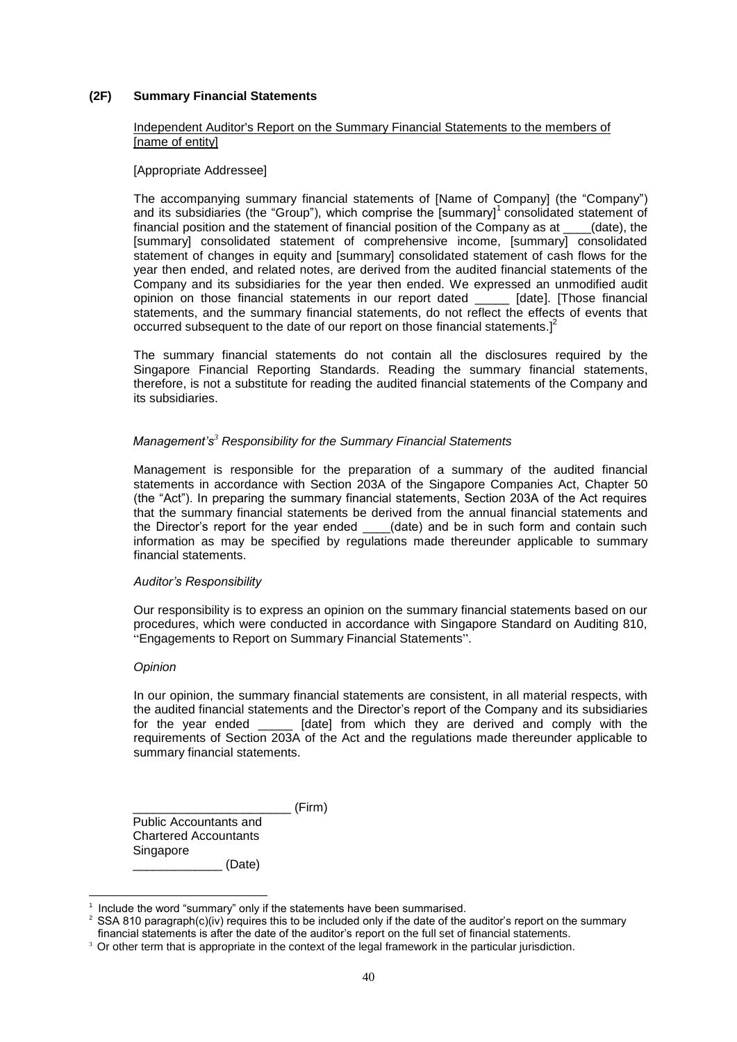#### **(2F) Summary Financial Statements**

#### Independent Auditor's Report on the Summary Financial Statements to the members of [name of entity]

#### [Appropriate Addressee]

The accompanying summary financial statements of [Name of Company] (the "Company") and its subsidiaries (the "Group"), which comprise the  $[summar]$ <sup>1</sup> consolidated statement of financial position and the statement of financial position of the Company as at \_\_\_\_(date), the [summary] consolidated statement of comprehensive income, [summary] consolidated statement of changes in equity and [summary] consolidated statement of cash flows for the year then ended, and related notes, are derived from the audited financial statements of the Company and its subsidiaries for the year then ended. We expressed an unmodified audit opinion on those financial statements in our report dated \_\_\_\_\_ [date]. [Those financial statements, and the summary financial statements, do not reflect the effects of events that occurred subsequent to the date of our report on those financial statements. $1^2$ 

The summary financial statements do not contain all the disclosures required by the Singapore Financial Reporting Standards. Reading the summary financial statements, therefore, is not a substitute for reading the audited financial statements of the Company and its subsidiaries.

#### *Management's<sup>3</sup> Responsibility for the Summary Financial Statements*

Management is responsible for the preparation of a summary of the audited financial statements in accordance with Section 203A of the Singapore Companies Act, Chapter 50 (the "Act"). In preparing the summary financial statements, Section 203A of the Act requires that the summary financial statements be derived from the annual financial statements and the Director's report for the year ended (date) and be in such form and contain such information as may be specified by regulations made thereunder applicable to summary financial statements.

#### *Auditor's Responsibility*

Our responsibility is to express an opinion on the summary financial statements based on our procedures, which were conducted in accordance with Singapore Standard on Auditing 810, "Engagements to Report on Summary Financial Statements".

#### *Opinion*

-

In our opinion, the summary financial statements are consistent, in all material respects, with the audited financial statements and the Director's report of the Company and its subsidiaries for the year ended \_\_\_\_\_ [date] from which they are derived and comply with the requirements of Section 203A of the Act and the regulations made thereunder applicable to summary financial statements.

 $(Firm)$ 

Public Accountants and Chartered Accountants Singapore \_\_\_\_\_\_\_\_\_\_\_\_\_ (Date)

<sup>1</sup> Include the word "summary" only if the statements have been summarised.

SSA 810 paragraph(c)(iv) requires this to be included only if the date of the auditor's report on the summary

financial statements is after the date of the auditor's report on the full set of financial statements.

 $3$  Or other term that is appropriate in the context of the legal framework in the particular jurisdiction.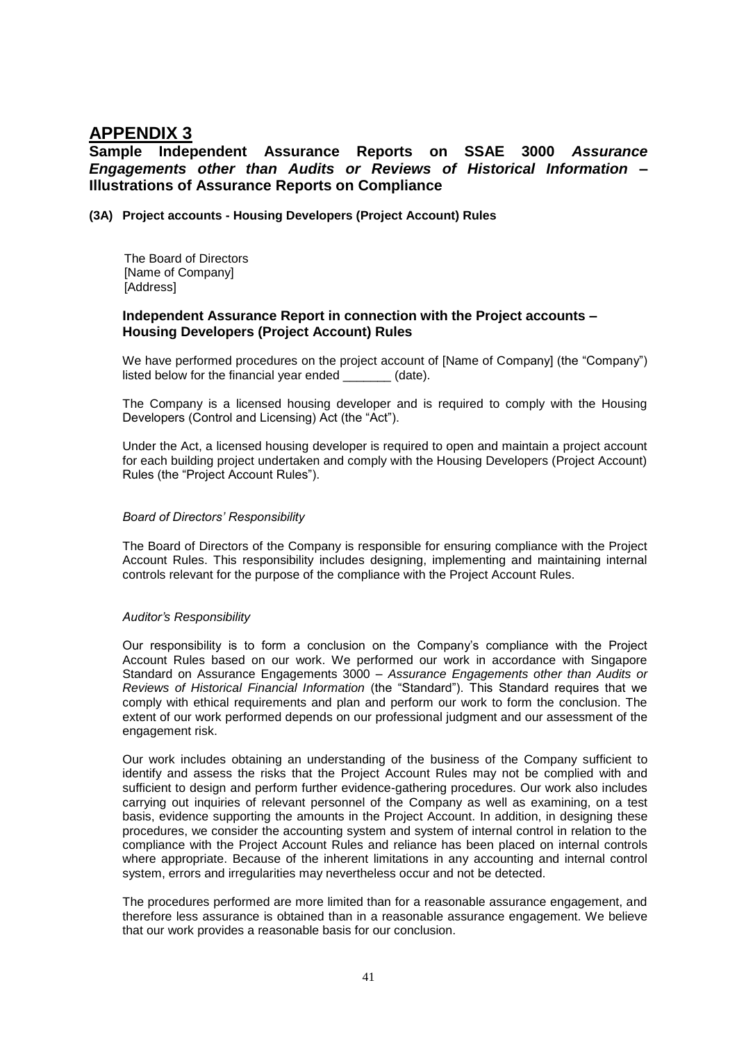## **APPENDIX 3**

## **Sample Independent Assurance Reports on SSAE 3000** *Assurance Engagements other than Audits or Reviews of Historical Information –* **Illustrations of Assurance Reports on Compliance**

#### **(3A) Project accounts - Housing Developers (Project Account) Rules**

The Board of Directors [Name of Company] [Address]

## **Independent Assurance Report in connection with the Project accounts – Housing Developers (Project Account) Rules**

We have performed procedures on the project account of [Name of Company] (the "Company") listed below for the financial year ended (date).

The Company is a licensed housing developer and is required to comply with the Housing Developers (Control and Licensing) Act (the "Act").

Under the Act, a licensed housing developer is required to open and maintain a project account for each building project undertaken and comply with the Housing Developers (Project Account) Rules (the "Project Account Rules").

#### *Board of Directors' Responsibility*

The Board of Directors of the Company is responsible for ensuring compliance with the Project Account Rules. This responsibility includes designing, implementing and maintaining internal controls relevant for the purpose of the compliance with the Project Account Rules.

#### *Auditor's Responsibility*

Our responsibility is to form a conclusion on the Company's compliance with the Project Account Rules based on our work. We performed our work in accordance with Singapore Standard on Assurance Engagements 3000 – *Assurance Engagements other than Audits or Reviews of Historical Financial Information* (the "Standard"). This Standard requires that we comply with ethical requirements and plan and perform our work to form the conclusion. The extent of our work performed depends on our professional judgment and our assessment of the engagement risk.

Our work includes obtaining an understanding of the business of the Company sufficient to identify and assess the risks that the Project Account Rules may not be complied with and sufficient to design and perform further evidence-gathering procedures. Our work also includes carrying out inquiries of relevant personnel of the Company as well as examining, on a test basis, evidence supporting the amounts in the Project Account. In addition, in designing these procedures, we consider the accounting system and system of internal control in relation to the compliance with the Project Account Rules and reliance has been placed on internal controls where appropriate. Because of the inherent limitations in any accounting and internal control system, errors and irregularities may nevertheless occur and not be detected.

The procedures performed are more limited than for a reasonable assurance engagement, and therefore less assurance is obtained than in a reasonable assurance engagement. We believe that our work provides a reasonable basis for our conclusion.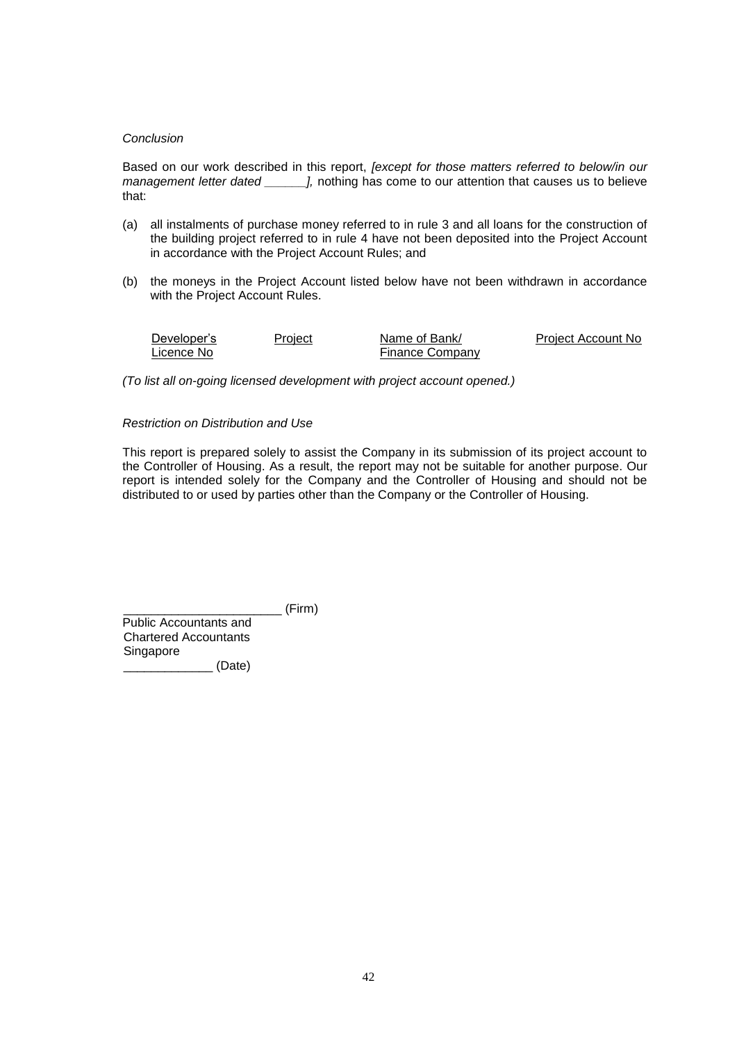#### *Conclusion*

Based on our work described in this report, *[except for those matters referred to below/in our management letter dated \_\_\_\_\_\_],* nothing has come to our attention that causes us to believe that:

- (a) all instalments of purchase money referred to in rule 3 and all loans for the construction of the building project referred to in rule 4 have not been deposited into the Project Account in accordance with the Project Account Rules; and
- (b) the moneys in the Project Account listed below have not been withdrawn in accordance with the Project Account Rules.

| Developer's | Project | Name of Bank/          | Project Account No |
|-------------|---------|------------------------|--------------------|
| Licence No  |         | <b>Finance Company</b> |                    |

*(To list all on-going licensed development with project account opened.)*

#### *Restriction on Distribution and Use*

This report is prepared solely to assist the Company in its submission of its project account to the Controller of Housing. As a result, the report may not be suitable for another purpose. Our report is intended solely for the Company and the Controller of Housing and should not be distributed to or used by parties other than the Company or the Controller of Housing.

 $(Firm)$ Public Accountants and Chartered Accountants Singapore  $_$  (Date)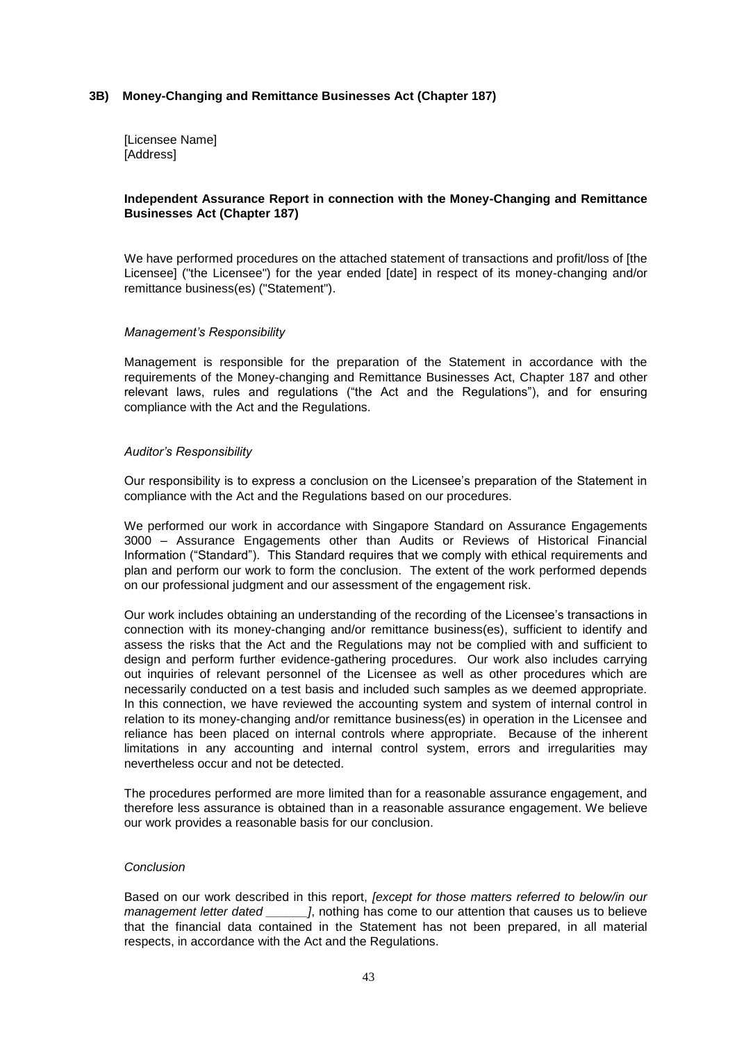#### **3B) Money-Changing and Remittance Businesses Act (Chapter 187)**

[Licensee Name] [Address]

### **Independent Assurance Report in connection with the Money-Changing and Remittance Businesses Act (Chapter 187)**

We have performed procedures on the attached statement of transactions and profit/loss of [the Licensee] ("the Licensee") for the year ended [date] in respect of its money-changing and/or remittance business(es) ("Statement").

#### *Management's Responsibility*

Management is responsible for the preparation of the Statement in accordance with the requirements of the Money-changing and Remittance Businesses Act, Chapter 187 and other relevant laws, rules and regulations ("the Act and the Regulations"), and for ensuring compliance with the Act and the Regulations.

#### *Auditor's Responsibility*

Our responsibility is to express a conclusion on the Licensee's preparation of the Statement in compliance with the Act and the Regulations based on our procedures.

We performed our work in accordance with Singapore Standard on Assurance Engagements 3000 – Assurance Engagements other than Audits or Reviews of Historical Financial Information ("Standard"). This Standard requires that we comply with ethical requirements and plan and perform our work to form the conclusion. The extent of the work performed depends on our professional judgment and our assessment of the engagement risk.

Our work includes obtaining an understanding of the recording of the Licensee's transactions in connection with its money-changing and/or remittance business(es), sufficient to identify and assess the risks that the Act and the Regulations may not be complied with and sufficient to design and perform further evidence-gathering procedures. Our work also includes carrying out inquiries of relevant personnel of the Licensee as well as other procedures which are necessarily conducted on a test basis and included such samples as we deemed appropriate. In this connection, we have reviewed the accounting system and system of internal control in relation to its money-changing and/or remittance business(es) in operation in the Licensee and reliance has been placed on internal controls where appropriate. Because of the inherent limitations in any accounting and internal control system, errors and irregularities may nevertheless occur and not be detected.

The procedures performed are more limited than for a reasonable assurance engagement, and therefore less assurance is obtained than in a reasonable assurance engagement. We believe our work provides a reasonable basis for our conclusion.

#### *Conclusion*

Based on our work described in this report, *[except for those matters referred to below/in our management letter dated \_\_\_\_\_\_]*, nothing has come to our attention that causes us to believe that the financial data contained in the Statement has not been prepared, in all material respects, in accordance with the Act and the Regulations.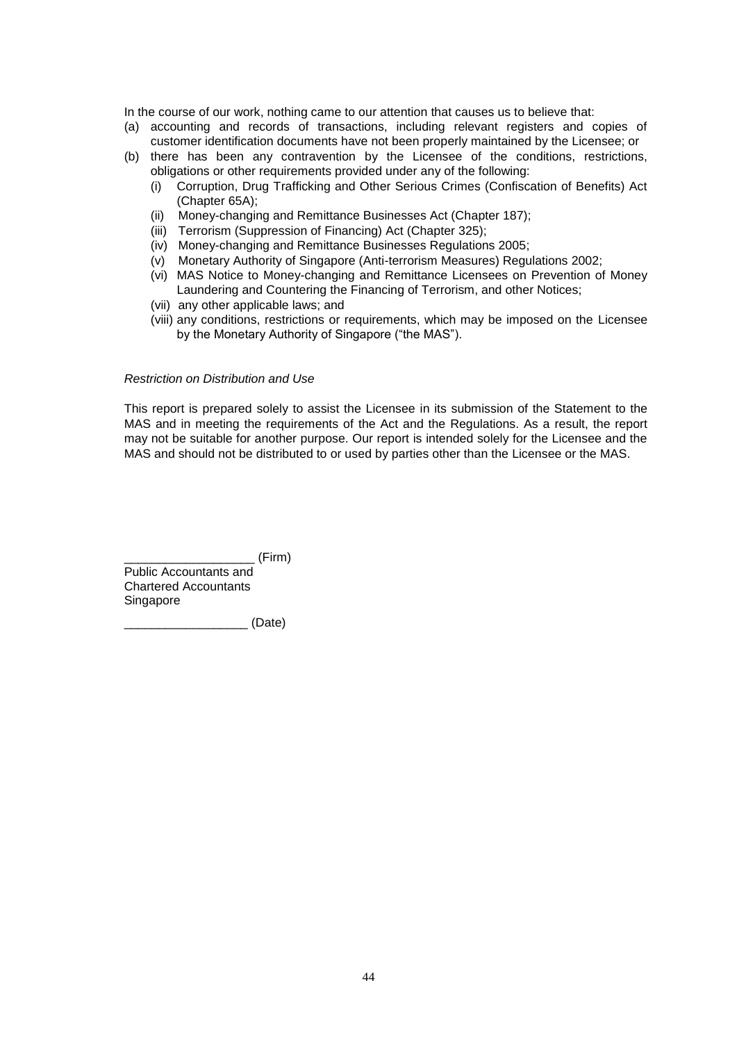In the course of our work, nothing came to our attention that causes us to believe that:

- (a) accounting and records of transactions, including relevant registers and copies of customer identification documents have not been properly maintained by the Licensee; or
- (b) there has been any contravention by the Licensee of the conditions, restrictions, obligations or other requirements provided under any of the following:
	- (i) Corruption, Drug Trafficking and Other Serious Crimes (Confiscation of Benefits) Act (Chapter 65A);
	- (ii) Money-changing and Remittance Businesses Act (Chapter 187);
	- (iii) Terrorism (Suppression of Financing) Act (Chapter 325);
	- (iv) Money-changing and Remittance Businesses Regulations 2005;
	- (v) Monetary Authority of Singapore (Anti-terrorism Measures) Regulations 2002;
	- (vi) MAS Notice to Money-changing and Remittance Licensees on Prevention of Money Laundering and Countering the Financing of Terrorism, and other Notices;
	- (vii) any other applicable laws; and
	- (viii) any conditions, restrictions or requirements, which may be imposed on the Licensee by the Monetary Authority of Singapore ("the MAS").

#### *Restriction on Distribution and Use*

This report is prepared solely to assist the Licensee in its submission of the Statement to the MAS and in meeting the requirements of the Act and the Regulations. As a result, the report may not be suitable for another purpose. Our report is intended solely for the Licensee and the MAS and should not be distributed to or used by parties other than the Licensee or the MAS.

 $(Firm)$ 

Public Accountants and Chartered Accountants Singapore

\_\_\_\_\_\_\_\_\_\_\_\_\_\_\_\_\_\_ (Date)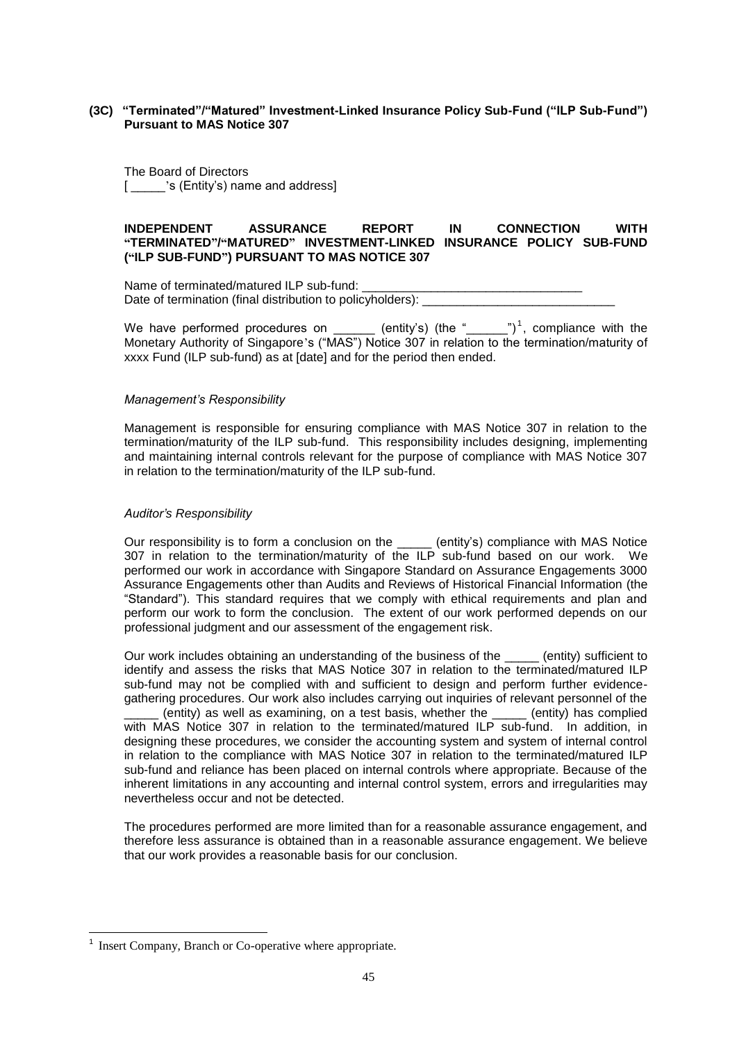#### **(3C) "Terminated"/"Matured" Investment-Linked Insurance Policy Sub-Fund ("ILP Sub-Fund") Pursuant to MAS Notice 307**

The Board of Directors [  $\blacksquare$  's (Entity's) name and address]

### **INDEPENDENT ASSURANCE REPORT IN CONNECTION WITH "TERMINATED"/"MATURED" INVESTMENT-LINKED INSURANCE POLICY SUB-FUND ("ILP SUB-FUND") PURSUANT TO MAS NOTICE 307**

Name of terminated/matured ILP sub-fund: Date of termination (final distribution to policyholders):

We have performed procedures on  $\_\_\_\_\_$  (entity's) (the " $\_\_\_$ ")<sup>1</sup>, compliance with the Monetary Authority of Singapore's ("MAS") Notice 307 in relation to the termination/maturity of xxxx Fund (ILP sub-fund) as at [date] and for the period then ended.

#### *Management's Responsibility*

Management is responsible for ensuring compliance with MAS Notice 307 in relation to the termination/maturity of the ILP sub-fund. This responsibility includes designing, implementing and maintaining internal controls relevant for the purpose of compliance with MAS Notice 307 in relation to the termination/maturity of the ILP sub-fund.

#### *Auditor's Responsibility*

Our responsibility is to form a conclusion on the \_\_\_\_\_ (entity's) compliance with MAS Notice 307 in relation to the termination/maturity of the ILP sub-fund based on our work. We performed our work in accordance with Singapore Standard on Assurance Engagements 3000 Assurance Engagements other than Audits and Reviews of Historical Financial Information (the "Standard"). This standard requires that we comply with ethical requirements and plan and perform our work to form the conclusion. The extent of our work performed depends on our professional judgment and our assessment of the engagement risk.

Our work includes obtaining an understanding of the business of the \_\_\_\_\_ (entity) sufficient to identify and assess the risks that MAS Notice 307 in relation to the terminated/matured ILP sub-fund may not be complied with and sufficient to design and perform further evidencegathering procedures. Our work also includes carrying out inquiries of relevant personnel of the

(entity) as well as examining, on a test basis, whether the \_\_\_\_\_ (entity) has complied with MAS Notice 307 in relation to the terminated/matured ILP sub-fund. In addition, in designing these procedures, we consider the accounting system and system of internal control in relation to the compliance with MAS Notice 307 in relation to the terminated/matured ILP sub-fund and reliance has been placed on internal controls where appropriate. Because of the inherent limitations in any accounting and internal control system, errors and irregularities may nevertheless occur and not be detected.

The procedures performed are more limited than for a reasonable assurance engagement, and therefore less assurance is obtained than in a reasonable assurance engagement. We believe that our work provides a reasonable basis for our conclusion.

 $\overline{a}$ 

<sup>&</sup>lt;sup>1</sup> Insert Company, Branch or Co-operative where appropriate.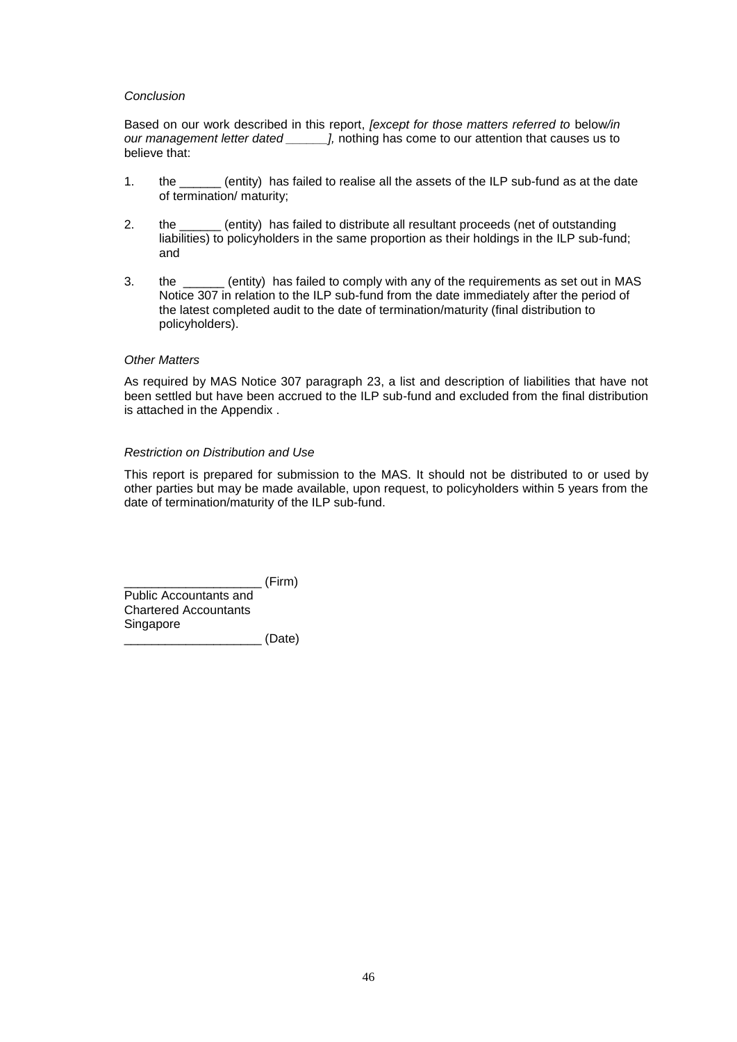#### *Conclusion*

Based on our work described in this report, *[except for those matters referred to* below*/in our management letter dated \_\_\_\_\_\_],* nothing has come to our attention that causes us to believe that:

- 1. the \_\_\_\_\_\_ (entity) has failed to realise all the assets of the ILP sub-fund as at the date of termination/ maturity;
- 2. the centity) has failed to distribute all resultant proceeds (net of outstanding liabilities) to policyholders in the same proportion as their holdings in the ILP sub-fund; and
- 3. the (entity) has failed to comply with any of the requirements as set out in MAS Notice 307 in relation to the ILP sub-fund from the date immediately after the period of the latest completed audit to the date of termination/maturity (final distribution to policyholders).

#### *Other Matters*

As required by MAS Notice 307 paragraph 23, a list and description of liabilities that have not been settled but have been accrued to the ILP sub-fund and excluded from the final distribution is attached in the Appendix .

#### *Restriction on Distribution and Use*

This report is prepared for submission to the MAS. It should not be distributed to or used by other parties but may be made available, upon request, to policyholders within 5 years from the date of termination/maturity of the ILP sub-fund.

 $(Firm)$ Public Accountants and Chartered Accountants **Singapore** 

\_\_\_\_\_\_\_\_\_\_\_\_\_\_\_\_\_\_\_\_ (Date)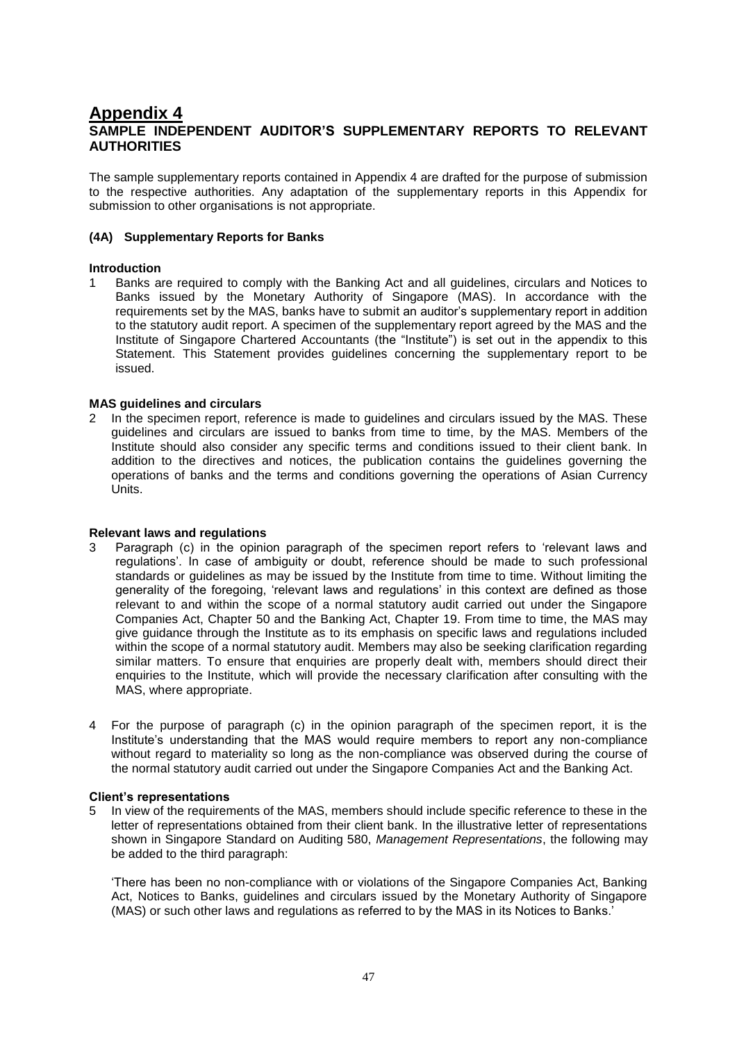## **Appendix 4 SAMPLE INDEPENDENT AUDITOR'S SUPPLEMENTARY REPORTS TO RELEVANT AUTHORITIES**

The sample supplementary reports contained in Appendix 4 are drafted for the purpose of submission to the respective authorities. Any adaptation of the supplementary reports in this Appendix for submission to other organisations is not appropriate.

## **(4A) Supplementary Reports for Banks**

#### **Introduction**

1 Banks are required to comply with the Banking Act and all guidelines, circulars and Notices to Banks issued by the Monetary Authority of Singapore (MAS). In accordance with the requirements set by the MAS, banks have to submit an auditor's supplementary report in addition to the statutory audit report. A specimen of the supplementary report agreed by the MAS and the Institute of Singapore Chartered Accountants (the "Institute") is set out in the appendix to this Statement. This Statement provides guidelines concerning the supplementary report to be issued.

#### **MAS guidelines and circulars**

2 In the specimen report, reference is made to guidelines and circulars issued by the MAS. These guidelines and circulars are issued to banks from time to time, by the MAS. Members of the Institute should also consider any specific terms and conditions issued to their client bank. In addition to the directives and notices, the publication contains the guidelines governing the operations of banks and the terms and conditions governing the operations of Asian Currency Units.

#### **Relevant laws and regulations**

- 3 Paragraph (c) in the opinion paragraph of the specimen report refers to 'relevant laws and regulations'. In case of ambiguity or doubt, reference should be made to such professional standards or guidelines as may be issued by the Institute from time to time. Without limiting the generality of the foregoing, 'relevant laws and regulations' in this context are defined as those relevant to and within the scope of a normal statutory audit carried out under the Singapore Companies Act, Chapter 50 and the Banking Act, Chapter 19. From time to time, the MAS may give guidance through the Institute as to its emphasis on specific laws and regulations included within the scope of a normal statutory audit. Members may also be seeking clarification regarding similar matters. To ensure that enquiries are properly dealt with, members should direct their enquiries to the Institute, which will provide the necessary clarification after consulting with the MAS, where appropriate.
- 4 For the purpose of paragraph (c) in the opinion paragraph of the specimen report, it is the Institute's understanding that the MAS would require members to report any non-compliance without regard to materiality so long as the non-compliance was observed during the course of the normal statutory audit carried out under the Singapore Companies Act and the Banking Act.

#### **Client's representations**

5 In view of the requirements of the MAS, members should include specific reference to these in the letter of representations obtained from their client bank. In the illustrative letter of representations shown in Singapore Standard on Auditing 580, *Management Representations*, the following may be added to the third paragraph:

'There has been no non-compliance with or violations of the Singapore Companies Act, Banking Act, Notices to Banks, guidelines and circulars issued by the Monetary Authority of Singapore (MAS) or such other laws and regulations as referred to by the MAS in its Notices to Banks.'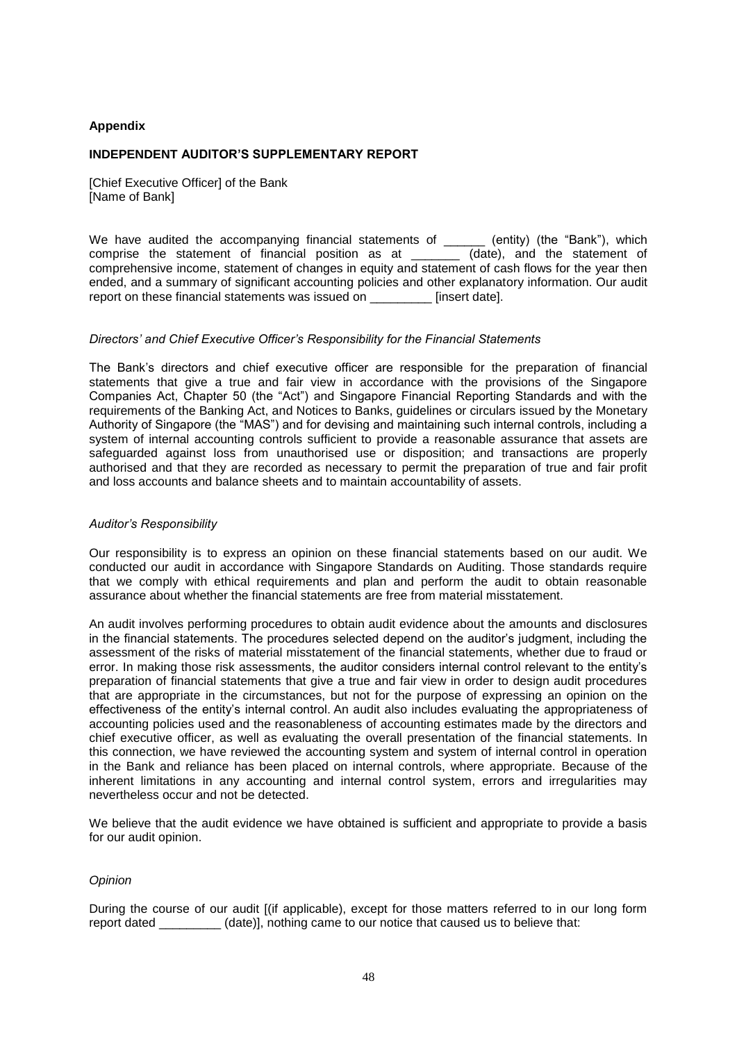#### **Appendix**

#### **INDEPENDENT AUDITOR'S SUPPLEMENTARY REPORT**

[Chief Executive Officer] of the Bank [Name of Bank]

We have audited the accompanying financial statements of \_\_\_\_\_\_ (entity) (the "Bank"), which comprise the statement of financial position as at \_\_\_\_\_\_ (date), and the statement of comprehensive income, statement of changes in equity and statement of cash flows for the year then ended, and a summary of significant accounting policies and other explanatory information. Our audit report on these financial statements was issued on **Example 2** [insert date].

#### *Directors' and Chief Executive Officer's Responsibility for the Financial Statements*

The Bank's directors and chief executive officer are responsible for the preparation of financial statements that give a true and fair view in accordance with the provisions of the Singapore Companies Act, Chapter 50 (the "Act") and Singapore Financial Reporting Standards and with the requirements of the Banking Act, and Notices to Banks, guidelines or circulars issued by the Monetary Authority of Singapore (the "MAS") and for devising and maintaining such internal controls, including a system of internal accounting controls sufficient to provide a reasonable assurance that assets are safeguarded against loss from unauthorised use or disposition; and transactions are properly authorised and that they are recorded as necessary to permit the preparation of true and fair profit and loss accounts and balance sheets and to maintain accountability of assets.

#### *Auditor's Responsibility*

Our responsibility is to express an opinion on these financial statements based on our audit. We conducted our audit in accordance with Singapore Standards on Auditing. Those standards require that we comply with ethical requirements and plan and perform the audit to obtain reasonable assurance about whether the financial statements are free from material misstatement.

An audit involves performing procedures to obtain audit evidence about the amounts and disclosures in the financial statements. The procedures selected depend on the auditor's judgment, including the assessment of the risks of material misstatement of the financial statements, whether due to fraud or error. In making those risk assessments, the auditor considers internal control relevant to the entity's preparation of financial statements that give a true and fair view in order to design audit procedures that are appropriate in the circumstances, but not for the purpose of expressing an opinion on the effectiveness of the entity's internal control. An audit also includes evaluating the appropriateness of accounting policies used and the reasonableness of accounting estimates made by the directors and chief executive officer, as well as evaluating the overall presentation of the financial statements. In this connection, we have reviewed the accounting system and system of internal control in operation in the Bank and reliance has been placed on internal controls, where appropriate. Because of the inherent limitations in any accounting and internal control system, errors and irregularities may nevertheless occur and not be detected.

We believe that the audit evidence we have obtained is sufficient and appropriate to provide a basis for our audit opinion.

#### *Opinion*

During the course of our audit [(if applicable), except for those matters referred to in our long form report dated \_\_\_\_\_\_\_\_\_ (date)], nothing came to our notice that caused us to believe that: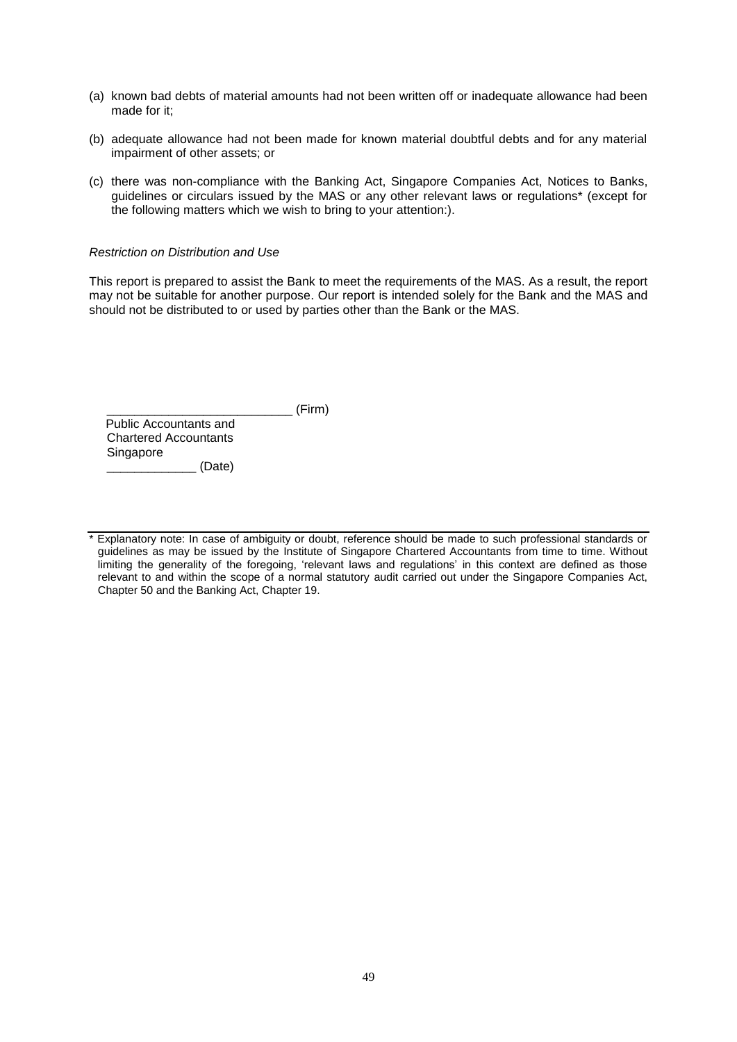- (a) known bad debts of material amounts had not been written off or inadequate allowance had been made for it;
- (b) adequate allowance had not been made for known material doubtful debts and for any material impairment of other assets; or
- (c) there was non-compliance with the Banking Act, Singapore Companies Act, Notices to Banks, guidelines or circulars issued by the MAS or any other relevant laws or regulations\* (except for the following matters which we wish to bring to your attention:).

#### *Restriction on Distribution and Use*

This report is prepared to assist the Bank to meet the requirements of the MAS. As a result, the report may not be suitable for another purpose. Our report is intended solely for the Bank and the MAS and should not be distributed to or used by parties other than the Bank or the MAS.

 $(Firm)$ Public Accountants and Chartered Accountants Singapore

\_\_\_\_\_\_\_\_\_\_\_\_\_ (Date)

<sup>\*</sup> Explanatory note: In case of ambiguity or doubt, reference should be made to such professional standards or guidelines as may be issued by the Institute of Singapore Chartered Accountants from time to time. Without limiting the generality of the foregoing, 'relevant laws and regulations' in this context are defined as those relevant to and within the scope of a normal statutory audit carried out under the Singapore Companies Act, Chapter 50 and the Banking Act, Chapter 19.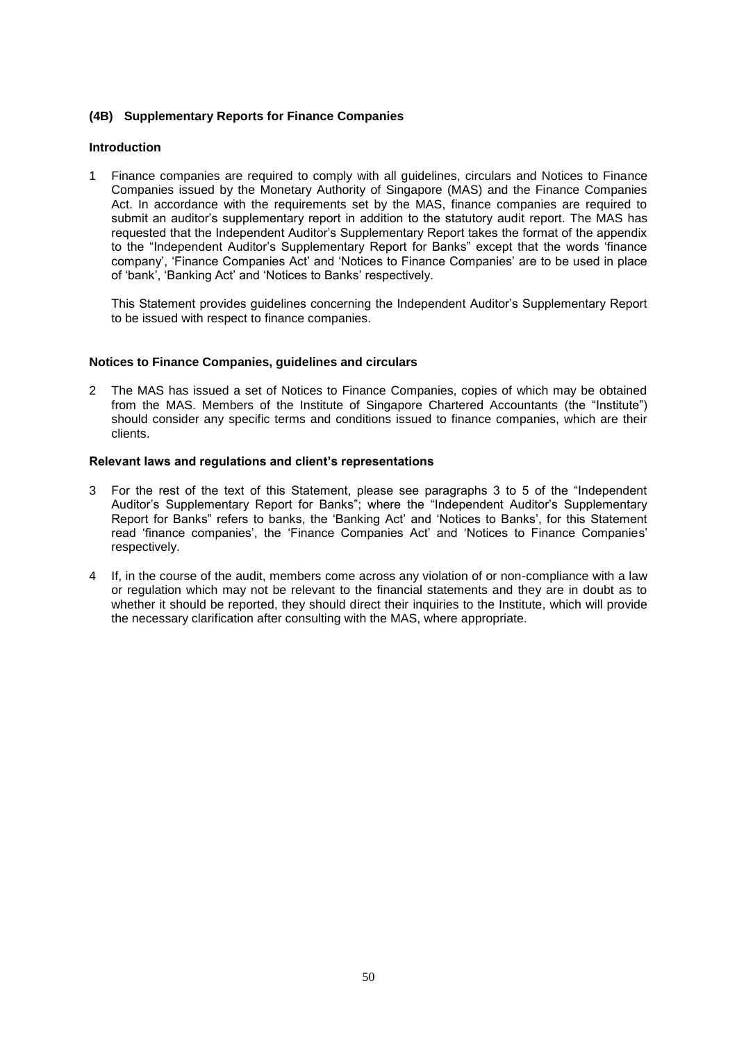## **(4B) Supplementary Reports for Finance Companies**

#### **Introduction**

1 Finance companies are required to comply with all guidelines, circulars and Notices to Finance Companies issued by the Monetary Authority of Singapore (MAS) and the Finance Companies Act. In accordance with the requirements set by the MAS, finance companies are required to submit an auditor's supplementary report in addition to the statutory audit report. The MAS has requested that the Independent Auditor's Supplementary Report takes the format of the appendix to the "Independent Auditor's Supplementary Report for Banks" except that the words 'finance company', 'Finance Companies Act' and 'Notices to Finance Companies' are to be used in place of 'bank', 'Banking Act' and 'Notices to Banks' respectively.

This Statement provides guidelines concerning the Independent Auditor's Supplementary Report to be issued with respect to finance companies.

#### **Notices to Finance Companies, guidelines and circulars**

2 The MAS has issued a set of Notices to Finance Companies, copies of which may be obtained from the MAS. Members of the Institute of Singapore Chartered Accountants (the "Institute") should consider any specific terms and conditions issued to finance companies, which are their clients.

#### **Relevant laws and regulations and client's representations**

- 3 For the rest of the text of this Statement, please see paragraphs 3 to 5 of the "Independent Auditor's Supplementary Report for Banks"; where the "Independent Auditor's Supplementary Report for Banks" refers to banks, the 'Banking Act' and 'Notices to Banks', for this Statement read 'finance companies', the 'Finance Companies Act' and 'Notices to Finance Companies' respectively.
- 4 If, in the course of the audit, members come across any violation of or non-compliance with a law or regulation which may not be relevant to the financial statements and they are in doubt as to whether it should be reported, they should direct their inquiries to the Institute, which will provide the necessary clarification after consulting with the MAS, where appropriate.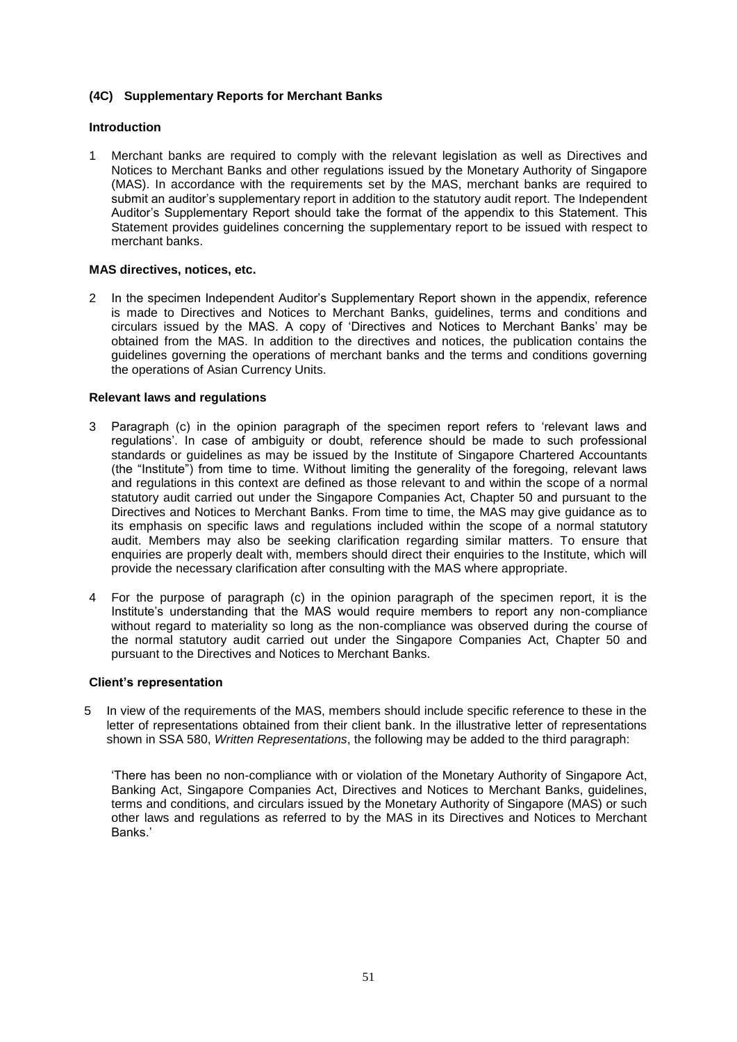## **(4C) Supplementary Reports for Merchant Banks**

#### **Introduction**

1 Merchant banks are required to comply with the relevant legislation as well as Directives and Notices to Merchant Banks and other regulations issued by the Monetary Authority of Singapore (MAS). In accordance with the requirements set by the MAS, merchant banks are required to submit an auditor's supplementary report in addition to the statutory audit report. The Independent Auditor's Supplementary Report should take the format of the appendix to this Statement. This Statement provides guidelines concerning the supplementary report to be issued with respect to merchant banks.

#### **MAS directives, notices, etc.**

2 In the specimen Independent Auditor's Supplementary Report shown in the appendix, reference is made to Directives and Notices to Merchant Banks, guidelines, terms and conditions and circulars issued by the MAS. A copy of 'Directives and Notices to Merchant Banks' may be obtained from the MAS. In addition to the directives and notices, the publication contains the guidelines governing the operations of merchant banks and the terms and conditions governing the operations of Asian Currency Units.

#### **Relevant laws and regulations**

- 3 Paragraph (c) in the opinion paragraph of the specimen report refers to 'relevant laws and regulations'. In case of ambiguity or doubt, reference should be made to such professional standards or guidelines as may be issued by the Institute of Singapore Chartered Accountants (the "Institute") from time to time. Without limiting the generality of the foregoing, relevant laws and regulations in this context are defined as those relevant to and within the scope of a normal statutory audit carried out under the Singapore Companies Act, Chapter 50 and pursuant to the Directives and Notices to Merchant Banks. From time to time, the MAS may give guidance as to its emphasis on specific laws and regulations included within the scope of a normal statutory audit. Members may also be seeking clarification regarding similar matters. To ensure that enquiries are properly dealt with, members should direct their enquiries to the Institute, which will provide the necessary clarification after consulting with the MAS where appropriate.
- 4 For the purpose of paragraph (c) in the opinion paragraph of the specimen report, it is the Institute's understanding that the MAS would require members to report any non-compliance without regard to materiality so long as the non-compliance was observed during the course of the normal statutory audit carried out under the Singapore Companies Act, Chapter 50 and pursuant to the Directives and Notices to Merchant Banks.

## **Client's representation**

5 In view of the requirements of the MAS, members should include specific reference to these in the letter of representations obtained from their client bank. In the illustrative letter of representations shown in SSA 580, *Written Representations*, the following may be added to the third paragraph:

'There has been no non-compliance with or violation of the Monetary Authority of Singapore Act, Banking Act, Singapore Companies Act, Directives and Notices to Merchant Banks, guidelines, terms and conditions, and circulars issued by the Monetary Authority of Singapore (MAS) or such other laws and regulations as referred to by the MAS in its Directives and Notices to Merchant Banks.'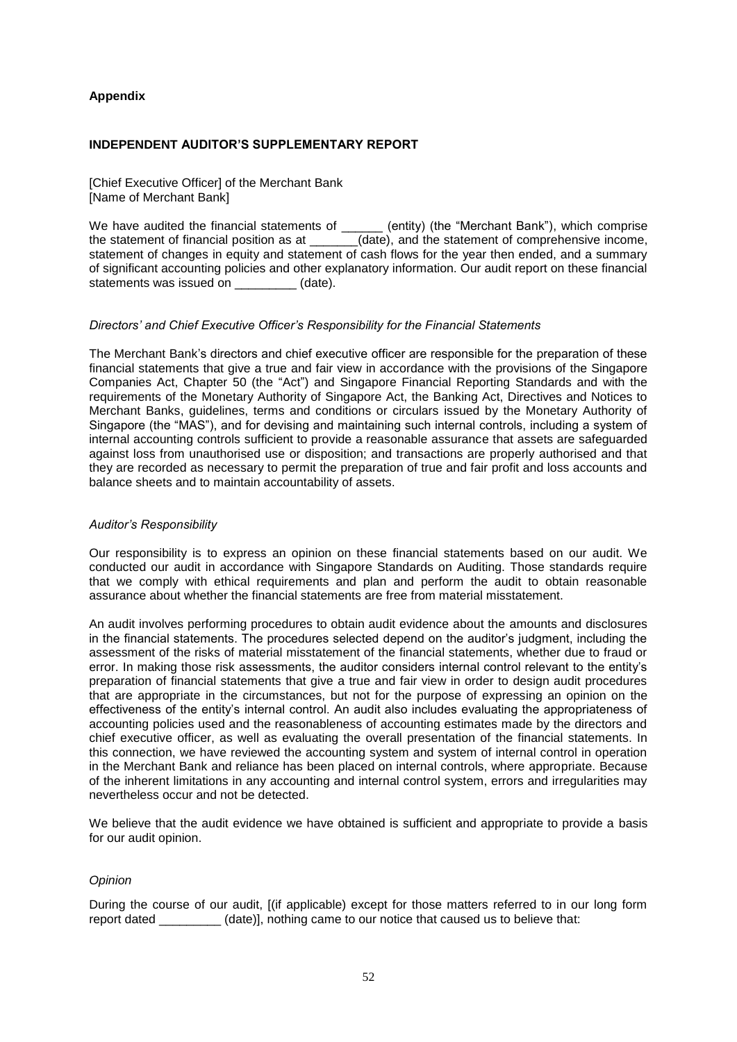## **Appendix**

### **INDEPENDENT AUDITOR'S SUPPLEMENTARY REPORT**

[Chief Executive Officer] of the Merchant Bank [Name of Merchant Bank]

We have audited the financial statements of (entity) (the "Merchant Bank"), which comprise the statement of financial position as at  $\frac{1}{\sqrt{1-\frac{1}{\sqrt{1-\frac{1}{\sqrt{1-\frac{1}{\sqrt{1-\frac{1}{\sqrt{1-\frac{1}{\sqrt{1-\frac{1}{\sqrt{1-\frac{1}{\sqrt{1-\frac{1}{\sqrt{1-\frac{1}{\sqrt{1-\frac{1}{\sqrt{1-\frac{1}{\sqrt{1-\frac{1}{\sqrt{1-\frac{1}{\sqrt{1-\frac{1}{\sqrt{1-\frac{1}{\sqrt{1-\frac{1}{\sqrt{1-\frac{1}{\sqrt{1-\frac{1}{\sqrt{1-\frac{1}{\sqrt$ statement of changes in equity and statement of cash flows for the year then ended, and a summary of significant accounting policies and other explanatory information. Our audit report on these financial statements was issued on  $(date).$ 

#### *Directors' and Chief Executive Officer's Responsibility for the Financial Statements*

The Merchant Bank's directors and chief executive officer are responsible for the preparation of these financial statements that give a true and fair view in accordance with the provisions of the Singapore Companies Act, Chapter 50 (the "Act") and Singapore Financial Reporting Standards and with the requirements of the Monetary Authority of Singapore Act, the Banking Act, Directives and Notices to Merchant Banks, guidelines, terms and conditions or circulars issued by the Monetary Authority of Singapore (the "MAS"), and for devising and maintaining such internal controls, including a system of internal accounting controls sufficient to provide a reasonable assurance that assets are safeguarded against loss from unauthorised use or disposition; and transactions are properly authorised and that they are recorded as necessary to permit the preparation of true and fair profit and loss accounts and balance sheets and to maintain accountability of assets.

### *Auditor's Responsibility*

Our responsibility is to express an opinion on these financial statements based on our audit. We conducted our audit in accordance with Singapore Standards on Auditing. Those standards require that we comply with ethical requirements and plan and perform the audit to obtain reasonable assurance about whether the financial statements are free from material misstatement.

An audit involves performing procedures to obtain audit evidence about the amounts and disclosures in the financial statements. The procedures selected depend on the auditor's judgment, including the assessment of the risks of material misstatement of the financial statements, whether due to fraud or error. In making those risk assessments, the auditor considers internal control relevant to the entity's preparation of financial statements that give a true and fair view in order to design audit procedures that are appropriate in the circumstances, but not for the purpose of expressing an opinion on the effectiveness of the entity's internal control. An audit also includes evaluating the appropriateness of accounting policies used and the reasonableness of accounting estimates made by the directors and chief executive officer, as well as evaluating the overall presentation of the financial statements. In this connection, we have reviewed the accounting system and system of internal control in operation in the Merchant Bank and reliance has been placed on internal controls, where appropriate. Because of the inherent limitations in any accounting and internal control system, errors and irregularities may nevertheless occur and not be detected.

We believe that the audit evidence we have obtained is sufficient and appropriate to provide a basis for our audit opinion.

## *Opinion*

During the course of our audit, [(if applicable) except for those matters referred to in our long form report dated \_\_\_\_\_\_\_\_\_ (date)], nothing came to our notice that caused us to believe that: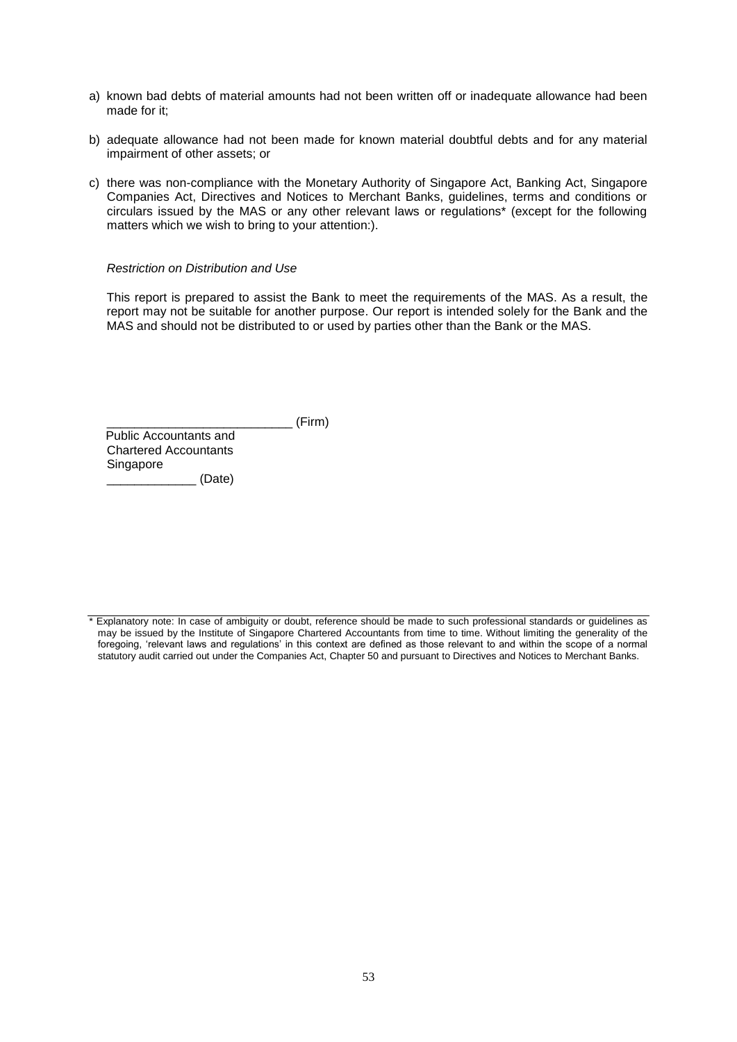- a) known bad debts of material amounts had not been written off or inadequate allowance had been made for it;
- b) adequate allowance had not been made for known material doubtful debts and for any material impairment of other assets; or
- c) there was non-compliance with the Monetary Authority of Singapore Act, Banking Act, Singapore Companies Act, Directives and Notices to Merchant Banks, guidelines, terms and conditions or circulars issued by the MAS or any other relevant laws or regulations\* (except for the following matters which we wish to bring to your attention:).

#### *Restriction on Distribution and Use*

This report is prepared to assist the Bank to meet the requirements of the MAS. As a result, the report may not be suitable for another purpose. Our report is intended solely for the Bank and the MAS and should not be distributed to or used by parties other than the Bank or the MAS.

 $(Firm)$ 

Public Accountants and Chartered Accountants Singapore

\_\_\_\_\_\_\_\_\_\_\_\_\_ (Date)

<sup>\*</sup> Explanatory note: In case of ambiguity or doubt, reference should be made to such professional standards or guidelines as may be issued by the Institute of Singapore Chartered Accountants from time to time. Without limiting the generality of the foregoing, 'relevant laws and regulations' in this context are defined as those relevant to and within the scope of a normal statutory audit carried out under the Companies Act, Chapter 50 and pursuant to Directives and Notices to Merchant Banks.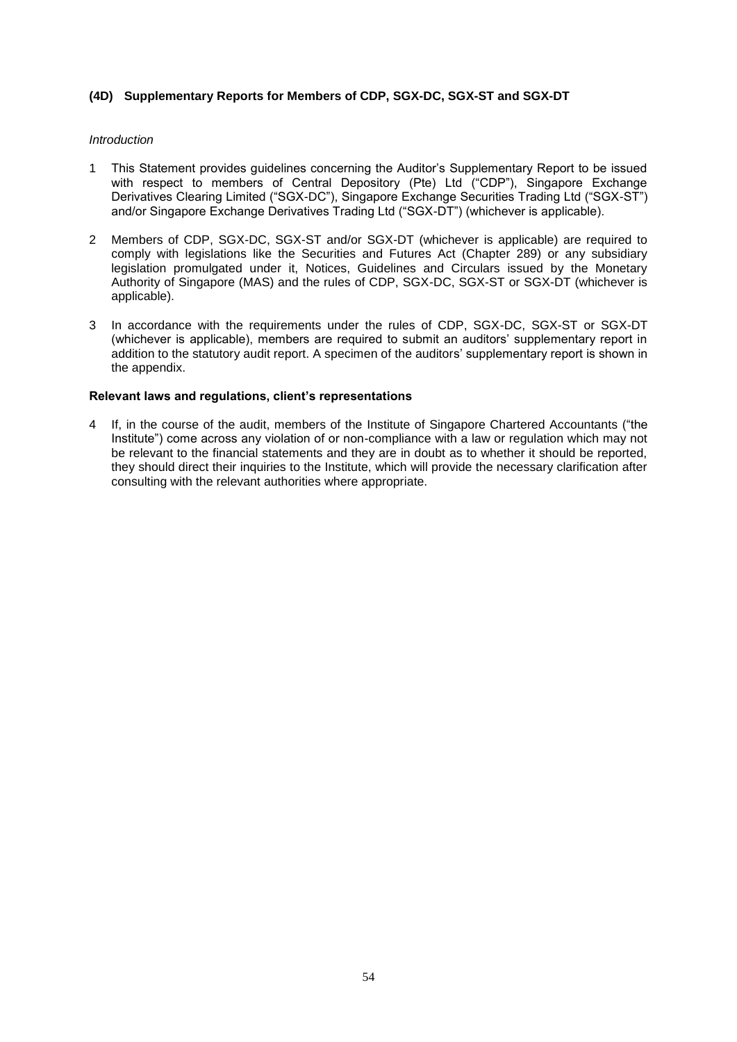## **(4D) Supplementary Reports for Members of CDP, SGX-DC, SGX-ST and SGX-DT**

#### *Introduction*

- 1 This Statement provides guidelines concerning the Auditor's Supplementary Report to be issued with respect to members of Central Depository (Pte) Ltd ("CDP"), Singapore Exchange Derivatives Clearing Limited ("SGX-DC"), Singapore Exchange Securities Trading Ltd ("SGX-ST") and/or Singapore Exchange Derivatives Trading Ltd ("SGX-DT") (whichever is applicable).
- 2 Members of CDP, SGX-DC, SGX-ST and/or SGX-DT (whichever is applicable) are required to comply with legislations like the Securities and Futures Act (Chapter 289) or any subsidiary legislation promulgated under it, Notices, Guidelines and Circulars issued by the Monetary Authority of Singapore (MAS) and the rules of CDP, SGX-DC, SGX-ST or SGX-DT (whichever is applicable).
- 3 In accordance with the requirements under the rules of CDP, SGX-DC, SGX-ST or SGX-DT (whichever is applicable), members are required to submit an auditors' supplementary report in addition to the statutory audit report. A specimen of the auditors' supplementary report is shown in the appendix.

#### **Relevant laws and regulations, client's representations**

4 If, in the course of the audit, members of the Institute of Singapore Chartered Accountants ("the Institute") come across any violation of or non-compliance with a law or regulation which may not be relevant to the financial statements and they are in doubt as to whether it should be reported, they should direct their inquiries to the Institute, which will provide the necessary clarification after consulting with the relevant authorities where appropriate.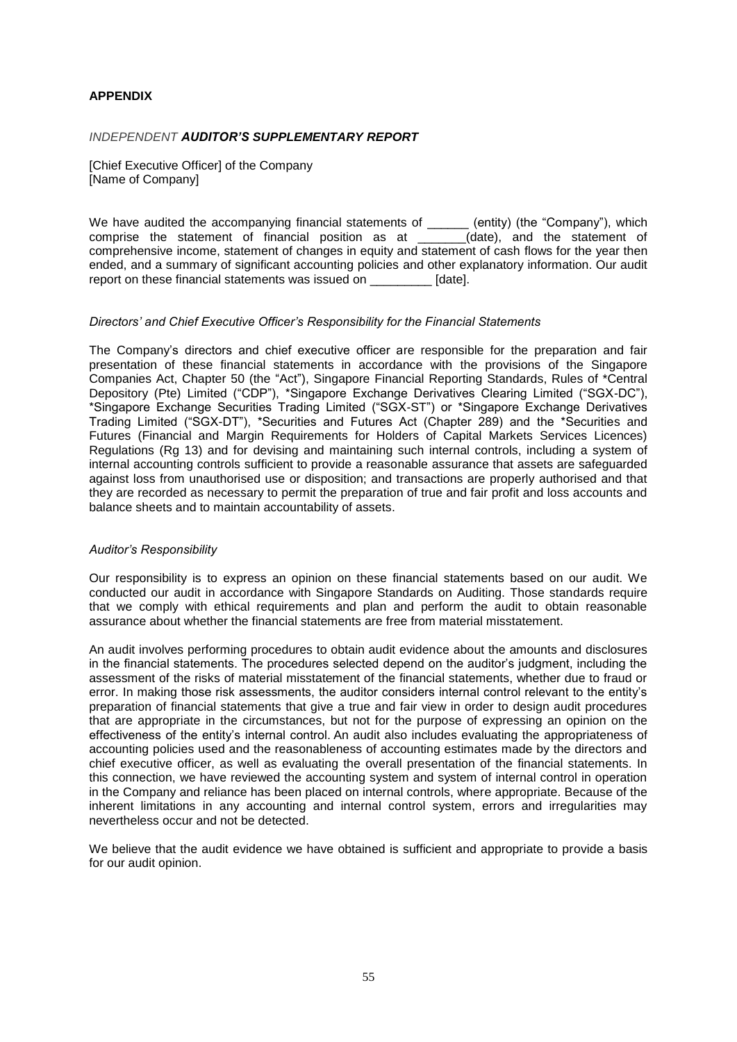## **APPENDIX**

### *INDEPENDENT AUDITOR'S SUPPLEMENTARY REPORT*

[Chief Executive Officer] of the Company [Name of Company]

We have audited the accompanying financial statements of \_\_\_\_\_\_ (entity) (the "Company"), which comprise the statement of financial position as at \_\_\_\_\_\_\_(date), and the statement of comprehensive income, statement of changes in equity and statement of cash flows for the year then ended, and a summary of significant accounting policies and other explanatory information. Our audit report on these financial statements was issued on **Fig. 1** [date].

#### *Directors' and Chief Executive Officer's Responsibility for the Financial Statements*

The Company's directors and chief executive officer are responsible for the preparation and fair presentation of these financial statements in accordance with the provisions of the Singapore Companies Act, Chapter 50 (the "Act"), Singapore Financial Reporting Standards, Rules of \*Central Depository (Pte) Limited ("CDP"), \*Singapore Exchange Derivatives Clearing Limited ("SGX-DC"), \*Singapore Exchange Securities Trading Limited ("SGX-ST") or \*Singapore Exchange Derivatives Trading Limited ("SGX-DT"), \*Securities and Futures Act (Chapter 289) and the \*Securities and Futures (Financial and Margin Requirements for Holders of Capital Markets Services Licences) Regulations (Rg 13) and for devising and maintaining such internal controls, including a system of internal accounting controls sufficient to provide a reasonable assurance that assets are safeguarded against loss from unauthorised use or disposition; and transactions are properly authorised and that they are recorded as necessary to permit the preparation of true and fair profit and loss accounts and balance sheets and to maintain accountability of assets.

#### *Auditor's Responsibility*

Our responsibility is to express an opinion on these financial statements based on our audit. We conducted our audit in accordance with Singapore Standards on Auditing. Those standards require that we comply with ethical requirements and plan and perform the audit to obtain reasonable assurance about whether the financial statements are free from material misstatement.

An audit involves performing procedures to obtain audit evidence about the amounts and disclosures in the financial statements. The procedures selected depend on the auditor's judgment, including the assessment of the risks of material misstatement of the financial statements, whether due to fraud or error. In making those risk assessments, the auditor considers internal control relevant to the entity's preparation of financial statements that give a true and fair view in order to design audit procedures that are appropriate in the circumstances, but not for the purpose of expressing an opinion on the effectiveness of the entity's internal control. An audit also includes evaluating the appropriateness of accounting policies used and the reasonableness of accounting estimates made by the directors and chief executive officer, as well as evaluating the overall presentation of the financial statements. In this connection, we have reviewed the accounting system and system of internal control in operation in the Company and reliance has been placed on internal controls, where appropriate. Because of the inherent limitations in any accounting and internal control system, errors and irregularities may nevertheless occur and not be detected.

We believe that the audit evidence we have obtained is sufficient and appropriate to provide a basis for our audit opinion.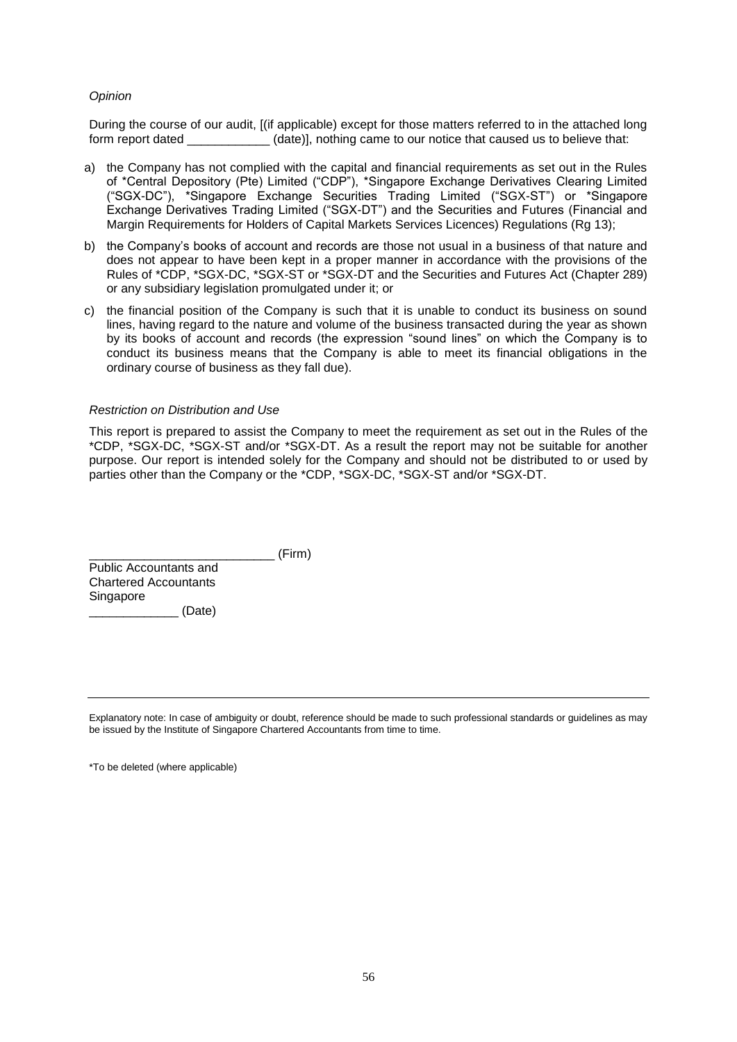#### *Opinion*

During the course of our audit, [(if applicable) except for those matters referred to in the attached long form report dated  $(date)$ , nothing came to our notice that caused us to believe that:

- a) the Company has not complied with the capital and financial requirements as set out in the Rules of \*Central Depository (Pte) Limited ("CDP"), \*Singapore Exchange Derivatives Clearing Limited ("SGX-DC"), \*Singapore Exchange Securities Trading Limited ("SGX-ST") or \*Singapore Exchange Derivatives Trading Limited ("SGX-DT") and the Securities and Futures (Financial and Margin Requirements for Holders of Capital Markets Services Licences) Regulations (Rg 13);
- b) the Company's books of account and records are those not usual in a business of that nature and does not appear to have been kept in a proper manner in accordance with the provisions of the Rules of \*CDP, \*SGX-DC, \*SGX-ST or \*SGX-DT and the Securities and Futures Act (Chapter 289) or any subsidiary legislation promulgated under it; or
- c) the financial position of the Company is such that it is unable to conduct its business on sound lines, having regard to the nature and volume of the business transacted during the year as shown by its books of account and records (the expression "sound lines" on which the Company is to conduct its business means that the Company is able to meet its financial obligations in the ordinary course of business as they fall due).

#### *Restriction on Distribution and Use*

This report is prepared to assist the Company to meet the requirement as set out in the Rules of the \*CDP, \*SGX-DC, \*SGX-ST and/or \*SGX-DT. As a result the report may not be suitable for another purpose. Our report is intended solely for the Company and should not be distributed to or used by parties other than the Company or the \*CDP, \*SGX-DC, \*SGX-ST and/or \*SGX-DT.

 $(Firm)$ Public Accountants and Chartered Accountants Singapore \_\_\_\_\_\_\_\_\_\_\_\_\_ (Date)

Explanatory note: In case of ambiguity or doubt, reference should be made to such professional standards or guidelines as may be issued by the Institute of Singapore Chartered Accountants from time to time.

\*To be deleted (where applicable)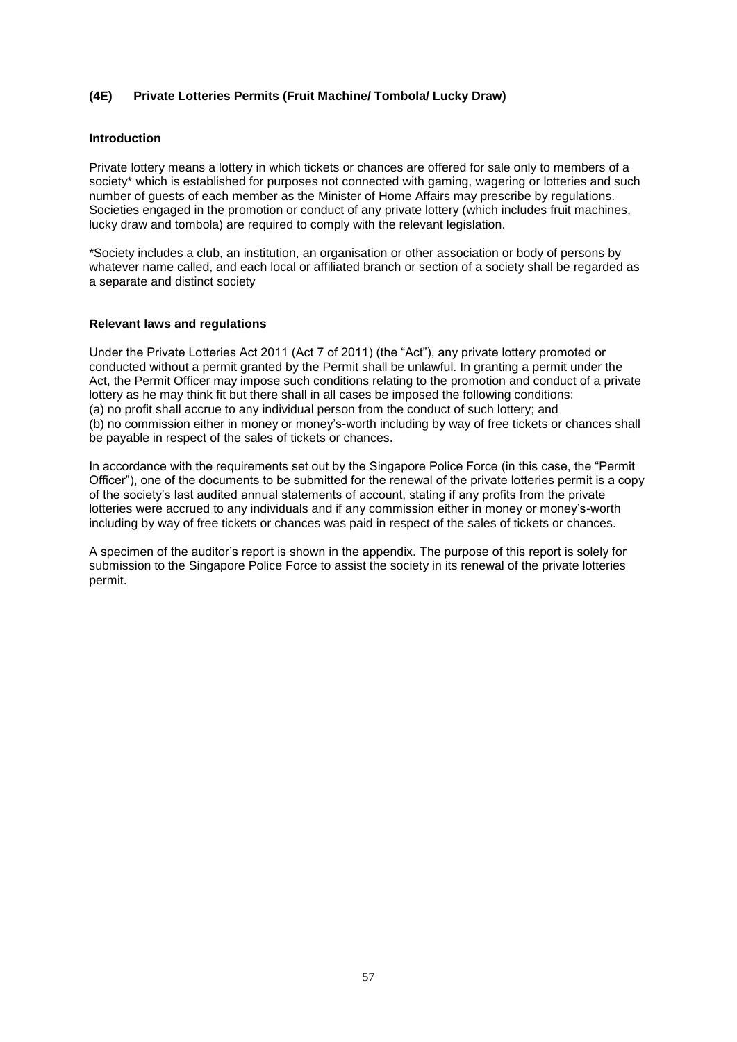## **(4E) Private Lotteries Permits (Fruit Machine/ Tombola/ Lucky Draw)**

#### **Introduction**

Private lottery means a lottery in which tickets or chances are offered for sale only to members of a society\* which is established for purposes not connected with gaming, wagering or lotteries and such number of guests of each member as the Minister of Home Affairs may prescribe by regulations. Societies engaged in the promotion or conduct of any private lottery (which includes fruit machines, lucky draw and tombola) are required to comply with the relevant legislation.

\*Society includes a club, an institution, an organisation or other association or body of persons by whatever name called, and each local or affiliated branch or section of a society shall be regarded as a separate and distinct society

#### **Relevant laws and regulations**

Under the Private Lotteries Act 2011 (Act 7 of 2011) (the "Act"), any private lottery promoted or conducted without a permit granted by the Permit shall be unlawful. In granting a permit under the Act, the Permit Officer may impose such conditions relating to the promotion and conduct of a private lottery as he may think fit but there shall in all cases be imposed the following conditions: (a) no profit shall accrue to any individual person from the conduct of such lottery; and (b) no commission either in money or money's-worth including by way of free tickets or chances shall be payable in respect of the sales of tickets or chances.

In accordance with the requirements set out by the Singapore Police Force (in this case, the "Permit Officer"), one of the documents to be submitted for the renewal of the private lotteries permit is a copy of the society's last audited annual statements of account, stating if any profits from the private lotteries were accrued to any individuals and if any commission either in money or money's-worth including by way of free tickets or chances was paid in respect of the sales of tickets or chances.

A specimen of the auditor's report is shown in the appendix. The purpose of this report is solely for submission to the Singapore Police Force to assist the society in its renewal of the private lotteries permit.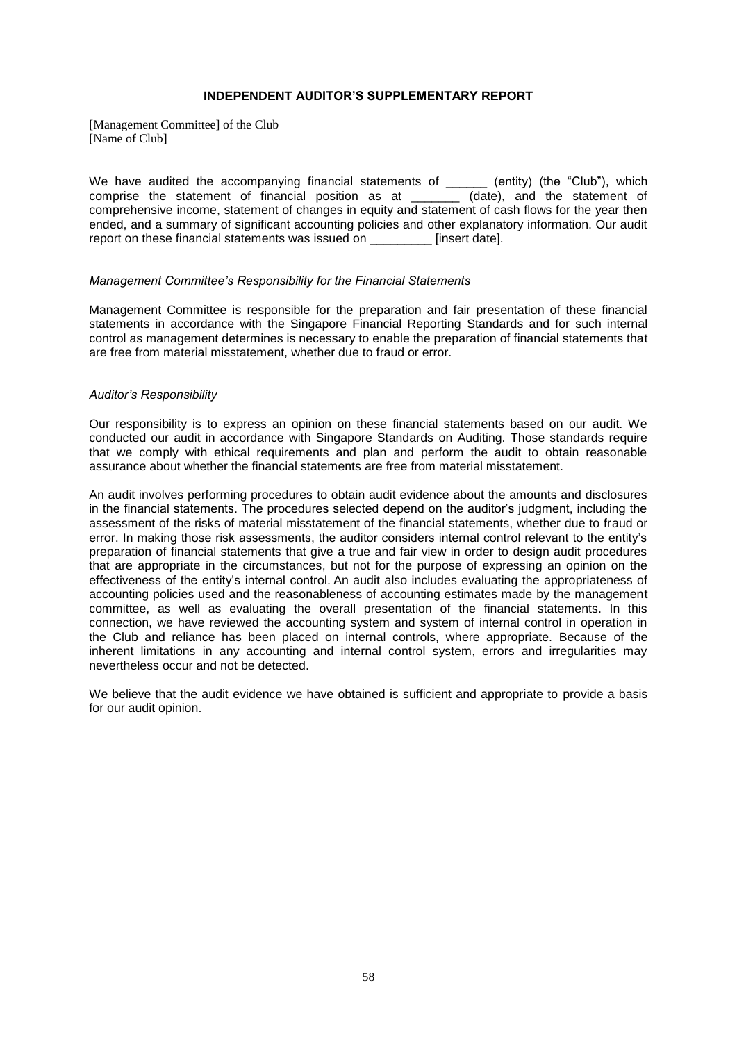#### **INDEPENDENT AUDITOR'S SUPPLEMENTARY REPORT**

[Management Committee] of the Club [Name of Club]

We have audited the accompanying financial statements of \_\_\_\_\_\_ (entity) (the "Club"), which comprise the statement of financial position as at \_\_\_\_\_\_\_ (date), and the statement of comprehensive income, statement of changes in equity and statement of cash flows for the year then ended, and a summary of significant accounting policies and other explanatory information. Our audit report on these financial statements was issued on \_\_\_\_\_\_\_\_\_ [insert date].

#### *Management Committee's Responsibility for the Financial Statements*

Management Committee is responsible for the preparation and fair presentation of these financial statements in accordance with the Singapore Financial Reporting Standards and for such internal control as management determines is necessary to enable the preparation of financial statements that are free from material misstatement, whether due to fraud or error.

#### *Auditor's Responsibility*

Our responsibility is to express an opinion on these financial statements based on our audit. We conducted our audit in accordance with Singapore Standards on Auditing. Those standards require that we comply with ethical requirements and plan and perform the audit to obtain reasonable assurance about whether the financial statements are free from material misstatement.

An audit involves performing procedures to obtain audit evidence about the amounts and disclosures in the financial statements. The procedures selected depend on the auditor's judgment, including the assessment of the risks of material misstatement of the financial statements, whether due to fraud or error. In making those risk assessments, the auditor considers internal control relevant to the entity's preparation of financial statements that give a true and fair view in order to design audit procedures that are appropriate in the circumstances, but not for the purpose of expressing an opinion on the effectiveness of the entity's internal control. An audit also includes evaluating the appropriateness of accounting policies used and the reasonableness of accounting estimates made by the management committee, as well as evaluating the overall presentation of the financial statements. In this connection, we have reviewed the accounting system and system of internal control in operation in the Club and reliance has been placed on internal controls, where appropriate. Because of the inherent limitations in any accounting and internal control system, errors and irregularities may nevertheless occur and not be detected.

We believe that the audit evidence we have obtained is sufficient and appropriate to provide a basis for our audit opinion.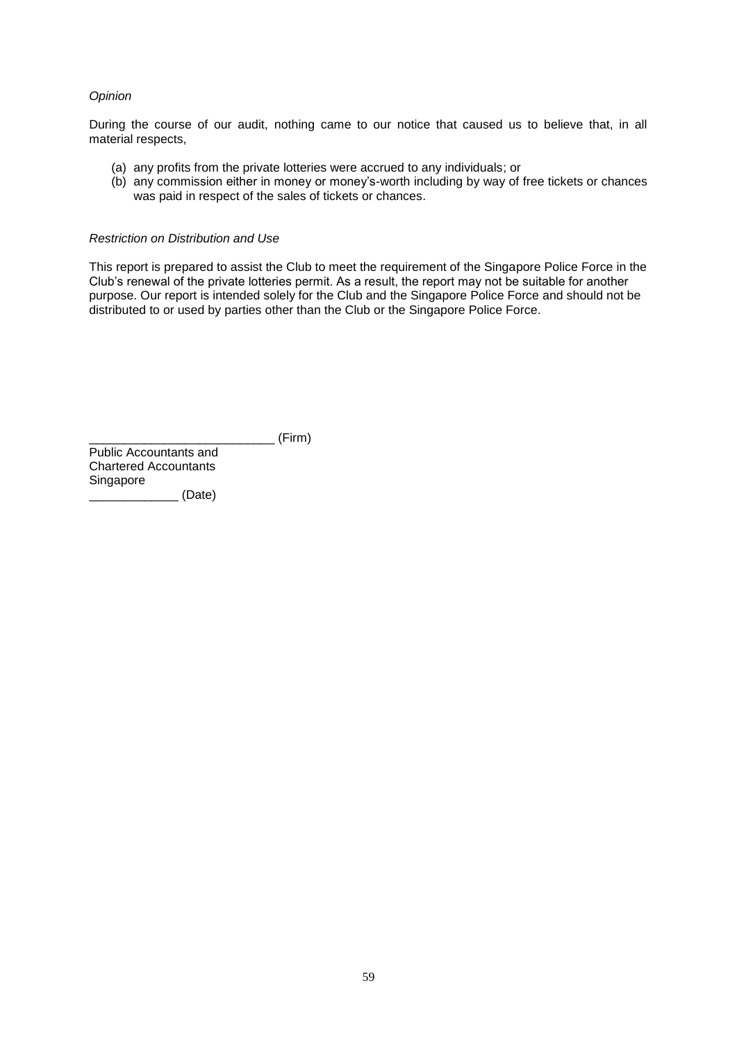#### *Opinion*

During the course of our audit, nothing came to our notice that caused us to believe that, in all material respects,

- (a) any profits from the private lotteries were accrued to any individuals; or
- (b) any commission either in money or money's-worth including by way of free tickets or chances was paid in respect of the sales of tickets or chances.

#### *Restriction on Distribution and Use*

This report is prepared to assist the Club to meet the requirement of the Singapore Police Force in the Club's renewal of the private lotteries permit. As a result, the report may not be suitable for another purpose. Our report is intended solely for the Club and the Singapore Police Force and should not be distributed to or used by parties other than the Club or the Singapore Police Force.

|                               | (Firm) |
|-------------------------------|--------|
| <b>Public Accountants and</b> |        |
| <b>Chartered Accountants</b>  |        |
| Singapore                     |        |
| (Date)                        |        |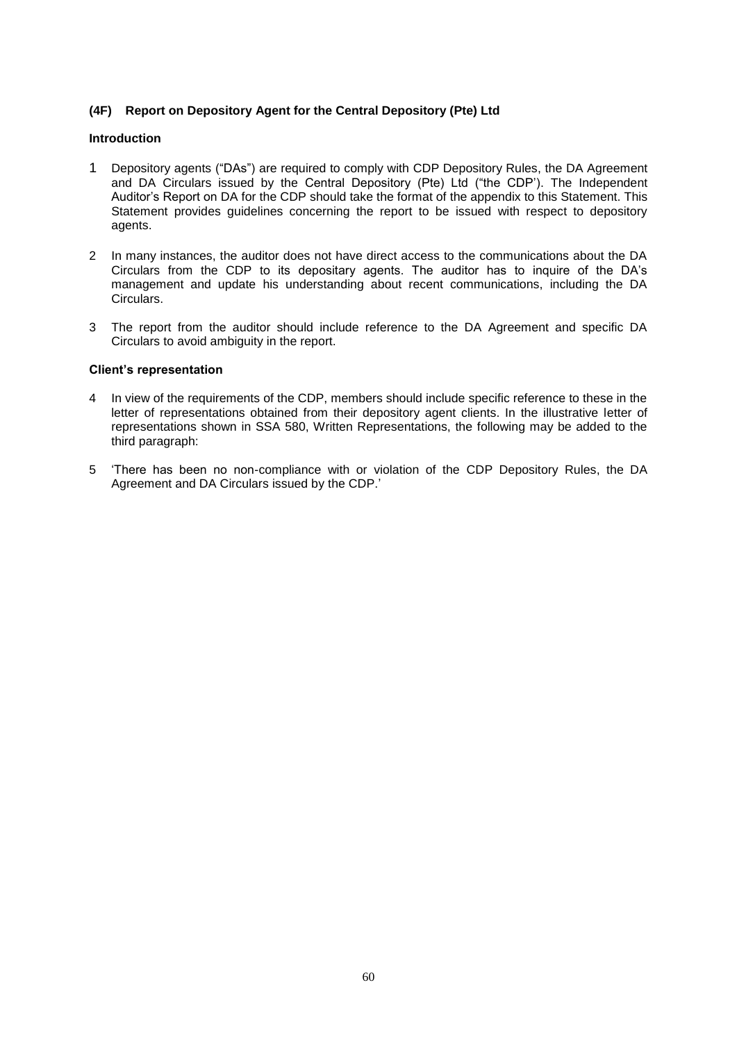## **(4F) Report on Depository Agent for the Central Depository (Pte) Ltd**

#### **Introduction**

- 1 Depository agents ("DAs") are required to comply with CDP Depository Rules, the DA Agreement and DA Circulars issued by the Central Depository (Pte) Ltd ("the CDP'). The Independent Auditor's Report on DA for the CDP should take the format of the appendix to this Statement. This Statement provides quidelines concerning the report to be issued with respect to depository agents.
- 2 In many instances, the auditor does not have direct access to the communications about the DA Circulars from the CDP to its depositary agents. The auditor has to inquire of the DA's management and update his understanding about recent communications, including the DA Circulars.
- 3 The report from the auditor should include reference to the DA Agreement and specific DA Circulars to avoid ambiguity in the report.

#### **Client's representation**

- 4 In view of the requirements of the CDP, members should include specific reference to these in the letter of representations obtained from their depository agent clients. In the illustrative letter of representations shown in SSA 580, Written Representations, the following may be added to the third paragraph:
- 5 'There has been no non-compliance with or violation of the CDP Depository Rules, the DA Agreement and DA Circulars issued by the CDP.'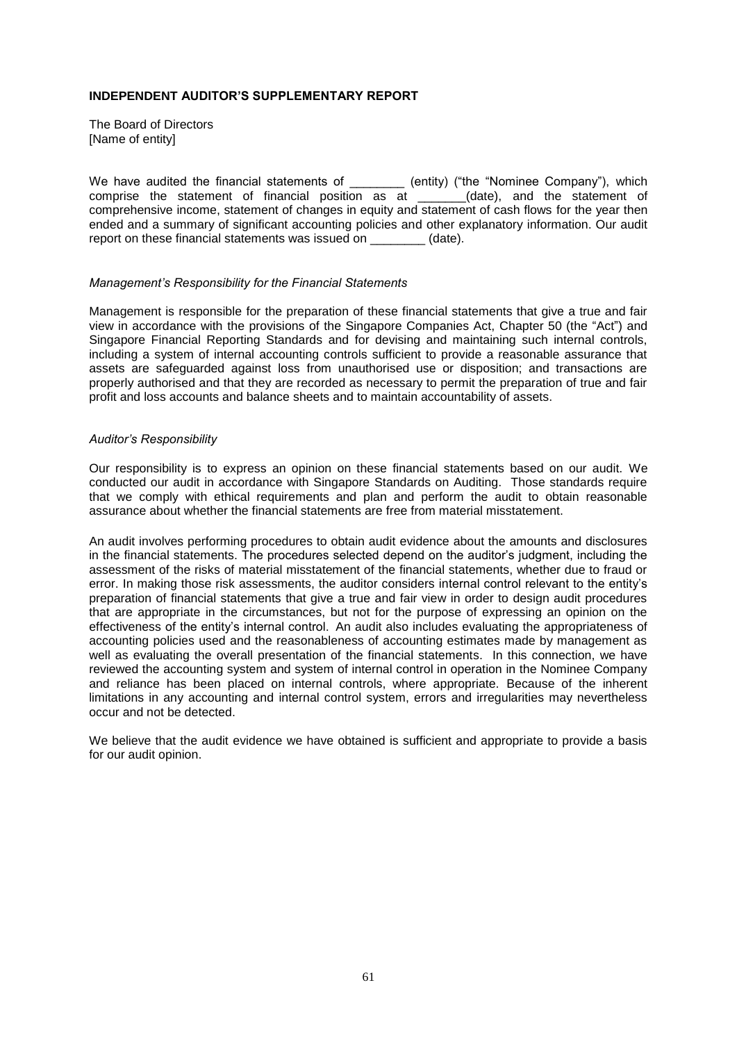### **INDEPENDENT AUDITOR'S SUPPLEMENTARY REPORT**

The Board of Directors [Name of entity]

We have audited the financial statements of \_\_\_\_\_\_\_\_\_ (entity) ("the "Nominee Company"), which comprise the statement of financial position as at \_\_\_\_\_(date), and the statement of comprehensive income, statement of changes in equity and statement of cash flows for the year then ended and a summary of significant accounting policies and other explanatory information. Our audit report on these financial statements was issued on  $(date)$ .

#### *Management's Responsibility for the Financial Statements*

Management is responsible for the preparation of these financial statements that give a true and fair view in accordance with the provisions of the Singapore Companies Act, Chapter 50 (the "Act") and Singapore Financial Reporting Standards and for devising and maintaining such internal controls, including a system of internal accounting controls sufficient to provide a reasonable assurance that assets are safeguarded against loss from unauthorised use or disposition; and transactions are properly authorised and that they are recorded as necessary to permit the preparation of true and fair profit and loss accounts and balance sheets and to maintain accountability of assets.

#### *Auditor's Responsibility*

Our responsibility is to express an opinion on these financial statements based on our audit. We conducted our audit in accordance with Singapore Standards on Auditing. Those standards require that we comply with ethical requirements and plan and perform the audit to obtain reasonable assurance about whether the financial statements are free from material misstatement.

An audit involves performing procedures to obtain audit evidence about the amounts and disclosures in the financial statements. The procedures selected depend on the auditor's judgment, including the assessment of the risks of material misstatement of the financial statements, whether due to fraud or error. In making those risk assessments, the auditor considers internal control relevant to the entity's preparation of financial statements that give a true and fair view in order to design audit procedures that are appropriate in the circumstances, but not for the purpose of expressing an opinion on the effectiveness of the entity's internal control. An audit also includes evaluating the appropriateness of accounting policies used and the reasonableness of accounting estimates made by management as well as evaluating the overall presentation of the financial statements. In this connection, we have reviewed the accounting system and system of internal control in operation in the Nominee Company and reliance has been placed on internal controls, where appropriate. Because of the inherent limitations in any accounting and internal control system, errors and irregularities may nevertheless occur and not be detected.

We believe that the audit evidence we have obtained is sufficient and appropriate to provide a basis for our audit opinion.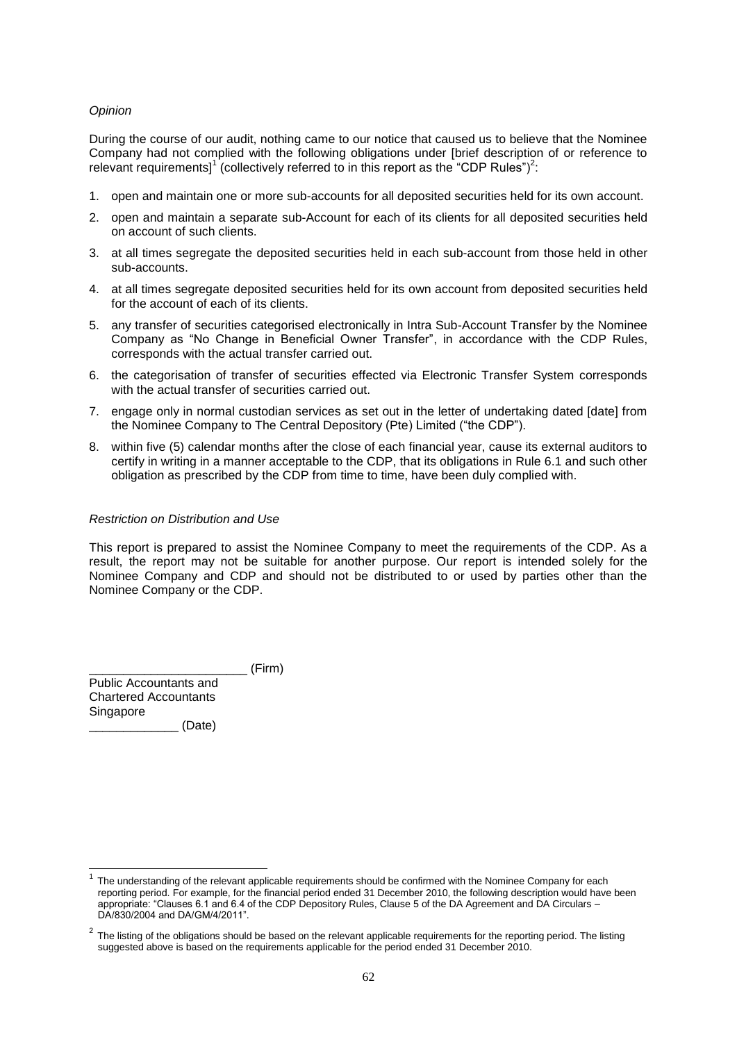## *Opinion*

During the course of our audit, nothing came to our notice that caused us to believe that the Nominee Company had not complied with the following obligations under [brief description of or reference to relevant requirements]<sup>1</sup> (collectively referred to in this report as the "CDP Rules")<sup>2</sup>:

- 1. open and maintain one or more sub-accounts for all deposited securities held for its own account.
- 2. open and maintain a separate sub-Account for each of its clients for all deposited securities held on account of such clients.
- 3. at all times segregate the deposited securities held in each sub-account from those held in other sub-accounts.
- 4. at all times segregate deposited securities held for its own account from deposited securities held for the account of each of its clients.
- 5. any transfer of securities categorised electronically in Intra Sub-Account Transfer by the Nominee Company as "No Change in Beneficial Owner Transfer", in accordance with the CDP Rules, corresponds with the actual transfer carried out.
- 6. the categorisation of transfer of securities effected via Electronic Transfer System corresponds with the actual transfer of securities carried out.
- 7. engage only in normal custodian services as set out in the letter of undertaking dated [date] from the Nominee Company to The Central Depository (Pte) Limited ("the CDP").
- 8. within five (5) calendar months after the close of each financial year, cause its external auditors to certify in writing in a manner acceptable to the CDP, that its obligations in Rule 6.1 and such other obligation as prescribed by the CDP from time to time, have been duly complied with.

#### *Restriction on Distribution and Use*

This report is prepared to assist the Nominee Company to meet the requirements of the CDP. As a result, the report may not be suitable for another purpose. Our report is intended solely for the Nominee Company and CDP and should not be distributed to or used by parties other than the Nominee Company or the CDP.

|                               | (Firm) |
|-------------------------------|--------|
| <b>Public Accountants and</b> |        |
| <b>Chartered Accountants</b>  |        |
| Singapore                     |        |
| (Date)                        |        |

-

<sup>1</sup>The understanding of the relevant applicable requirements should be confirmed with the Nominee Company for each reporting period. For example, for the financial period ended 31 December 2010, the following description would have been appropriate: "Clauses 6.1 and 6.4 of the CDP Depository Rules, Clause 5 of the DA Agreement and DA Circulars – DA/830/2004 and DA/GM/4/2011".

 $2$  The listing of the obligations should be based on the relevant applicable requirements for the reporting period. The listing suggested above is based on the requirements applicable for the period ended 31 December 2010.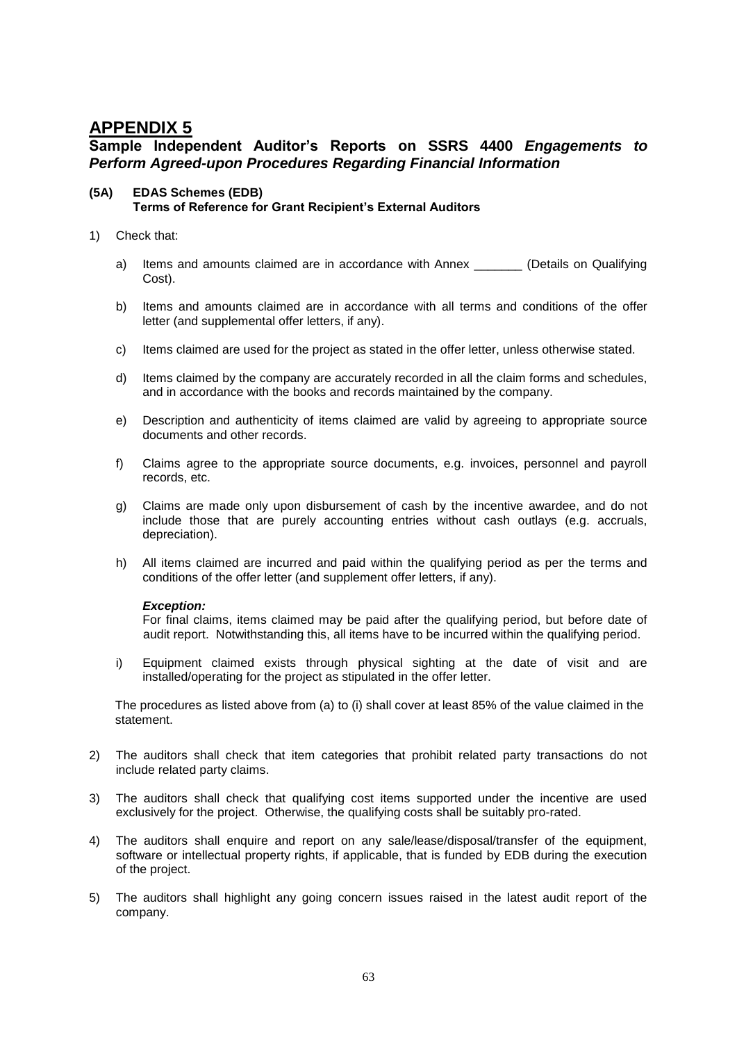## **APPENDIX 5**

## **Sample Independent Auditor's Reports on SSRS 4400** *Engagements to Perform Agreed-upon Procedures Regarding Financial Information*

#### **(5A) EDAS Schemes (EDB) Terms of Reference for Grant Recipient's External Auditors**

#### 1) Check that:

- a) Items and amounts claimed are in accordance with Annex (Details on Qualifying Cost).
- b) Items and amounts claimed are in accordance with all terms and conditions of the offer letter (and supplemental offer letters, if any).
- c) Items claimed are used for the project as stated in the offer letter, unless otherwise stated.
- d) Items claimed by the company are accurately recorded in all the claim forms and schedules, and in accordance with the books and records maintained by the company.
- e) Description and authenticity of items claimed are valid by agreeing to appropriate source documents and other records.
- f) Claims agree to the appropriate source documents, e.g. invoices, personnel and payroll records, etc.
- g) Claims are made only upon disbursement of cash by the incentive awardee, and do not include those that are purely accounting entries without cash outlays (e.g. accruals, depreciation).
- h) All items claimed are incurred and paid within the qualifying period as per the terms and conditions of the offer letter (and supplement offer letters, if any).

#### *Exception:*

For final claims, items claimed may be paid after the qualifying period, but before date of audit report. Notwithstanding this, all items have to be incurred within the qualifying period.

i) Equipment claimed exists through physical sighting at the date of visit and are installed/operating for the project as stipulated in the offer letter.

The procedures as listed above from (a) to (i) shall cover at least 85% of the value claimed in the statement.

- 2) The auditors shall check that item categories that prohibit related party transactions do not include related party claims.
- 3) The auditors shall check that qualifying cost items supported under the incentive are used exclusively for the project. Otherwise, the qualifying costs shall be suitably pro-rated.
- 4) The auditors shall enquire and report on any sale/lease/disposal/transfer of the equipment, software or intellectual property rights, if applicable, that is funded by EDB during the execution of the project.
- 5) The auditors shall highlight any going concern issues raised in the latest audit report of the company.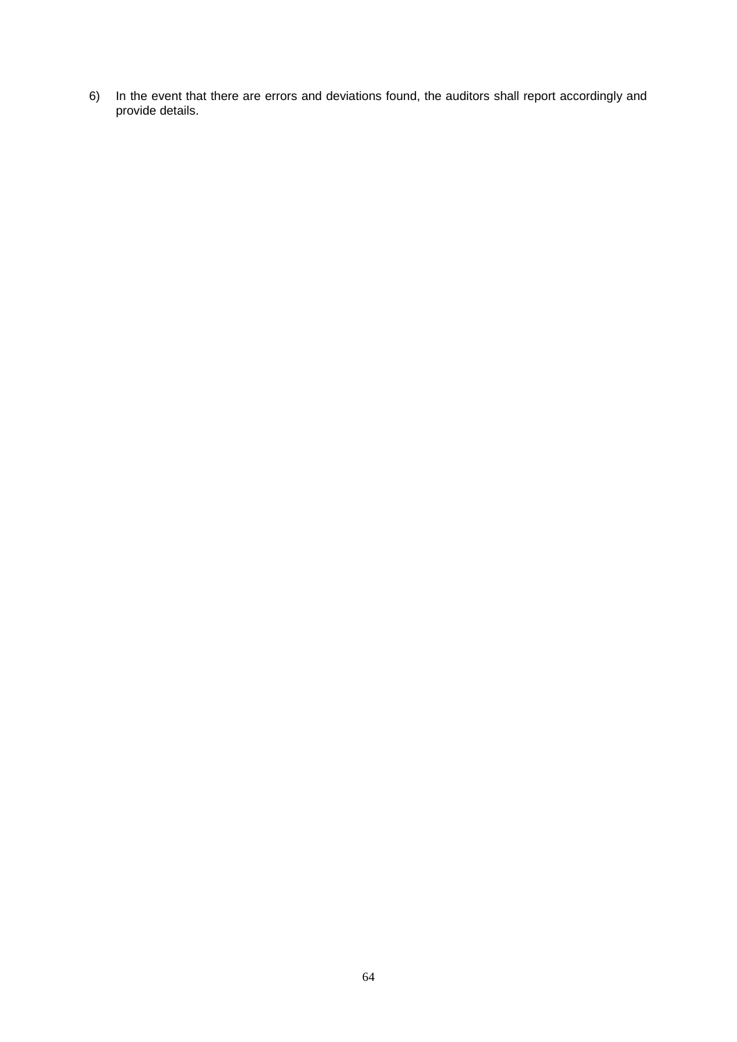6) In the event that there are errors and deviations found, the auditors shall report accordingly and provide details.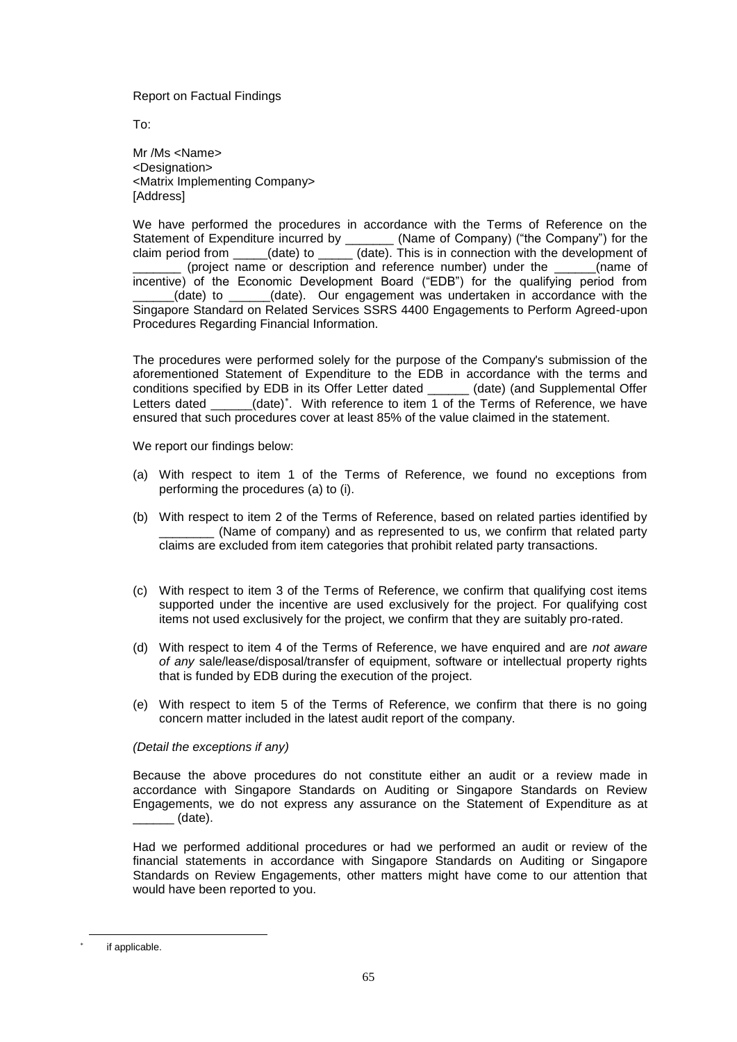#### Report on Factual Findings

To:

Mr /Ms <Name> <Designation> <Matrix Implementing Company> [Address]

We have performed the procedures in accordance with the Terms of Reference on the Statement of Expenditure incurred by \_\_\_\_\_\_\_ (Name of Company) ("the Company") for the claim period from (date) to (date). This is in connection with the development of \_\_\_\_\_\_\_ (project name or description and reference number) under the \_\_\_\_\_\_(name of incentive) of the Economic Development Board ("EDB") for the qualifying period from (date) to  $\qquad$  (date). Our engagement was undertaken in accordance with the Singapore Standard on Related Services SSRS 4400 Engagements to Perform Agreed-upon Procedures Regarding Financial Information.

The procedures were performed solely for the purpose of the Company's submission of the aforementioned Statement of Expenditure to the EDB in accordance with the terms and conditions specified by EDB in its Offer Letter dated \_\_\_\_\_\_ (date) (and Supplemental Offer Letters dated (date)<sup>\*</sup>. With reference to item 1 of the Terms of Reference, we have ensured that such procedures cover at least 85% of the value claimed in the statement.

We report our findings below:

- (a) With respect to item 1 of the Terms of Reference, we found no exceptions from performing the procedures (a) to (i).
- (b) With respect to item 2 of the Terms of Reference, based on related parties identified by (Name of company) and as represented to us, we confirm that related party claims are excluded from item categories that prohibit related party transactions.
- (c) With respect to item 3 of the Terms of Reference, we confirm that qualifying cost items supported under the incentive are used exclusively for the project. For qualifying cost items not used exclusively for the project, we confirm that they are suitably pro-rated.
- (d) With respect to item 4 of the Terms of Reference, we have enquired and are *not aware of any* sale/lease/disposal/transfer of equipment, software or intellectual property rights that is funded by EDB during the execution of the project.
- (e) With respect to item 5 of the Terms of Reference, we confirm that there is no going concern matter included in the latest audit report of the company.

#### *(Detail the exceptions if any)*

Because the above procedures do not constitute either an audit or a review made in accordance with Singapore Standards on Auditing or Singapore Standards on Review Engagements, we do not express any assurance on the Statement of Expenditure as at \_\_\_\_\_\_ (date).

Had we performed additional procedures or had we performed an audit or review of the financial statements in accordance with Singapore Standards on Auditing or Singapore Standards on Review Engagements, other matters might have come to our attention that would have been reported to you.

-\*

if applicable.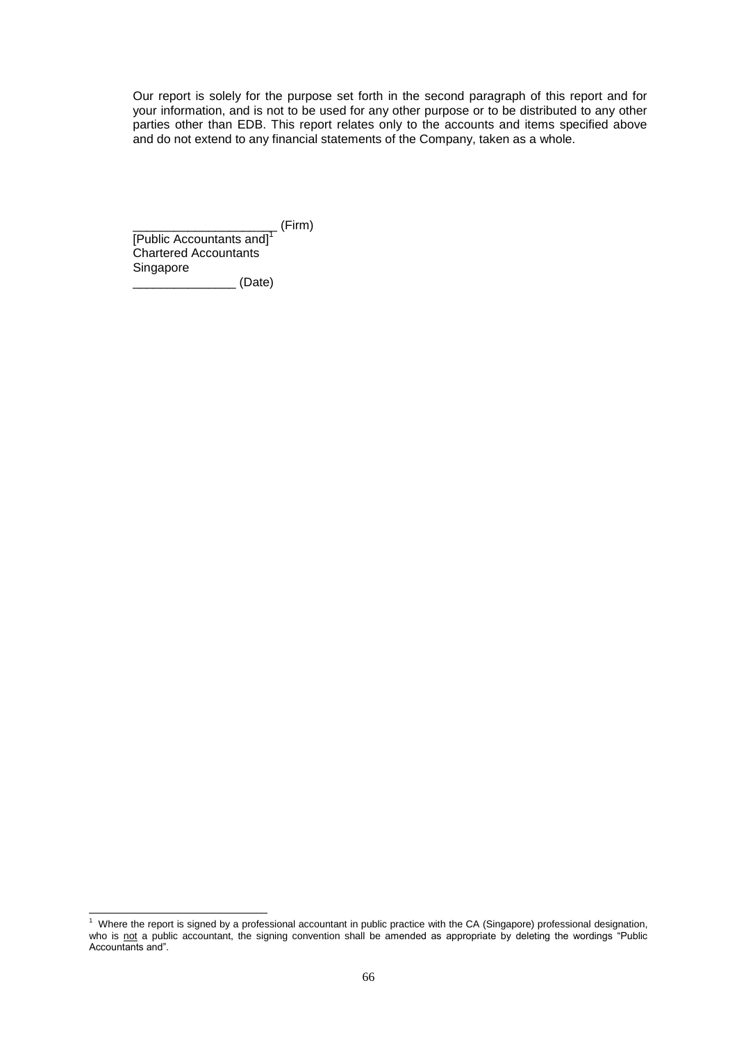Our report is solely for the purpose set forth in the second paragraph of this report and for your information, and is not to be used for any other purpose or to be distributed to any other parties other than EDB. This report relates only to the accounts and items specified above and do not extend to any financial statements of the Company, taken as a whole.

\_\_\_\_\_\_\_\_\_\_\_\_\_\_\_\_\_\_\_\_\_ (Firm) [Public Accountants and] 1 Chartered Accountants Singapore \_\_\_\_\_\_\_\_\_\_\_\_\_\_\_ (Date)

<sup>-</sup> $1$  Where the report is signed by a professional accountant in public practice with the CA (Singapore) professional designation, who is <u>not</u> a public accountant, the signing convention shall be amended as appropriate by deleting the wordings "Public Accountants and".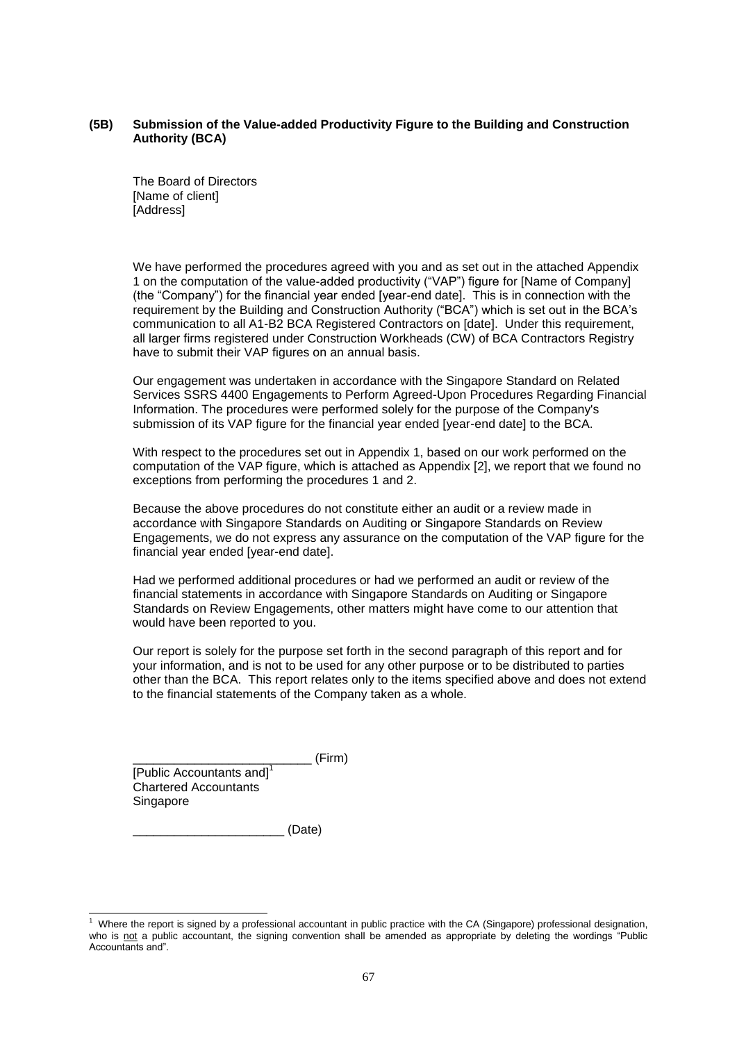#### **(5B) Submission of the Value-added Productivity Figure to the Building and Construction Authority (BCA)**

The Board of Directors [Name of client] [Address]

We have performed the procedures agreed with you and as set out in the attached Appendix 1 on the computation of the value-added productivity ("VAP") figure for [Name of Company] (the "Company") for the financial year ended [year-end date]. This is in connection with the requirement by the Building and Construction Authority ("BCA") which is set out in the BCA's communication to all A1-B2 BCA Registered Contractors on [date]. Under this requirement, all larger firms registered under Construction Workheads (CW) of BCA Contractors Registry have to submit their VAP figures on an annual basis.

Our engagement was undertaken in accordance with the Singapore Standard on Related Services SSRS 4400 Engagements to Perform Agreed-Upon Procedures Regarding Financial Information. The procedures were performed solely for the purpose of the Company's submission of its VAP figure for the financial year ended [year-end date] to the BCA.

With respect to the procedures set out in Appendix 1, based on our work performed on the computation of the VAP figure, which is attached as Appendix [2], we report that we found no exceptions from performing the procedures 1 and 2.

Because the above procedures do not constitute either an audit or a review made in accordance with Singapore Standards on Auditing or Singapore Standards on Review Engagements, we do not express any assurance on the computation of the VAP figure for the financial year ended [year-end date].

Had we performed additional procedures or had we performed an audit or review of the financial statements in accordance with Singapore Standards on Auditing or Singapore Standards on Review Engagements, other matters might have come to our attention that would have been reported to you.

Our report is solely for the purpose set forth in the second paragraph of this report and for your information, and is not to be used for any other purpose or to be distributed to parties other than the BCA. This report relates only to the items specified above and does not extend to the financial statements of the Company taken as a whole.

[Public Accountants and] 1 Chartered Accountants Singapore

\_\_\_\_\_\_\_\_\_\_\_\_\_\_\_\_\_\_\_\_\_\_ (Date)

 $(Firm)$ 

<sup>-</sup>Where the report is signed by a professional accountant in public practice with the CA (Singapore) professional designation, who is not a public accountant, the signing convention shall be amended as appropriate by deleting the wordings "Public Accountants and".